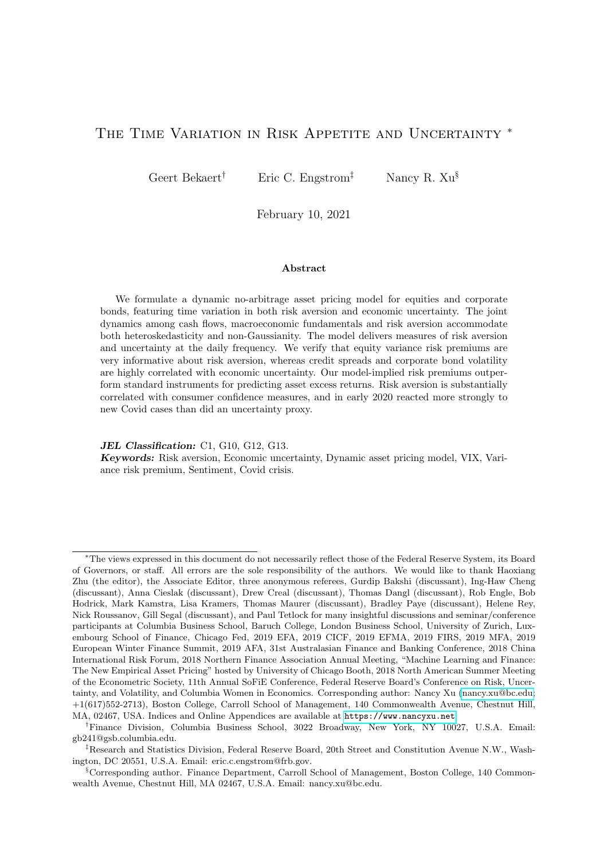# <span id="page-0-0"></span>THE TIME VARIATION IN RISK APPETITE AND UNCERTAINTY <sup>\*</sup>

Geert Bekaert† Eric C. Engstrom‡ Nancy R. Xu§

February 10, 2021

#### Abstract

We formulate a dynamic no-arbitrage asset pricing model for equities and corporate bonds, featuring time variation in both risk aversion and economic uncertainty. The joint dynamics among cash flows, macroeconomic fundamentals and risk aversion accommodate both heteroskedasticity and non-Gaussianity. The model delivers measures of risk aversion and uncertainty at the daily frequency. We verify that equity variance risk premiums are very informative about risk aversion, whereas credit spreads and corporate bond volatility are highly correlated with economic uncertainty. Our model-implied risk premiums outperform standard instruments for predicting asset excess returns. Risk aversion is substantially correlated with consumer confidence measures, and in early 2020 reacted more strongly to new Covid cases than did an uncertainty proxy.

JEL Classification: C1, G10, G12, G13.

Keywords: Risk aversion, Economic uncertainty, Dynamic asset pricing model, VIX, Variance risk premium, Sentiment, Covid crisis.

<sup>∗</sup>The views expressed in this document do not necessarily reflect those of the Federal Reserve System, its Board of Governors, or staff. All errors are the sole responsibility of the authors. We would like to thank Haoxiang Zhu (the editor), the Associate Editor, three anonymous referees, Gurdip Bakshi (discussant), Ing-Haw Cheng (discussant), Anna Cieslak (discussant), Drew Creal (discussant), Thomas Dangl (discussant), Rob Engle, Bob Hodrick, Mark Kamstra, Lisa Kramers, Thomas Maurer (discussant), Bradley Paye (discussant), Helene Rey, Nick Roussanov, Gill Segal (discussant), and Paul Tetlock for many insightful discussions and seminar/conference participants at Columbia Business School, Baruch College, London Business School, University of Zurich, Luxembourg School of Finance, Chicago Fed, 2019 EFA, 2019 CICF, 2019 EFMA, 2019 FIRS, 2019 MFA, 2019 European Winter Finance Summit, 2019 AFA, 31st Australasian Finance and Banking Conference, 2018 China International Risk Forum, 2018 Northern Finance Association Annual Meeting, "Machine Learning and Finance: The New Empirical Asset Pricing" hosted by University of Chicago Booth, 2018 North American Summer Meeting of the Econometric Society, 11th Annual SoFiE Conference, Federal Reserve Board's Conference on Risk, Uncertainty, and Volatility, and Columbia Women in Economics. Corresponding author: Nancy Xu [\(nancy.xu@bc.edu;](mailto:nancy.xu@bc.edu) +1(617)552-2713), Boston College, Carroll School of Management, 140 Commonwealth Avenue, Chestnut Hill, MA, 02467, USA. Indices and Online Appendices are available at <https://www.nancyxu.net>.

<sup>†</sup>Finance Division, Columbia Business School, 3022 Broadway, New York, NY 10027, U.S.A. Email: gb241@gsb.columbia.edu.

<sup>‡</sup>Research and Statistics Division, Federal Reserve Board, 20th Street and Constitution Avenue N.W., Washington, DC 20551, U.S.A. Email: eric.c.engstrom@frb.gov.

<sup>§</sup>Corresponding author. Finance Department, Carroll School of Management, Boston College, 140 Commonwealth Avenue, Chestnut Hill, MA 02467, U.S.A. Email: nancy.xu@bc.edu.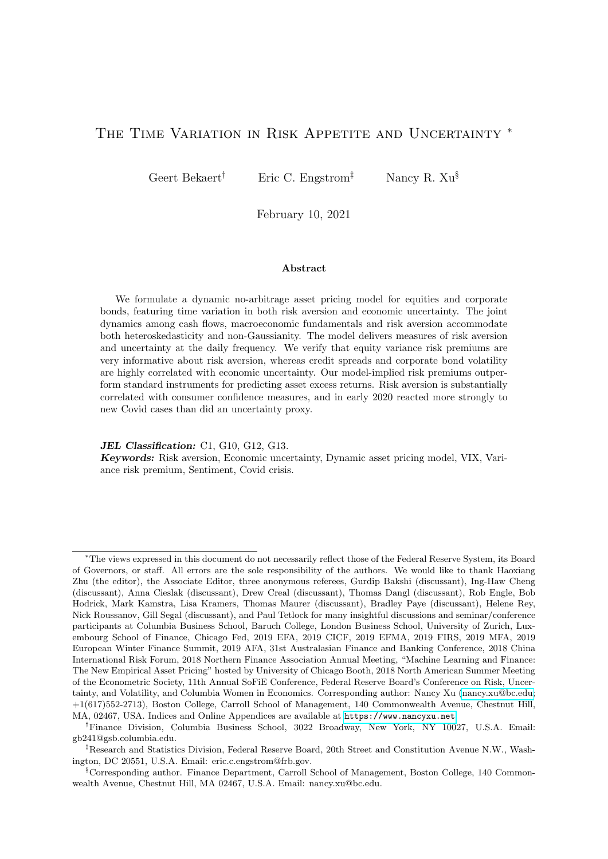# 1 Introduction

Many economic models combine assumptions regarding the preferences of economic agents with assumptions regarding the data generating process for consumption growth or productivity shocks to derive implications for financial asset prices. A large class of models (see e.g. [Bansal,](#page-44-0) [Kiku, Shaliastovich, and Yaron \(2014\)](#page-44-0)) relies on time variation in economic uncertainty as the main mechanism to generate variation over time in financial risk premiums, while assuming the risk aversion of households to be time invariant. Another class of models featuring habit-forming utility, starting with [Campbell and Cochrane \(1999\)](#page-45-0), stresses time-varying risk aversion as the main driver of financial market risk premiums.

In this article, we separately identify time-varying uncertainty in fundamentals, using macro data, and time-varying aggregate risk aversion (or its inverse, which we call "risk appetite"), using both macro data and financial asset prices, through the lens of a dynamic asset pricing model.<sup>[1](#page-0-0)</sup> To do so, we build on the habit models of [Campbell and Cochrane \(1999\)](#page-45-0), [Men](#page-46-0)[zly, Santos, and Veronesi \(2004\)](#page-46-0) and [Wachter \(2006\)](#page-46-1), but in contrast to those models we allow stochastic risk aversion to have a component that is uncorrelated with fundamentals. The nonfundamental component may reflect economic news that is imperfectly correlated with realized measures of aggregate activity, or consumer sentiment regarding the economy, a hypothesis we formally test. However, it may also reflect pure mood swings (e.g., [Kamstra, Kramer, and Levi](#page-46-2) [\(2003\)](#page-46-2)'s weather-induced swings), or unmodeled institutional factors, such as risk constraints faced by financial institutions (e.g., [He and Krishnamurthy \(2013\)](#page-45-1); [Adrian and Shin \(2013\)](#page-44-1)), that end up affecting aggregate risk aversion.

To develop the risk aversion measure in an internally consistent manner, we must solve for asset prices as a function of preferences, consumption growth and cash flow dynamics. We employ two prominent risky asset classes, corporate bonds and equities. To give the macroeconomicand cash flow-based fundamentals a maximal chance of fitting asset price dynamics, we use, inter alia, monthly data on industrial production, which is helpful in identifying cyclical variation, and model fundamental and cash flow shocks (earnings for equities, loss rates for corporate bonds) using non-Gaussian distributions with time-varying second and higher order moments. Concretely, we use the Bad Environment-Good Environment (BEGE, henceforth) framework developed in [Bekaert and Engstrom \(2017\)](#page-44-2), where shocks to key state variables are modeled as the sum of two centered gamma distributions with time-varying shape parameters. These shape parameters drive changes in "bad" ("good") volatility, associated with negative (positive) skewness, respectively. Despite the fact that the model accommodates state variables with time-varying non-Gaussian shocks, our formulation admits (quasi) closed-form solutions for asset prices within the affine class. Our modeling framework is quite different from the model in [Bekaert and Engstrom \(2017\)](#page-44-2), which appends a simplified BEGE model for consumption growth to the non-linear price of risk model of [Campbell and Cochrane \(1999\)](#page-45-0), preventing closed-form equilibrium solutions. Our modeling of macroeconomic uncertainty also delivers an uncertainty index as a by-product, contributing to a recent cottage industry for developing

<sup>&</sup>lt;sup>1</sup>[Pflueger, Siriwardane, and Sunderam](#page-46-3) [\(2020\)](#page-46-3) aim to identify the product of "uncertainty" and "risk aversion," which they term risk appetite, and show that it is an important determinant of real rate variation.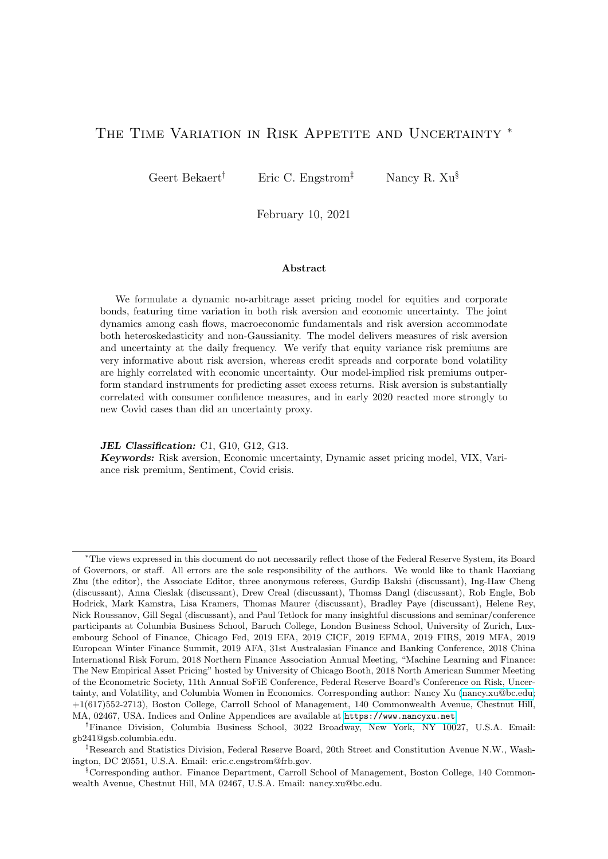indices of macroeconomic uncertainty (e.g. [Jurado, Ludvigson, and Ng \(2015\)](#page-46-4)).

To identify the model parameters and stochastic risk aversion, we go beyond using only information in historical realized returns, which are known to be noisy. In particular, we use both realized variances and option-implied variances in the estimation of the model parameters. A large empirical literature (see e.g. [Andersen, Bollerslev, Diebold, and Labys \(2003\)](#page-44-3)) shows that realized variances can be measured fairly precisely and provide accurate forecasts of future return variances. Moreover, conditional return variances are an exact function of the relevant state variables (including risk aversion) in our pricing framework (see [Joslin, Le, and Singleton](#page-45-2) [\(2013\)](#page-45-2) for a similar observation in a term structure model). There is also a large literature on inferring risk and risk preferences from option prices, which we discuss in more detail in Section [2](#page-0-0).<sup>2</sup> Option-implied volatility, such as the famous VIX index in the equity market, reflects both the physical return distribution, including the probability of crashes, and risk aversion. The risk aversion of agents creates a demand for insurance against potential losses, making (outof-money) put options relatively more expensive than call options. Such expensive put options are the source of the consistent presence of a positive variance risk premium (often empirically measured as the difference between the VIX index-squared and the physical conditional return variance) (see [Bekaert and Hoerova \(2016\)](#page-44-4); [Bakshi and Madan \(2006\)](#page-44-5) for formal arguments). Option data should also be informative about conditional risk premiums, which are difficult to observe from the data. [Martin \(2017\)](#page-46-5) uses option-implied variances to provide bounds on equity premiums, and several articles (see [Bollerslev and Todorov \(2011\)](#page-45-3); [Liu, Pan, and Wang \(2004\)](#page-46-6); [Santa-Clara and Yan \(2010\)](#page-46-7)) suggest that compensation for rare events ("jumps") accounts for a large fraction of equity risk premiums.

An important output of our model and contribution of this work is a measure of timevarying aggregate risk aversion that consistently helps price assets in the context of our structural asset pricing model and is easily tracked over time, even at high frequencies. To accomplish this, we exploit the model implication that asset prices and variances are an exact function of the uncertainty and risk aversion state variables. While we filter the uncertainty state variables from macroeconomic data, we use a method of moments estimation for the preference parameters, which exploits the model implication that risk aversion is a linear function of a set of observable financial variables, such as credit spreads and equity risk-neutral variances. The measure should be a useful model-based complement to "sentiment indices" developed in the behavioral finance literature (see, e.g., [Lemmon and Portniaguina \(2006\)](#page-46-8); and [Baker and Wurgler \(2006\)](#page-44-6)), or practitioner indices developed by financial institutions (see [Coudert and Gex \(2008\)](#page-45-4) for a survey). We hope that our measurement of risk aversion will be useful in other areas of economics as well. For example, in monetary economics, recent research suggest a potential link between loose monetary policy and greater risk appetite of market participants, spurring a literature that explores what structural economic factors drive risk aversion changes (see, e.g., [Rajan](#page-46-9) [\(2006\)](#page-46-9); [Adrian and Shin \(2009\)](#page-44-7); [Bekaert, Hoerova, and Lo Duca \(2013\)](#page-44-8)). In international finance, [Miranda-Agrippino and Rey \(2020\)](#page-46-10) and [Rey \(2013\)](#page-46-11) suggest that global risk aversion is

<sup>&</sup>lt;sup>2</sup>A number of these articles develop time-varying risk aversion measures motivated by models that really assume a "constant" risk aversion coefficient and hence are inherently inconsistent (see, e.g., [Bollerslev, Gibson,](#page-44-9) [and Zhou](#page-44-9) [\(2011\)](#page-44-9); [Faccini, Konstantinidi, Skiadopoulos, and Sarantopoulou-Chiourea](#page-45-5) [\(2019\)](#page-45-5)).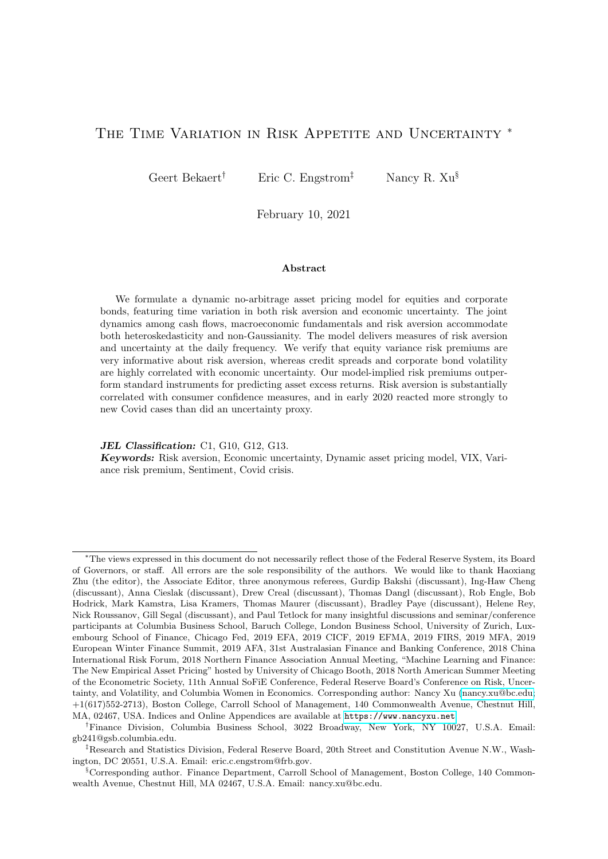a key transmission vector by which US monetary policy is "exported" to foreign countries and is a major source of asset return comovements across countries (see also [Xu \(2019\)](#page-46-12)).

Our main results are as follows: First, we find significant time variation in the volatilities and higher-order moments of the fundamentals, especially in real activity. The time variation in uncertainty is dominated by strongly countercyclical "bad" volatility. Moreover, we find that macroeconomic uncertainty is informative about uncertainty regarding risky asset cash flows, both for the equity and corporate bond markets. Nonetheless, the volatility of corporate bond loss rates shows independent time variation.

Second, the extracted risk aversion process loads most significantly on equity risk-neutral variances (with a positive sign) and realized variances (with a negative sign), consistent with the literature finding the variance premium a good proxy for aggregate risk aversion. This finding is consistent with recent work in the consumption-based asset pricing literature, showing the variance premium to be very informative for identifying equilibrium models featuring complex data generating processes for the fundamentals (see [Drechsler and Yaron \(2011\)](#page-45-6); [Bollerslev,](#page-45-7) [Tauchen, and Zhou \(2009\)](#page-45-7); [Bekaert and Engstrom \(2017\)](#page-44-2)). Nevertheless, corporate bond market variables – the credit spread and realized corporate bond variance – also account for almost 35 percent of the measured variation in risk aversion. Moreover, our measure of risk aversion sometimes deviates materially from the signal provided by the variance premium. In particular, the residual from a regression of risk aversion on the variance risk premium shows meaningful countercyclical variation. The risk aversion process is much more rapidly mean reverting than would be implied by habit models, which is consistent with the results in [Martin \(2017\)](#page-46-5).

Third, economic uncertainty is highly correlated with corporate bond volatility and, especially, with credit spreads, suggesting that these financial measures are good predictors of macroeconomic turbulence. In addition, our economic uncertainty index predicts output negatively and significantly. Because equity risk premium variation is dominated by changes in risk aversion, but the conditional variance of equity returns also loads strongly on macroeconomic uncertainty, our results help explain the failure of a large literature in finance (starting with [French, Schwert, and Stambaugh \(1987\)](#page-45-8)) to find a robust link between future equity returns and the conditional variance of equity returns, while assuming a constant price of variance risk. In addition, the model-implied equity premium is always above and very highly correlated with the lower bound provided in [Martin \(2017\)](#page-46-5).

Fourth, to aid with the interpretation and validation of our risk aversion measure, we conduct several exercises. We present the correlation of the risk aversion measure with macroeconomic news data to verify its relation to alternative measures of real activity. Among 7 news announcements, we find industrial production news to be most important determinant but it still only accounts for a small part of the variation in risk aversion, consistent with our model findings. We also relate risk aversion to 16 alternative sentiment/confidence measures, most of which do not rely on asset prices. Even when those external measures are orthogonalized with respect to economic uncertainty, our risk aversion proxy is highly correlated with them and risk aversion is most correlated with measures focusing on consumer sentiment/confidence. The highest correlation occurs with the Sentix investor sentiment measure designed "to reflect investors' emotions fluctuating between fear and greed." In addition, we analyze the behavior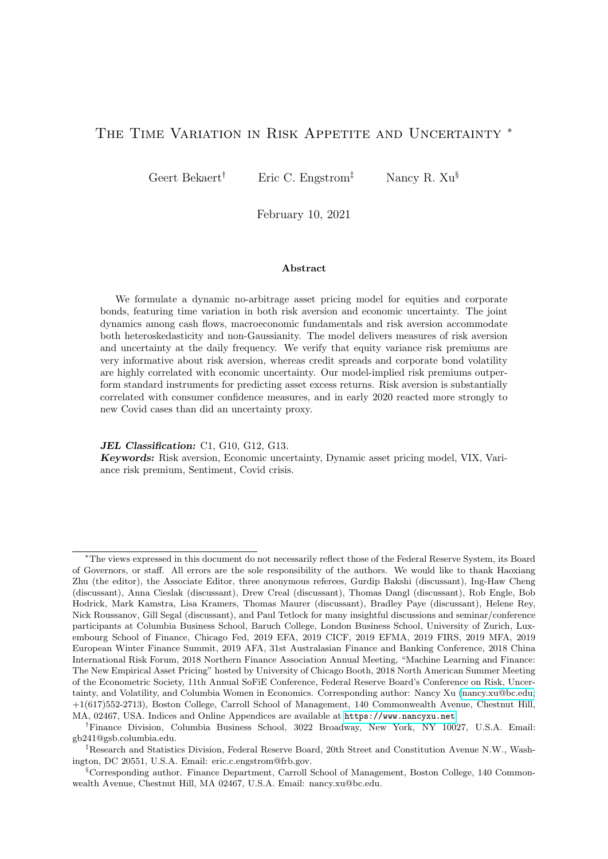of risk aversion during the Covid crisis. We find that, controlling for economic news, our high frequency proxy to risk aversion reacts more to information regarding the volume of new cases of infection, than does our high frequency proxy to economic uncertainty.

The remainder of the paper is organized as follows. Sections [2](#page-4-0) presents the model. Section [3](#page-13-0) presents the estimation results for the fundamentals and cash flow dynamics, and Section [4](#page-19-0) for risk aversion. In Section [5,](#page-26-0) we investigate how our measures of risk aversion and macroeconomic uncertainty correlate with (and predict) macroeconomic activity and asset price changes, and examine their relation with extant indices. We also examine the link between risk aversion and various consumer and investor confidence measures, finishing with a study of the behavior of risk aversion and uncertainty during the Covid crisis. Concluding remarks are in Section [6.](#page-41-0)

# <span id="page-4-0"></span>2 Modeling Risk Appetite and Uncertainty

In this section, we first define our concept of risk aversion. We then build a dynamic model with stochastic risk aversion and macroeconomic factors affecting the cash flows processes of two main risky asset classes, corporate bonds and equity. The state variables are described in Section [2.2](#page-6-0) and the pricing kernel in Section [2.3.](#page-11-0)

#### 2.1 Risk Aversion

An ideal measure of risk aversion would be model-free and would not confound time variation in economic uncertainty with time variation in risk aversion. There are many attempts in the literature to approximate this ideal measure, but invariably various modeling and statistical assumptions are necessary to identify risk aversion. For example, in the options literature, a number of articles [\(Aıt-Sahalia and Lo \(2000\)](#page-44-10); [Rosenberg and Engle \(2002\)](#page-46-13); [Jack](#page-45-9)[werth \(2000\)](#page-45-9); [Bakshi, Kapadia, and Madan \(2003\)](#page-44-11); [Britten-Jones and Neuberger \(2000\)](#page-45-10); [Bliss](#page-44-12) [and Panigirtzoglou \(2004\)](#page-44-12); [Bakshi and Wu \(2010\)](#page-44-13); [Faccini, Konstantinidi, Skiadopoulos, and](#page-45-5) [Sarantopoulou-Chiourea \(2019\)](#page-45-5)) appear at first glance to infer risk aversion from equity options prices in a model-free fashion, but it is generally the case that the utility function is assumed to be of a particular form and/or to depend only on stock prices.<sup>[3](#page-0-0)</sup>

Our approach is to start from a utility function defined over both consumption ("fundamentals") and a potential "non-fundamental" factor. Our measure of risk aversion is then the coefficient of relative risk aversion implied by the utility function. We specify a consumption process accommodating time variation in economic uncertainty and use the utility framework to price all assets consistently, given general processes for their cash flows.

Consider a period utility function in the hyperbolic absolute risk aversion (HARA) class:

<span id="page-4-1"></span>
$$
U\left(\frac{C}{Q}\right) = \frac{\left(\frac{C}{Q}\right)^{1}}{1-\gamma} \tag{1}
$$

where  $\gamma$  is the curvature parameter, C is consumption and Q is a process that will be shown

<sup>&</sup>lt;sup>3</sup>This is also true in the recent debate about the claim of recoverability of physical probabilities from option prices, which, if true, identifies risk aversion as well [\(Ross](#page-46-14) [\(2015\)](#page-46-14); [Carr and Wu](#page-45-11) [\(2016\)](#page-45-11)).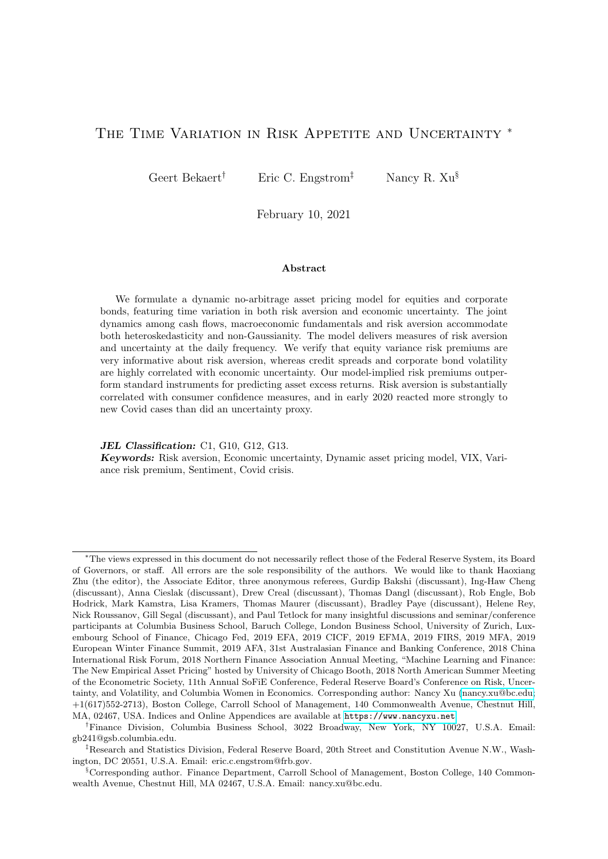to drive time-variation in risk aversion. Essentially, when  $Q$  is high, consumption delivers less utility and marginal utility increases. We assume:

$$
Q = \frac{C}{C \cdot H} = f(C) \tag{2}
$$

where H is an exogenous reference level or process  $(C > H)$ , for example the "external" habit stock as in [Campbell and Cochrane \(1999\)](#page-45-0) (CC henceforth) or a subsistence level. Critically, the  $H$  process can vary through time but is "exogenous" to the agent's optimization problem, as in the well-known "catching up with the Jones's" preferences (see also [Abel \(1990\)](#page-43-0)). This excludes internal habit models. Note that  $Q$  is a negative function of consumption. If  $Q$  were simply an exogenous process, risk aversion is equal to  $\gamma$  and does not vary over time (see [Abel](#page-43-0) [\(1990\)](#page-43-0) for such "multiplicative" habit models).

The coefficient of relative risk aversion for this class of models is given by

$$
RRA = \frac{CU^{\emptyset}(C)}{U^{\emptyset}(C)} = \gamma Q \tag{3}
$$

and is thus proportional to  $Q$ . We use the terms "risk aversion" and "risk appetite" as each other's inverse.[4](#page-0-0)

For pricing assets, it is helpful to derive the log pricing kernel which is the intertemporal marginal rate of substitution in a dynamic economy. We assume an infinitely lived agent, facing a constant discount factor of  $\beta$ , and the HARA period utility function in Equation [\(1\)](#page-4-1). The log pricing kernel,  $m_{t+1}$ , is then given by

$$
m_{t+1} = \ln(\beta) + \ln\left[\frac{U^{\theta}(C_{t+1})}{U^{\theta}(C_t)}\right] = \ln(\beta) \quad \gamma \Delta c_{t+1} + \gamma \Delta q_{t+1} \tag{4}
$$

where we use t to indicate time, lower case letters to indicate logs of uppercase variables, and  $\Delta$  to represent the difference operator. For all gross returns  $R^i$ , it is true that  $E_t \left[ \exp(m_{t+1}) R^i_{t+1} \right] = 1$ .

There are a variety of approaches to model  $Q$ . In the external habit model of CC,  $Q_t$  is the inverse of the surplus ratio. CC models  $q_t$  exogenously as a slow-moving, persistent process, but restrict the correlation between shocks to  $q_t$  and  $\Delta c_t$  to be *perfect*. That is, risk aversion is fully driven by consumption shocks. Importantly, there is no time variation in economic uncertainty in their model as the consumption growth process is homoskedastic. The "moody investor" economy in [Bekaert, Engstrom, and Grenadier \(2010\)](#page-44-14) is also a special case. In that model,  $q_t$ is also exogenously modeled, but has its own shock; that is, there are preference shocks not correlated with fundamentals. Another special case is the model in [Brandt and Wang \(2003\)](#page-45-12), in which the risk aversion process specifically depends on inflation in addition to consumption growth.

We specify a stochastic process for  $q$  (risk aversion), which is partly but not fully driven by macroeconomic fundamentals (consumption growth) and features an independent preference

<sup>&</sup>lt;sup>4</sup>[Gai and Vause](#page-45-13) [\(2006\)](#page-45-13) and [Pflueger, Siriwardane, and Sunderam](#page-46-3) [\(2020\)](#page-46-3) however use the term "risk appetite" to indicate the price of risk, that is the product of "risk aversion" and "the amount of risk" (which would be the volatility of consumption growth in a power utility model).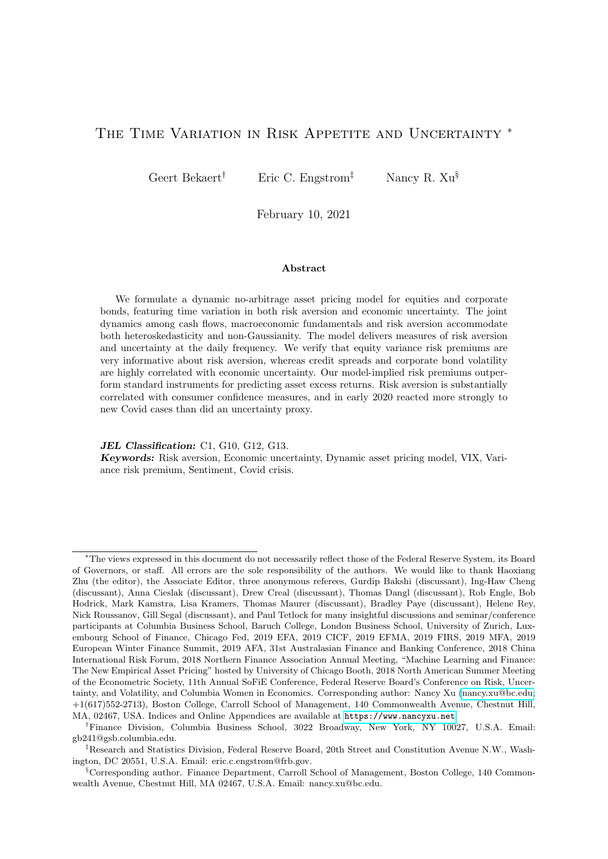shock. Shocks to risk aversion that are independent of macroeconomic fundamentals may arise in a variety of ways. The experimental literature (see e.g. Cohn, Engelmann, Fehr, and Maréchal [\(2015\)](#page-45-14)) shows that the subjective willingness to take risk is indeed lower during a recession, which is simulated by "priming" people with a stock market crash (versus boom), and that this risk aversion is rooted in emotions of fear.<sup>[5](#page-0-0)</sup> Thus, bad economic news can increase risk aversion but it is unlikely that the aggregate component of this type of counter-cyclical risk aversion is perfectly correlated with "measured" aggregate consumption growth.

In addition, the wealth of richer people conceivably decreases proportionally more than that of poorer people in bad times (because more of their wealth is tied up in risky asset classes). Thus, changes in the wealth distribution across individuals may cause changes in aggregate wealth-weighted risk aversion and even induce counter-cyclical risk aversion. Of course, we cannot exclude risk aversion changes that are driven by other sources, ranging from reactions to political speeches to pure mood swings.

Finally, it goes without saying that our risk aversion process is identified within the context of a particular rational expectations model, and thus alternative interpretations of our results are possible. We provide more discussion and external validation in Section [5.3.](#page-35-0)

### <span id="page-6-0"></span>2.2 Economic Environment: State Variables

#### 2.2.1 Macroeconomic Factors

In typical asset pricing models, agents have utility over consumption, but it is well known that consumption growth and asset returns show very little correlation. Instead, we use industrial production as our main macroeconomic factor, with its availability at the monthly level an additional advantage. We extract two macro risk factors from industrial production, "good" uncertainty, denoted by  $p_t$ , and "bad" uncertainty, denoted by  $n_t$ , thereby contributing to the recent macroeconomic literature on the measurement of "real" uncertainty (see e.g. [Jurado,](#page-46-4) [Ludvigson, and Ng \(2015\)](#page-46-4)) and its effects on the real economy (see e.g. [Bloom \(2009\)](#page-44-15)).

Specifically, under our model the change in log industrial production index,  $\theta_t$ , has timevarying higher-order moments governed by two state variables:  $p_t$  and  $n_t$ . These two factors additionally affect the conditional mean of growth, which also has an autoregressive component:

$$
\theta_{t+1} = \overline{\theta} + \rho \left( \theta_t \quad \overline{\theta} \right) + m_p(p_t \quad \overline{p}) + m_n(n_t \quad \overline{n}) + u_{t+1}, \tag{5}
$$

where the growth shock is decomposed into two independent centered gamma shocks,

<span id="page-6-1"></span>
$$
u_{t+1} = \sigma \rho \omega_{p,t+1} \sigma \omega_{n,t+1}.
$$
 (6)

The shocks follow centered gamma distributions with time-varying shape parameters,

$$
\omega_{p;t+1} \quad \widetilde{\Gamma}(p_t,1), \ \omega_{n;t+1} \quad \widetilde{\Gamma}(n_t,1), \tag{7}
$$

<sup>&</sup>lt;sup>5</sup>There is an active literature on the neural basis of risk taking behavior in a financial context, see e.g. [Kuhnen](#page-46-15) [and Knutson](#page-46-15) [\(2005\)](#page-46-15) for an early paper.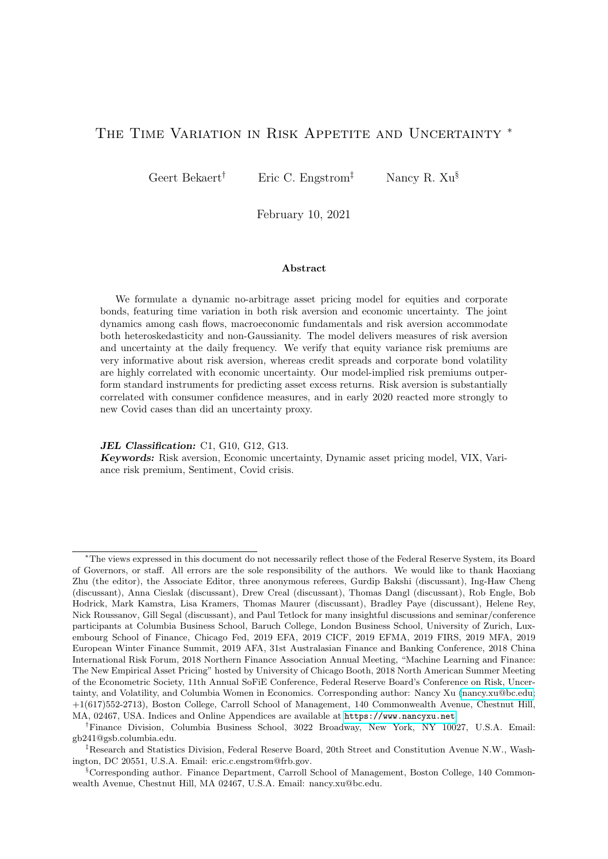where  $\tilde{\Gamma}(x, 1)$  denotes a centered gamma distribution with shape parameter x and a unit scale parameter. The shape factors,  $p_t$  and  $n_t$ , follow autoregressive processes,

<span id="page-7-0"></span>
$$
p_{t+1} = \overline{p} + \rho_p(p_t - \overline{p}) + \sigma_{pp}\omega_{p,t+1},\tag{8}
$$

$$
n_{t+1} = \overline{n} + \rho_0(n_t - \overline{n}) + \sigma_{nn} \omega_{n;t+1}, \qquad (9)
$$

where  $\rho_X$  denotes the autoregressive term of process  $x_{t+1}$ ,  $\sigma_{XX}$  the sensitivity to shock  $\omega_{X;t+1}$ , and  $\overline{x}$  the long-run mean. We denote the macroeconomic state variables as,  $Y_t^{mac} = \begin{bmatrix} \theta_t & p_t & n_t \end{bmatrix}^{\theta}$ .

Because macro risks are also allowed to affect expected growth, our model can accommodate cyclical effects (e.g., lower conditional means in bad times), or the uncertainty effect described in [Bloom \(2009\)](#page-44-15). The conditional higher moments of output growth are linear functions of the bad and good uncertainties. For example, the conditional variance and the conditional unscaled skewness are as follows,

Conditional Variance: 
$$
E_t \left[ (u_{t+1})^2 \right] = \sigma^2_{\rho} p_t + \sigma^2_{\rho} n_t
$$
,  
Conditional Unscaled Skewness:  $E_t \left[ (u_{t+1})^3 \right] = 2\sigma^3_{\rho} p_t - 2\sigma^3_{\rho} n_t$ .

This reveals the sense in which  $p_t$  represents "good" and  $n_t$  "bad" volatility:  $p_t$  ( $n_t$ ) increases (decreases) the skewness of industrial production growth.

The state variables and shocks derived from industrial production growth serve as key macro determinants for consumption growth and cash flows.

### 2.2.2 Cash Flows and Cash Flow Uncertainty

To model the cash flows for equities and corporate bonds, we focus attention on two variables that exhibit strong cyclical movements, namely earnings growth (see e.g. [Longstaff](#page-46-16) and Piazzesi  $(2004)$ ) and corporate defaults (see e.g. Gilchrist and Zakrajšek  $(2012)$ ).

Corporate Bond Loss Rate To model corporate bond pricings, we must model the possibility of defaults. Suppose a portfolio of one-period nominal bonds has a promised payoff of C exp(c) at  $(t+1)$ , but will in fact only pay an unknown fraction  $F_{t+1}$  1 of that amount. Therefore, the nominal payoff for a one-period zero-coupon defaultable corporate bond at period  $t + 1$  is  $C$   $F_{t+1} = exp(c + ln(F_{t+1})) = exp(c \quad l_{t+1})$ . Thus,  $l_{t+1}$  is defined as  $ln(F_{t+1}) = ln(1 - L_{t+1})$  where  $L_{t+1}$  (i.e., 1  $F_{t+1}$ ) is the aggregate corporate loss rate, which can be computed as the default rate times one minus the recovery rate. We provide more detail on the pricing of defaultable bonds in the asset pricing section (Section [2.3\)](#page-11-0).

 $6$ This model was selected among 8 models for the growth rate of industrial production. Specifically, the different models consider variations in the conditional mean process: (1) with an autoregressive term, (2) with 2 volatilities-in-mean terms, (3) with 2 past volatility shocks, (4) with an autoregressive term and 2 volatilitiesin-mean terms;  $(5)-(8)$  are  $(2)-(4)$  with the good volatility long-run mean equal to 500. Model (8) exhibits the lowest AIC and BIC criteria and thus is applied in the rest of the analysis. In addition, the same model but with constant  $p_t$  is rejected.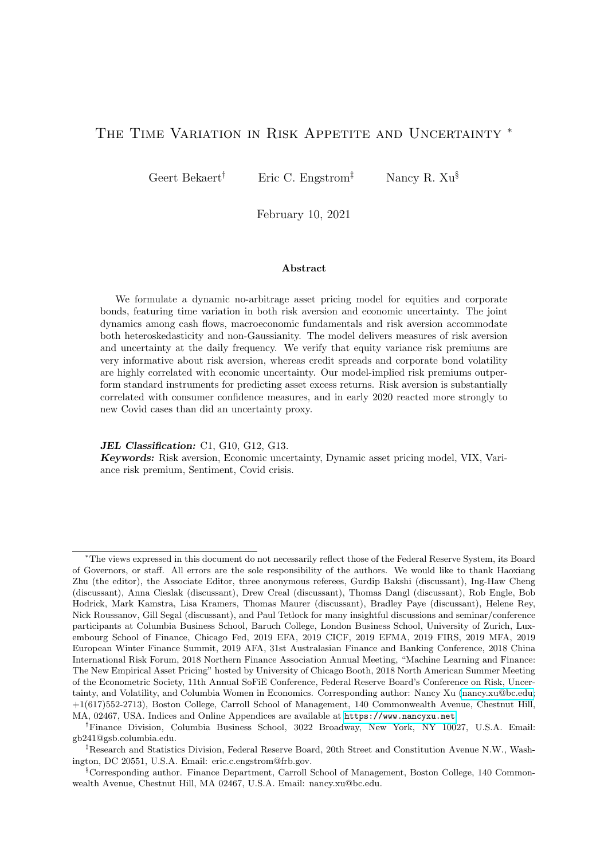The dynamics for the aggregate corporate bond  $log$  loss rate,  $l_t$ , are modeled as follows:

$$
l_{t+1} = l_0 + \rho_{ll} l_t + m_{lp} p_t + m_{ln} n_t + \sigma_{lp} \omega_{p;t+1} + \sigma_{ln} \omega_{n;t+1} + u_{t+1}^l, \tag{10}
$$

$$
u'_{t+1} = \sigma_{IIp}\omega_{lp;t+1} \quad \sigma_{IIn}\omega_{ln;t+1},\tag{11}
$$

$$
\omega_{lp;t+1} \quad \tilde{\Gamma}(lp_t,1), \ \omega_{ln;t+1} \quad \tilde{\Gamma}(\overline{ln},1), \tag{12}
$$

with  $\overline{ln} > 0$ , and where the law of motion for cash flow uncertainty is,

<span id="page-8-3"></span><span id="page-8-2"></span>
$$
lp_{t+1} = \overline{lp} + \rho_{lp}(lp_t \quad \overline{lp}) + \sigma_{lplp} \omega_{lp;t+1}.
$$
\n(13)

The conditional mean depends on an autoregressive term and the good and bad macro uncertainty state variables  $p_t$  and  $n_t$ . The total disturbance of loss rate is governed by three independent heteroskedastic shocks: the good and bad environment macro shocks  $f\omega_{p;t+1}, \omega_{n;t+1}g$ and the (orthogonal) loss rate shock  $u_{i,t+1}$ . The loss rate shock follows a typical BEGE process, but we only allow  $\omega_{lp}$ 's shape parameter to be time-varying, so that only the volatility factor associated with the positively-skewed loss rate shock varies over time.[7](#page-0-0)

This dynamic system allows macroeconomic uncertainty to affect both the conditional mean and conditional variance of the loss rate process. However, it also allows the loss rate to have an autonomous autoregressive component in its conditional mean (making  $l_t$  a state variable) and accommodates heteroskedasticity not spanned by macroeconomic uncertainty. This "financial" cash flow uncertainty has a time-varying component, denoted by  $lp_t$ , and a constant component denoted by  $\overline{ln}$ . If  $\sigma_{\parallel\mu}$  and  $\sigma_{\parallel\rho}$  are positive, as we would expect, the loss rate and its volatility are positively correlated; that is, in bad times with a high incidence of defaults, there is also more uncertainty about the loss rate, and because the gamma distribution is positively skewed, the (unscaled) skewness of the process increases. We also expect the sensitivities to the good (bad) economic environment shocks,  $\sigma_{lp}$  ( $\sigma_{ln}$ ) to be negative (positive): intuitively, defaults should decrease (increase) in relatively good (bad) times.

The conditional variance of the loss rate is  $\sigma_{lp}^2 p_t + \sigma_{ln}^2 n_t + \sigma_{lp}^2 p_t + \sigma_{ln}^2 \overline{n}$ , and its conditional unscaled skewness is  $2\left(\sigma_{\rho}^3 p_t + \sigma_{\rho}^3 n_t + \sigma_{\rho}^3 p_t p_t - \sigma_{\rho}^3 l \overline{n}\right)$ . We denote the financial state variables as,  $Y_t^{fin} = \begin{bmatrix} l_t & l_{pt} \end{bmatrix}^{\theta}$ .

Earnings, Consumption and Dividends Log earnings growth,  $g_t$ , is defined as the change in log real earnings of the aggregate stock market. It is modeled as follows:

$$
g_{t+1} = g_0 + \rho_{gg}g_t + \gamma_{g;mac}Y_t^{mac} + \gamma_{g;fin}Y_t^{fin}
$$

<span id="page-8-1"></span><span id="page-8-0"></span>
$$
+\sigma_{gp}\omega_{p;t+1}+\sigma_{gn}\omega_{n;t+1}+\sigma_{glp}\omega_{lp;t+1}+\sigma_{gln}\omega_{ln;t+1}+u_{t+1}^g,
$$
\n(14)

$$
u_{t+1}^g = \sigma_{gg} \omega_{g;t+1}, \ \omega_{g;t+1} \quad N(0,1). \tag{15}
$$

We experimented with 5 other models including letting only  $n_t$  follow a BEGE process, letting both  $n_t$  and  $l p_t$  follow a BEGE process (with or without restricting the parameters to be the same across  $l n_t$  and  $l p_t$ ) and, finally, a version of the last two models where  $n_t$  and  $n_t$  also enter the loss rate mean. Our final loss rate model outperforms other models based on standard model selection criteria. Details on alternative models are available upon request.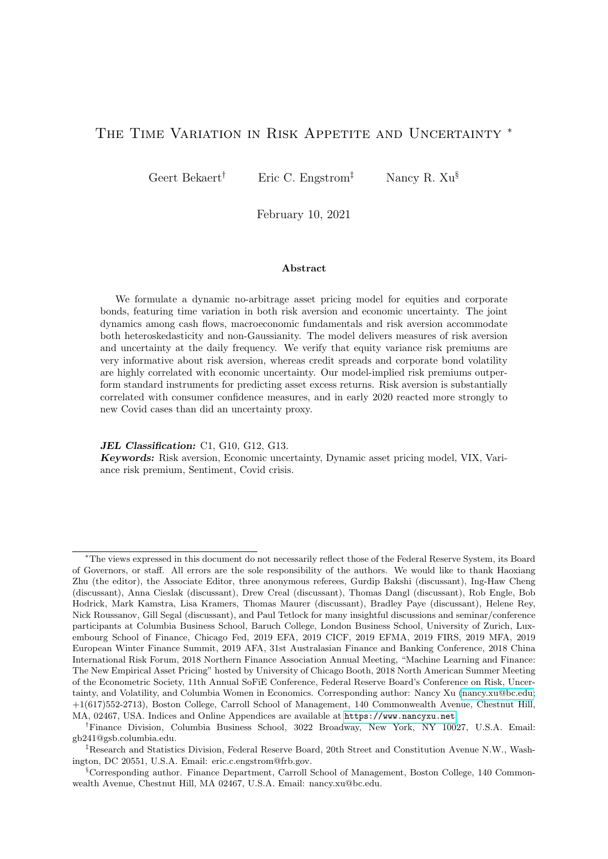The conditional mean is governed by an autoregressive component and the three macro factors; the time variation in the conditional variance comes from the good and bad uncertainty factors, and the loss rate uncertainty factor. The earnings shock is assumed to be Gaussian and homoskedastic, because we fail to reject the null that the residuals series, after controlling for the heteroskedastic fundamental shocks, is Gaussian and homoskedastic.

We model consumption as stochastically cointegrated with earnings so that the consumptionearnings ratio becomes a relevant state variable. Define  $\kappa_t$  ln  $\left(\frac{C_t}{E_t}\right)$  $\left(\frac{C_t}{E_t}\right)$ . The model for  $\kappa_t$  is completely analogous to the model for  $g_t$  (i.e., replacing g by  $\kappa$  in Equations [\(14\)](#page-8-0)–[\(15\)](#page-8-1)). Similarly to earnings growth, there is an autonomous conditional mean component but the heteroskedasticity of  $\kappa_t$  is spanned by macroeconomic and financial uncertainties. As with log earnings growth, we fail to reject Gaussianity and homoskedasticity of  $u_{t+1}$ .

Finally, the log dividend payout ratio,  $\eta_t$ , is expressed as the log ratio of dividends to earnings. Recent evidence in [Kostakis, Magdalinos, and Stamatogiannis \(2015\)](#page-46-17) shows that the monthly dividend payout ratio is stationary. We model  $\eta_t$  analogously to  $\kappa_t$  and  $g_t$ , again assuming a Gaussian and homoskedastic residual shock (as justified by the data). Using  $\eta_{t+1}$ and  $g_{t+1}$ , dividend growth  $\Delta d_{t+1}$ , is given by  $\eta_{t+1}$   $\eta_t + g_{t+1}$ .

### 2.2.3 Pricing Kernel State Variables

We now discuss the real pricing kernel components, consumption growth, changes in risk aversion and the inflation process needed to price nominal cash flows.

**Consumption Growth** By definition, log real consumption growth,  $\Delta c_{t+1} = \ln \left( \frac{C_{t+1}}{C_t} \right)$  $\left(\frac{C_{t+1}}{C_t}\right) =$  $g_{t+1} + \Delta \kappa_{t+1}$ . Therefore, consumption growth is spanned by the previously defined state variables and shocks, and it inherits an intricate shock distribution with time-varying higher order moments, including a time-varying "volatility of volatility" [\(Bollerslev, Tauchen, and Zhou](#page-45-7) [\(2009\)](#page-45-7)), that may be spiky and skewed, mimicking the jumps in consumption growth volatility in [Drechsler and Yaron \(2011\)](#page-45-6).

**Risk Aversion** The state variable capturing risk aversion,  $q_t$  ln  $\begin{pmatrix} C_t \\ \overline{C_t} \end{pmatrix}$  $\left(\frac{C_t}{C_t + H_t}\right)$ , follows,

<span id="page-9-0"></span>
$$
q_{t+1} = q_0 + \rho_{qq}q_t + \rho_{qp}p_t + \rho_{qn}n_t
$$
\n
$$
(12)
$$

$$
+ \quad \sigma_{qp}\omega_{p;t+1} + \sigma_{qn}\omega_{n;t+1} + \sigma_{qg}\omega_{g;t+1} + \sigma_q \omega_{t+1} + u_{t+1}^q,
$$
\n(16)

$$
u_{t+1}^q = \sigma_{qq} \omega_{q;t+1}, \ \omega_{q;t+1} \quad \widetilde{\Gamma}(q_t, 1). \tag{17}
$$

The risk aversion disturbance loads on the consumption growth shocks, and features an orthogonal preference shock. Thus, given the distributional assumptions on these shocks, the model-implied conditional variance is  $\sigma_{qp}^2 p_t + \sigma_{qp}^2 n_t + \sigma_{qq}^2 q_t + \sigma_{gg}^2 + \sigma^2$ , and the conditional unscaled skewness  $2\left(\sigma_{q\rho}^3 p_t + \sigma_{q\rho}^3 n_t + \sigma_{qq}^3 q_t\right)$ . With  $\sigma_{qq} = 0$  and certain restrictions on  $\sigma_{qp}$ ,  $\sigma_{qn}$ ,  $\sigma_{q\bar{q}}$  and  $\sigma_{q}$ , the model implies a perfect conditional correlation between risk aversion and real activity, as in the Campbell-Cochrane (1999) model.

We model the pure preference shock also with a demeaned gamma distributed shock, so that its variance and (unscaled) skewness are proportional to its own level. Controlling for cur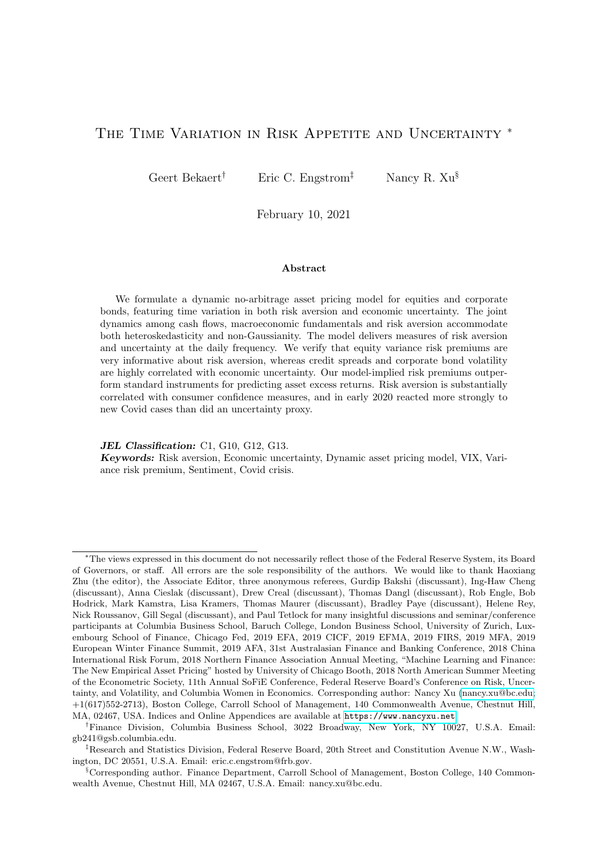rent business conditions, when risk aversion is high, so is its conditional variability and unscaled skewness. The plausibility of this assumption is illustrated, for example, by the pattern that option-implied volatilities, which are partially driven by risk aversion, are much more volatile in stressful times. The higher moments of risk aversion are perfectly spanned by macroeconomic uncertainty on the one hand and pure risk aversion itself  $(q_t)$  on the other hand. Key identifying assumptions are that  $q_t$  does not affect the macro variables and  $u_{q,t+1}$  represents a pure preference shock. The conditional mean is modeled as before: an autonomous autoregressive component and dependence on  $p_t$  and  $n_t$ .

Inflation Because the assets we are pricing are quoted in nominal terms, we close the model with a specification for inflation. The conditional mean of inflation depends on an autoregressive term and the three macro factors  $Y_t^{mac}$ . The conditional variance and higher moments of inflation are proportional to the good and bad uncertainty factors  $fp_t, n_t g$ . The inflation innovation  $u_{t+1}$  is assumed to be Gaussian and homoskedastic. There is no feedback from inflation to the macro variables:

$$
\pi_{t+1} = \pi_0 + \rho \pi_t + \prime_{\mathit{rmac}} Y_t^{\mathit{mac}} + \sigma \rho \omega_{p;t+1} + \sigma \rho \omega_{n;t+1} + u_{t+1}, \tag{18}
$$

$$
u_{t+1} = \sigma \quad \omega_{t+1}, \ \omega_{t+1} \quad N(0,1). \tag{19}
$$

### 2.2.4 Matrix Representation

The dynamics of all state variables introduced above can be written compactly in matrix notation. We define the macro factors  $Y_t^{mac} = \begin{bmatrix} \theta_t & p_t & n_t \end{bmatrix}^{\theta}$  and other state variables  $Y_t^{other} =$  $\begin{bmatrix} \pi_t & l_t & g_t & \kappa_t & \eta_t & l p_t & q_t \end{bmatrix}^{\ell}$ . Among the ten state variables, the industrial production growth  $\theta_t$ , the inflation rate  $\pi_t$ , the loss rate  $l_t$ , earnings growth  $g_t$ , the log consumption-earnings ratio  $\kappa_t$  and the log divided payout ratio  $\eta_t$  are observable, while the other four state variables,  $fp<sub>t</sub>, n<sub>t</sub>, lp<sub>t</sub>, q<sub>t</sub>g$  are latent. There are eight independent centered gamma and Gaussian shocks in this economy. The system can be formally described as follows (technical details are relegated to the Online Appendix):

<span id="page-10-0"></span>
$$
Y_{t+1} = +AY_t + \Sigma I_{t+1}, \qquad (20)
$$

where constant matrices,  $(10 \t 1)$ ,  $\mathbf{A}$   $(10 \t 10)$  and  $\Sigma$   $(10 \t 9)$ , are implicitly defined,  $Y_t = \left[ Y_t^{\text{mac}} Y_t^{\text{other'}} \right]^{\theta}$  (10 1) is a vector comprised of the state variable levels, and  $\boldsymbol{h}$   $\boldsymbol{h}$   $\boldsymbol{h}$   $=$   $\begin{bmatrix} \omega_{p;t+1} & \omega_{n;t+1} & \omega_{j;t+1} & \omega_{lp;t+1} & \omega_{lp;t+1} & \omega_{ql;t+1} & \omega_{ql;t+1} \end{bmatrix}$  $(1)$  is a vector comprised of all the independent shocks in the economy.

Note that, among the nine shocks, five shocks are gamma distributed—the good uncertainty shock  $(\omega_{p;t+1})$ , the bad uncertainty shock  $(\omega_{n;t+1})$ , the right-tail loss rate shock  $(\omega_{lp;t+1})$ , the left-tail loss rate shock  $(\omega_{n;t+1})$ , and the risk aversion shock  $(\omega_{q;t+1})$ . The remaining four shocks are standard homoskedastic Gaussian shocks (i.e.,  $N(0, 1)$ ). Importantly, given our preference structure, the state variables driving the time variation in the higher order moments of these shocks are the only ones driving the time variation in asset risk premiums and their higher order moments. Economically, we therefore rely on time variation in risk aversion – as in the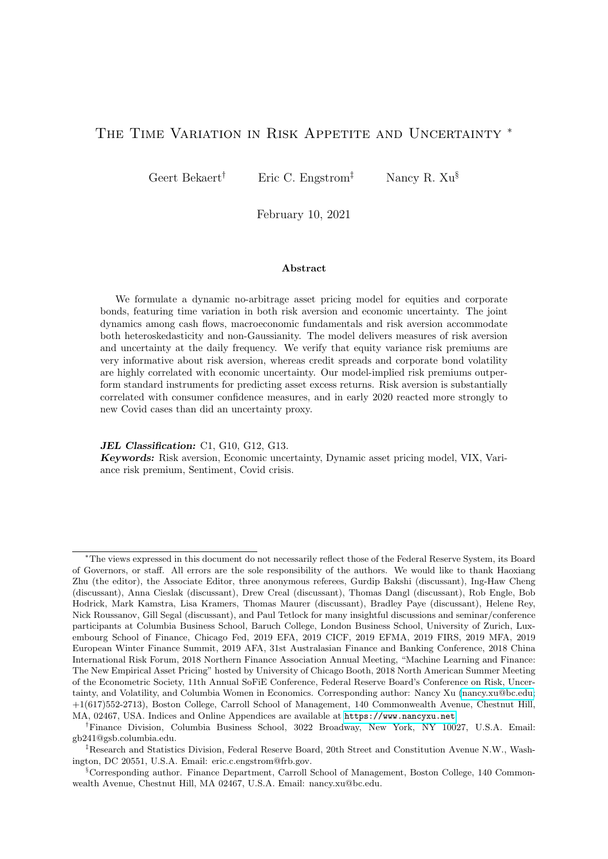classic Campbell-Cochrane model and its variants (see e.g. [Bekaert, Engstrom, and Grenadier](#page-44-14)  $(2010)$ ; Wachter  $(2006)$  – and time variation in economic uncertainty – as in the Bansal-Yaron (2004) model – to explain risk premiums. The model's implications for conditional asset return variances are critical in identifying the dynamics of risk aversion (see also [Joslin, Le, and Sin](#page-45-2)[gleton \(2013\)](#page-45-2)).

Our specific structure admits conditional non-Gaussianity yet generates affine pricing solutions. The model is tractable because the moment generating functions of gamma and Gaussian distributed variables can be derived in closed form, delivering exponentiated affine functions of the state variables. In particular,

$$
E_t\left[\exp(-\mathbf{Y}_{t+1})\right] = \exp\left[\mathbf{Y}\mathbf{S}_0 + \frac{1}{2}\mathbf{Y}\mathbf{S}_1\mathbf{\Sigma}^{\text{other}}\mathbf{S}_1' + \mathbf{f}_{\mathbf{S}}(\mathbf{Y}_t + S_2(\mathbf{Y})\overline{\ln}\right],\tag{21}
$$

where  $S_0$  (10 1) is a vector of drift coefficients;  $S_1$  (10 4) is a selection matrix of 0s and 1s which picks out the Jensen's inequality terms of the four Gaussian shocks;  $\Sigma^{other}$  (4

4) represents the covariance of the Gaussian shocks. The matrix  $f_s()$  (the scalar  $S_2()$ ) is a non-linear function of , involving the feedback matrix and the scale parameters of the gamma-distributed variables; see the Online Appendix for more details.

### <span id="page-11-0"></span>2.3 Asset Pricing

In this section, we present the model solutions. The Online Appendix contains detailed proofs and derivations.

#### 2.3.1 The pricing kernel and asset prices

The log pricing kernel can be expressed as follows:

$$
m_{t+1} = m_0 + m_2' Y_t + m_1' \Sigma! t_{t+1},
$$
\n(22)

where  $m_0$ ,  $m_1$  (10 1),  $m_2$  (10 1) are constant scalars or vectors that are implicitly defined using Equations  $(14)$ – $(17)$ . The real pricing kernel in our model follows an affine process as well. Assuming complete markets, this kernel prices any cash flow pattern spanned by our state variable dynamics.

To price nominal assets, we define the nominal pricing kernel,  $\tilde{m}_{t+1}$ , which is a simple transformation of the log real pricing kernel,  $m_{t+1}$ ,

<span id="page-11-1"></span>
$$
\widetilde{m}_{t+1} = m_{t+1} \quad \pi_{t+1} = \widetilde{m}_0 + \widetilde{m}_2' Y_t + \widetilde{m}_1' \Sigma I_{t+1}, \tag{23}
$$

where  $\widetilde{m}_0$ ,  $\widetilde{m}_1$  (10 1) and  $\widetilde{m}_2$  (10 1) are implicitly defined. The nominal risk free rate,  $rf_t$ , is defined as  $\ln f E_t[\exp(\widetilde{m}_{t+1})]g$  which can be expressed as an affine function of the state vector.

To price defaultable nominal bonds, we assume that a one period nominal bond portfolio faces a fractional (logarithmic) loss of  $l_t$ . Given the structure assumed for  $l_t$  in Equation [\(10\)](#page-8-2),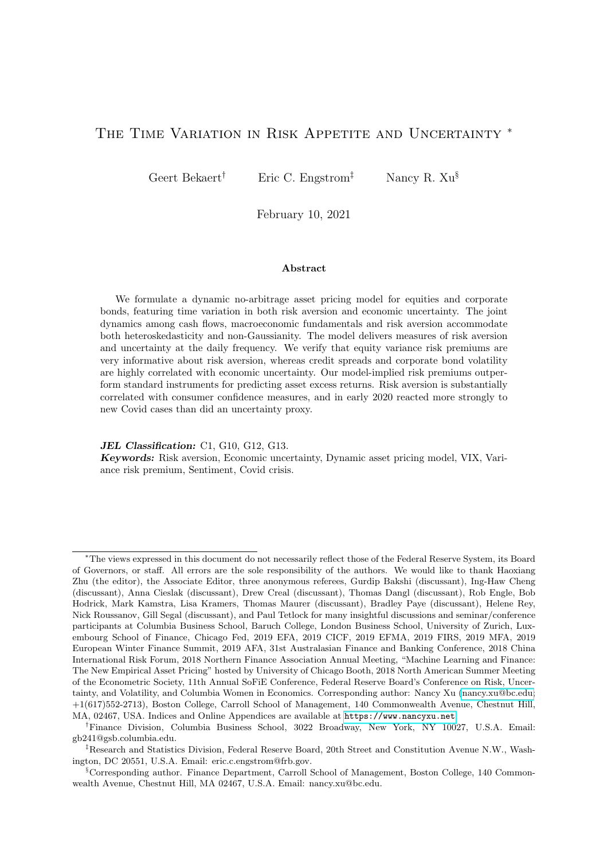the log price-coupon ratio of the one-period defaultable bond portfolio is

$$
pc_t^1 = \ln f E_t \left[ \exp \left( \widetilde{m}_{t+1} \quad l_{t+1} \right) \right] g \tag{24}
$$

$$
= b_0^1 + b_1^{1'} Y_t, \tag{25}
$$

where  $b_0^1$  and  $b_1^{1'}$  are implicitly defined. It is straightforward to show that a portfolio of zerocoupon nominally defaultable corporate bonds, maturing in N periods, has a price that is affine in the state variables. The assumed zero-coupon structure of the payments before maturity implies that the unexpected returns to this portfolio are exactly linearly spanned by the shocks to  $Y_t$ .

Equity is a claim to the dividend stream. The Online Appendix shows that the pricedividend ratio is the sum of an infinite number of exponential affine functions of the state vector, with the coefficients following simple difference equations.

### 2.3.2 Asset Returns

Given that the log price-coupon ratio of a defaultable corporate bond can be expressed as an exact affine function of the state variables, it immediately implies that the log nominal return (before maturity),  $\tilde{r}_{t+1}^{cb} = pc_{t+1}$  pc<sub>t</sub>, can be represented in closed-form. For equities, the log nominal equity return is derived as follows,  $\widetilde{r}_{t+1}^{eq} = \ln\left(\frac{PD_{t+1}+1}{PD_t}\right)$  $PD_t$  $D_{t+1}$  $\left(\frac{D_{t+1}}{D_t} \exp(\pi_{t+1})\right)$ . It is therefore a non-linear but known function of the state variables, which we approximate by a linear function (See the Online Appendix for details).

To account for the approximation error, we allow for two asset-specific homoskedastic shocks that are orthogonal to the state variable innovations. As a result, log nominal asset returns approximately satisfy the following factor model,

<span id="page-12-1"></span><span id="page-12-0"></span>
$$
\widetilde{r}_{t+1}^j = \widetilde{\xi}_0^j + \widetilde{\mathbf{I}}_1^j \mathbf{Y}_t + \widetilde{\mathbf{I}}_1^j \Sigma \mathbf{I}_{t+1} + \varepsilon_{t+1}^j,
$$
\n(26)

where  $\tilde{r}_{t+1}^j$  is the log nominal asset return i from t to  $t + 1$ ,  $\delta i = \text{feq}, \text{cbg};$  $(1)$  is the loading vector on the state vector;  $\tilde{r}^{\prime}$  (10 | 1) is the loading vector on the state variable shocks, and  $\varepsilon_{t+1}^i$  is a homoskedastic error term with unconditional volatility  $\sigma_i$ .

Rather than exploiting the model restrictions on prices, we exploit the restrictions the economy imposes on asset returns, physical variances and risk-neutral variances. Given Equation [\(26\)](#page-12-0) and the pricing kernel, the model implies that one period expected log excess returns are given by:

$$
RP_t^i \t E_t(\widetilde{r}_{t+1}^i) \t \widetilde{rf}_t = \sum_{w = p; n; lp; q} \left\{ \sigma_w(\widetilde{r}^i) + \ln \left[ \frac{1 - \sigma_w(\widetilde{m}_1 + \widetilde{r}^i)}{1 - \sigma_w(\widetilde{m}_1)} \right] \right\} w_t + C(RP^i) \tag{27}
$$

Here  $C(RP^i)$  is a constant defined in the Online Appendix and (as before),  $\widetilde{m}_1$  and  $\widetilde{r}^i$  are vectors containing the sensitivities of the log nominal pricing kernel and the log nominal asset returns to the state variable shocks, respectively. The symbol  $\sigma_w(\mathbf{x})$  ( $w = p, n, lp, q$ ) represents linear functions of state variables' sensitivities to the good uncertainty shock  $(\omega_{p:t+1})$ , the bad uncer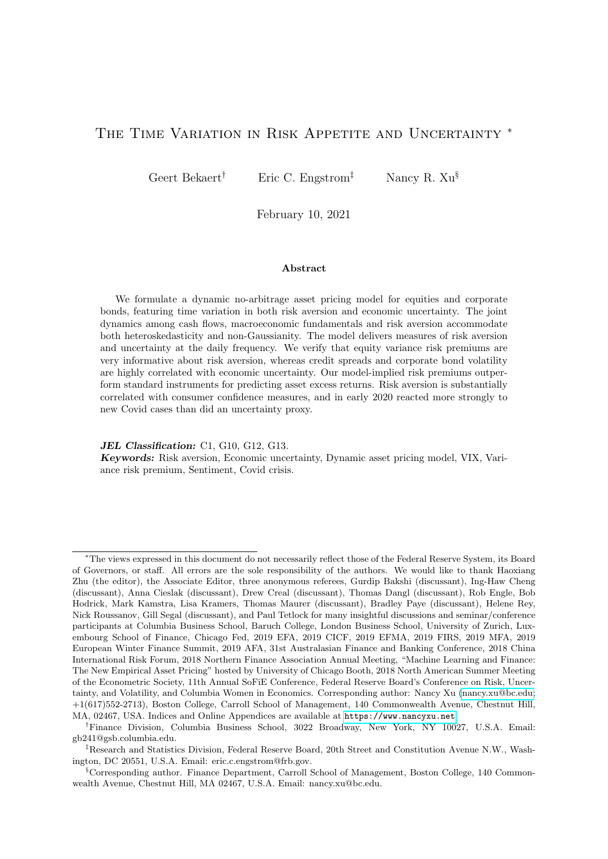tainty shock  $(\omega_{n;t+1})$ , the right-tail loss rate shock  $(\omega_{n;t+1})$ , and the risk aversion shock  $(\omega_{q;t+1})$ . Expected excess returns thus vary through time and are affine in  $p_t$ ,  $n_t$ ,  $lp_t$  (macroeconomic and cash flow uncertainties) and  $q_t$  (aggregate risk aversion).

The signs of state variable coefficients are also intuitive. For instance, because  $\widetilde{m}_1 = \begin{bmatrix} 0 & 0 & 0 & 1 & 0 \\ 0 & 0 & 1 & 0 & \gamma \end{bmatrix}^{\beta}$  and  $\Sigma_{\bullet 9} = \begin{bmatrix} 0 & 0 & 0 & 0 & 0 & 0 & 0 & 0 \\ 0 & 0 & 0 & 0 & 0 & 0 & \sigma_{qq} \end{bmatrix}^{\beta}$ ,  $\tilde{m}_1^{\dagger} \Sigma_{\bullet 9} = \gamma \sigma_{qq} > 0$ , where  $\gamma > 0$  follows from the concavity of the utility function and  $\sigma_{qq} > 0$ implies positive skewness of risk aversion in Equation [\(16\)](#page-9-0). It immediately implies that an asset with a negative return sensitivity to the risk aversion shock exhibits a higher risk premium when risk aversion is high. That is, for such an asset,  $\sigma_q(\tilde{r})$  $\mathbf{F}(t)$  < 0; then, it can be easily shown that  $\sigma_q(\widetilde{\bm{r}}^{\bm{i}})+\ln\bigg[\frac{1-q(\widetilde{\bm{m}}_{\bm{1}}+\widetilde{\bm{r}}^{\bm{i}})}{1-q(\widetilde{\bm{m}}_{\bm{1}})}\bigg]$  $\frac{1}{\cdot}$   $\left(\widetilde{\boldsymbol{m}}_1\right)$  $\int_{0}^{+\infty} \frac{1}{\ln \left( \frac{q(\widetilde{m}_{1} + \widetilde{r}^{i})}{q(\widetilde{m}_{1})} \right)} d_{q}(\widetilde{r}^{j}) \frac{q(\widetilde{r}^{i})}{1 - q(\widetilde{m}_{1})} > 0.$ <br>The physical conditional return variance,  $VAR_{t}^{i}$   $VAR_{t}(\widetilde{r}_{t+1}^{i})$ , and the one-period risk-

neutral conditional return variance,  $VAR_t^{i,Q}$   $VAR_t^Q(\tilde{r}_{t+1}^i)$ , are obtained as followss:

<span id="page-13-2"></span><span id="page-13-1"></span>
$$
VAR_t^i = \sum_{w = p; n; lp; q} \left( \sigma_w(\widetilde{r}^i) \right)^2 w_t + C(P^i); \tag{28}
$$

$$
VAR_t^{i,Q} = \sum_{w = p; n; lp; q} \left( \frac{\sigma_w(\widetilde{r}^i)}{1 - \sigma_w(\widetilde{m}_1)} \right)^2 w_t + C(Q^i); \tag{29}
$$

where  $C(P^i)$  and  $C(Q^i)$  are constants defined in the Online Appendix. The expected variances under both the physical measure and the risk-neutral measures are time-varying and affine in  $p_t, n_t, lp_t$  and  $q_t$ .

Note that the functions in Equation [\(29\)](#page-13-1) are affine transformations from the ones in Equation [\(28\)](#page-13-2), using the " $\sigma(\widetilde{m}_1)$ " functions. Under normal circumstances, we would expect that the relative importance of risk aversion  $(q_t)$  increases under the risk neutral measure. In Equation [\(29\)](#page-13-1), this intuition can be formally established as  $\sigma_q(\widetilde{\mathbf{m}}_1)$  is positive given our parameter choices. As derived above,  $\sigma_q(\tilde{m}_1) = \gamma \sigma_{qq}$  is strictly positive; therefore, as long as  $1 > 1$   $\gamma \sigma_{qq} > 0$ , the risk neutral variance should load more heavily on  $q_t$  than does the physical variance. The same risk transfer intuition does not necessarily hold for bad uncertainty  $n_t$ , because it does not only affect risk aversion (which it should affect with a positive coefficient), but also affects consumption growth through its effect on earnings growth and the consumption earnings ratio. In this case, given that  $\Sigma_{\bullet 2} = \begin{bmatrix} \sigma & 0 & \sigma_{nn} & \sigma & \sigma_{ln} & \sigma_{gn} & \sigma_{n} & \sigma_{n} & 0 & \sigma_{gn} \end{bmatrix}^{\theta}$ , the risk transfer coefficient  $\sigma_n(\widetilde{m}_1) = \widetilde{m}_1^{\dagger} \Sigma_{\bullet 2}$ , reduces to  $\sigma_n$   $\gamma(\sigma_{gn} + \sigma_n) + \gamma \sigma_{gn}$ . While a negative  $\sigma_{qn}$  (earnings growth loading negatively on bad uncertainty) and positive  $\sigma_{qn}$  suggest that risk neutral variances load more heavily on bad uncertainty, it is conceivable that consumption smoothing induces a positive  $\sigma$   $_n$ , which could potentially undo this effect.

# <span id="page-13-0"></span>3 Estimation of Macroeconomic and Cash Flow Dynamics

There are 10 state variables in the model, but only four latent state variables drive risk premiums and conditional physical and risk neutral variances in the model: two economic un-

<sup>&</sup>lt;sup>8</sup>Matrix  $\Sigma_{\bullet j}$  is the j-th column of the shock coefficient matrix in the state variable process, or  $\Sigma$  in Equation [\(20\)](#page-10-0).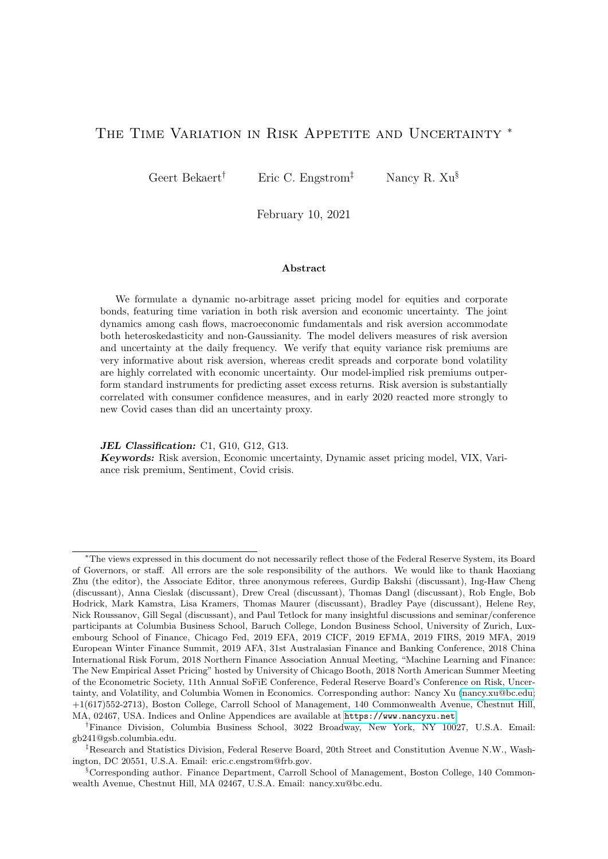certainty variables,  $p_t$  and  $n_t$ , cash flow uncertainty,  $lp_t$ , and risk aversion,  $q_t$ . While the total number of model parameters is large, most parameters describe the dynamics of the macroeconomic and cash flow state variables. Moreover, there is no feedback from risk aversion to other state variables. Thus, it is possible to estimate all parameters governing the exogenous macroeconomic factors and cash flow processes directly from macroeconomic and cash flow data, without using financial asset prices. While the richness of the assumed dynamics gives a maximal chance to uncertainty variables to drive asset price dynamics, our approach ensures that we do not impart unrealistic dynamics to the macro and cash flow environment. We first discuss the estimation of macroeconomic factors, then of the cash flow dynamics.

#### 3.1 The Macroeconomic Factors

Our output variable is the change in log real industrial production,  $\theta_t$ , where the monthly real industrial production index is obtained from the Federal Reserve Bank at St. Louis (from January 1947 to February 2015). The system for  $\theta_t$ , described in Equations [\(5\)](#page-6-1)–[\(9\)](#page-7-0), is estimated using [Bates \(2006\)](#page-44-16)'s approximate MLE procedure, which delivers both parameters and filtered state variables. We collect the three state variables in  $\chi_{\text{max}} = \left[\theta_t \hat{p}_t \hat{n}_t\right]^{\theta}$ , where a hat superscript is used to indicate estimated variables or matrices. Similarly, we denote the filtered shocks,  $\overrightarrow{\lambda} \text{mac}_t = \left[\widehat{\omega}_{p;t} \quad \widehat{\omega}_{n;t}\right]^{\theta}$ .

<span id="page-14-0"></span>Table 1: The Dynamics of the Macro Factors

This table reports parameter estimates of the industrial production growth process using the monthly log growth data  $\theta_{t+1}$  from January 1947 to February 2015 (source: FRED). The model involves two latent state variables: "good" economic uncertainty  $p_t$  and "bad" economic uncertainty  $n_t$ . The model is estimated using the MLE-filtration methodology described in [Bates \(2006\)](#page-44-16). The full dynamic processes of  $\theta_{t+1}$ ,  $p_{t+1}$  and  $n_{t+1}$  are described in Equations [\(5\)](#page-6-1)–[\(9\)](#page-7-0) in Section [2.](#page-4-0) Standard errors are displayed in parentheses. Note that the effective loading of  $\theta_{t+1}$  on  $\omega_{n,t+1}$  is -0.00174 and the estimate of  $\sigma_{\theta n}$  is 0.00174. Bold (italic) coefficients have  $\langle 5\% \rangle$  (10%) p-values.

|                          | $\theta_{t+1}$ | $p_{t+1}$   | $n_{t+1}$ |
|--------------------------|----------------|-------------|-----------|
| mean                     | 0.00002        | $500$ (fix) | 16.14206  |
|                          | (0.00045)      |             | (2.14529) |
| $\rho$                   | 0.13100        | 0.99968     | 0.91081   |
|                          | (0.03094)      | (0.01918)   | (0.01350) |
| $m_p$                    | 0.00001        |             |           |
|                          | (0.00034)      |             |           |
| $m_n$                    | $-0.00020$     |             |           |
|                          | (0.00002)      |             |           |
| $\omega_{p,t+1}$ loading | 0.00011        | 0.55277     |           |
|                          | (0.00001)      | (0.07073)   |           |
| $\omega_{n,t+1}$ loading | $-0.00174$     |             | 2.17755   |
|                          | (0.00014)      |             | (0.15027) |

The parameter estimates for the industrial production growth process are reported in Table [1.](#page-14-0) Industrial production growth features slight positive auto-correlation and high realizations of "bad" volatility decrease its conditional mean significantly. The  $p_t$  process is extremely persistent (almost a unit root) and nearly Gaussian, forcing us to fix its unconditional mean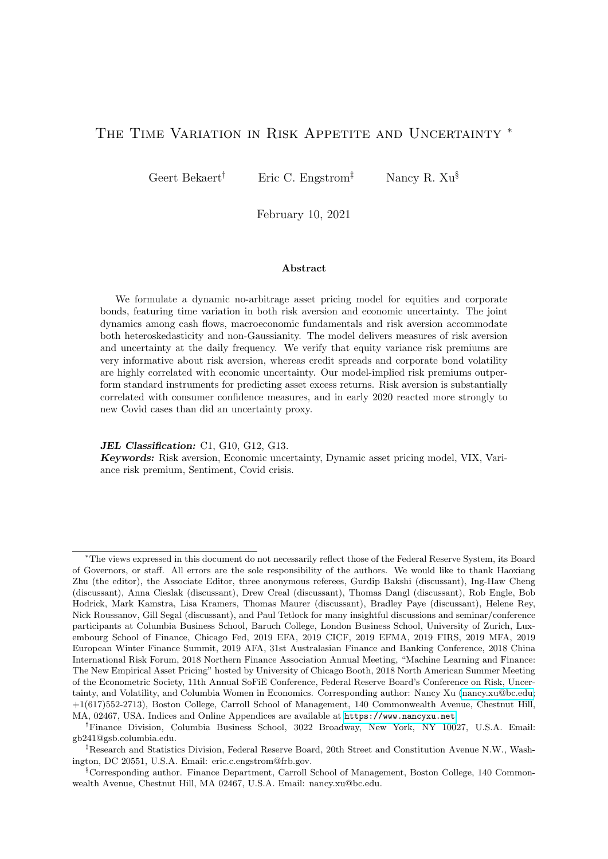at 500 (for such values, the skewness and kurtosis of shocks to  $p_t$  are effectively zero). The shape parameter  $n_t$  has a much lower mean, featuring gamma-distributed shocks  $\omega_{n,t+1}$  with an unconditional skewness coefficient of 0.50 ( $\frac{2}{16.14}$ ) and an excess kurtosis coefficient of 0.37  $\left(\frac{6}{16.14}\right)$ . It is also less persistent than the  $p_t$  process.

We graph the conditional mean of  $\theta_t$  and the  $p_t$  and  $n_t$  processes in Figure [1](#page-16-0) together with NBER recessions. The strong countercyclicality of the  $n_t$  process and the procyclicality of the conditional mean of the growth rate of industrial production are apparent from the graph. We also confirm the cyclicality by running a regression of the three processes (conditional mean,  $p_t$ , and  $n_t$ ) on a constant and a NBER dummy. The NBER dummy obtains a highly statistically significant positive (negative) coefficient for the  $n_t$  (conditional mean) equation. The coefficient is in fact positive in the  $p_t$  equation as well, but not statistically significant. In fact, the  $n_t$ regression with simply a NBER dummy features an adjusted  $R^2$  of almost 45%.

The conditional variance of industrial production and its conditional unscaled skewness are dominated by  $n_t$  and therefore highly countercyclical. Thus, exposure to such macroeconomic uncertainty may render asset risk premiums and variances countercyclical as well. The bottom plot in Figure [1](#page-16-0) graphs the conditional variance with a 90% confidence interval that embeds parameter uncertainty. The parameter uncertainty is determined by drawing 1,000 parameter sets from the asymptotic distribution of the parameter estimates and then re-apply the Bates filter to obtain alternative conditional variance estimates. The 90% intervals are quite tight as the median relative size of the standard error to the conditional variance is only  $18\%$ .<sup>[9](#page-0-0)</sup>

#### 3.2 Cash Flow Dynamics

Next, we must estimate the latent cash flow uncertainty factor  $lp_t$ , which determines the time variation in the conditional variance of the log corporate bond loss rate. The log corporate bond loss rate (l) requires data on default rates and recovery rates for the US corporate bond market. We obtain data on 3-month average all-corporate bond default rates from Moody's and monthly recovery rates spanning November 1980 to February 2015 from the Federal Reserve Board. We use 6 month moving averages of these raw data to compute the log loss rate representative for each month. The estimation of the loss rate process uses data from January 1982 to February 2015.

The dynamics of the variables are described in Equations  $(10)$ – $(13)$ . We again use [Bates](#page-44-16) [\(2006\)](#page-44-16)' approximate MLE to estimate the model parameters. Unlike the BEGE structure for real shocks, for the idiosyncratic loss rate shock, only the right-tail shock (i.e., the adverse tail) is heteroskedastic. We denote the estimated right-tail loss rate shape parameter as  $lp_t$ , and the loss rate shocks as  $\widehat{\omega}_{1p:t+1}$  and  $\widehat{\omega}_{1p:t+1}$ .

As shown in Table [2,](#page-17-0) the loss rate process is persistent with the autocorrelation coefficient close to 0.83. The  $p<sub>t</sub>$ -process does not significantly affect the loss rate process, either through the conditional mean or through shock exposures. However, the  $\omega_{n,t}$  shock has a statistically significant effect on the loss rate process; moreover  $n_t$  affects the loss rate's conditional mean with a statistically significant positive coefficient. The time-varying part of the conditional variance,

<sup>&</sup>lt;sup>9</sup>This computation does not take filter uncertainty into account.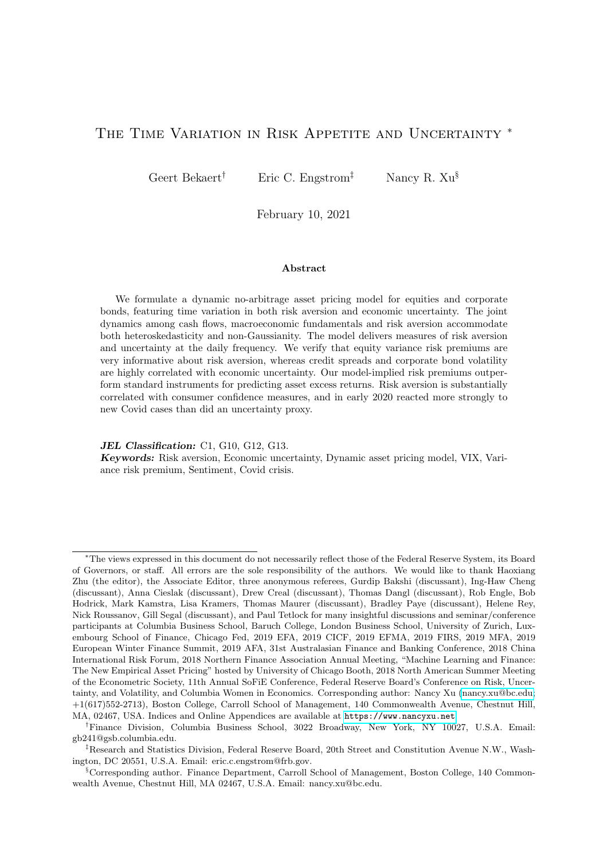

<span id="page-16-0"></span>Figure 1: Macroeconomic State Variables Filtered From Industrial Production Growth

From top to bottom: conditional mean (red) and actual monthly log growth rates (gray); good uncertainty state variable,  $p_t$ ; bad uncertainty state variable,  $n_t$ ; total conditional variance of  $\theta_{t+1}$ ,  $\sigma_{\theta p}^2 p_t + \sigma_{\theta n}^2 n_t$ , and a 90% confidence interval reflecting parameter uncertainty (obtained through bootstrapping). The plot covers the estimation period from January 1947 to February 2015, and the estimation results are displayed in Table [1.](#page-14-0) The shaded regions are NBER recession months from the NBER website.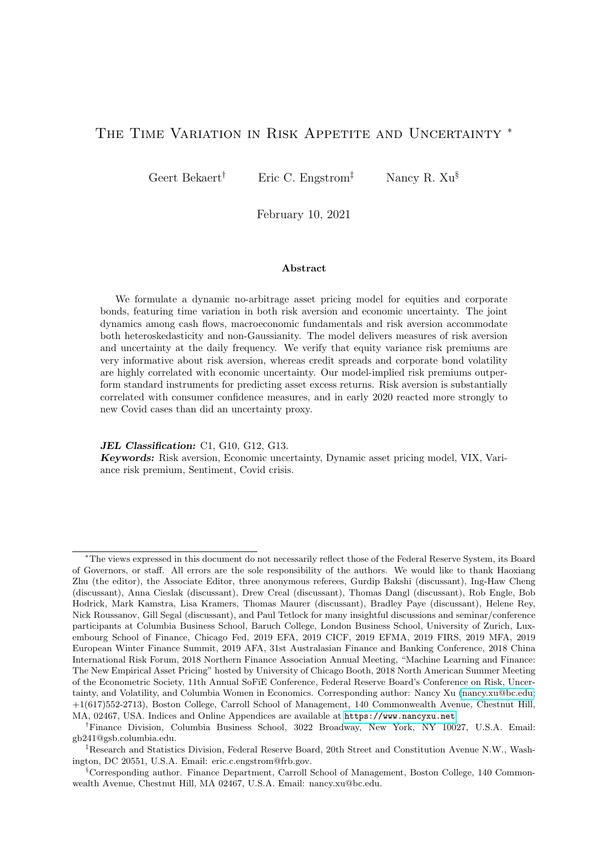#### <span id="page-17-0"></span>Table 2: The Dynamics of the Corporate Loss Rate

This table reports parameter estimates of the corporate loss rate process  $l_t = ln(L_t)$  using monthly data from June 1984 to February 2015. We obtain  $L_{t+1}$  using the identity  $L_{t+1}=DEF_{t+1}$   $(1$   $RECOV_{t+1}),$ where the default rate  $DEF_t$  and recovery rate  $RECOV_t$  are proxied by 6-month moving averages of 3-month average all-corporate bond default rates (source: Moody's) and monthly all-corporate bond recovery rates (source: FRED), respectively. The full dynamic processes of  $l_{t+1}$  and the cash flow uncertainty state variable  $lp_{t+1}$  are described in Equations [\(10\)](#page-8-2)–[\(13\)](#page-8-3) in Section [2.](#page-4-0) The conditional mean part of  $l_{t+1}$  is estimated by projection first, and then the variance equation by [Bates \(2006\)](#page-44-16)'s approximate MLE-filtration. Standard errors are displayed in parentheses. Bold (italic) coefficients have  $\langle 5\% \ (10\%)$  p-values.

| Mean:           |               |                           |                |  |  |  |  |  |
|-----------------|---------------|---------------------------|----------------|--|--|--|--|--|
| $l_{\Omega}$    | $\rho_{ll}$   | $m_{lp}$                  | $m_{ln}$       |  |  |  |  |  |
| $-0.0009$       | 0.8306        | 1.95E-06                  | 1.44E-04       |  |  |  |  |  |
| (0.0017)        | (0.0241)      | $(3.57E-06)$              | $(2.23E-05)$   |  |  |  |  |  |
|                 |               | Shock Sensitivities:      |                |  |  |  |  |  |
| $\sigma_{lp}$   | $\sigma_{ln}$ | $\sigma_{llp}$            | $\sigma_{lln}$ |  |  |  |  |  |
| $-4.36E-06$     | 0.0005        | 0.0006                    | 1.08E-04       |  |  |  |  |  |
| $(7.37E-06)$    | (0.0001)      | (0.0001)                  | $(5.78E-05)$   |  |  |  |  |  |
|                 |               | Shape Parameter Dynamics: |                |  |  |  |  |  |
| $\overline{lp}$ | $\rho_{lp}$   | $\sigma_{lplp}$           | ln             |  |  |  |  |  |
| 5.2153          | 0.8556        | 1.8615                    | 103.58         |  |  |  |  |  |
| (0.2566)        | (0.0126)      | (0.1809)                  | (1.2566)       |  |  |  |  |  |

 $lp_t$ , is persistent with an autoregressive coefficient of 0.86. The idiosyncratic shocks to the loss rate process also exhibit substantial excess kurtosis (unconditional kurtosis  $= 1.15$ ) and positive skewness (unconditional skewness  $= 0.90$ ). The gamma shock generating negative skewness, which has a time-invariant shape parameter, is nearly Gaussian, with the shape parameter exceeding 100, so that while it contributes to the variance of the loss rate, there is no meaningful negative skewness associated with this shock.

In Figure [2,](#page-18-0) we first plot the loss rate process l. The loss rate clearly spikes around recessions, from an overall average of 0.6% to 2.1% on average in recessions (the maximum value is 5.6% during February 2009). The conditional mean of the loss rate in fact inherits the countercyclicality of the loss rate itself, given the loss rate's high persistence and its positive dependence on  $n_t$ . Our model fits the positive skewness of the loss rate process through the positively skewed  $u'$  shocks and the positive dependence on  $\omega_p$ .

Next, in the second and third plots of Figure [2,](#page-18-0) we show the conditional higher-order moments of the loss rate process, including the  $lp_t$  process and the total conditional variance. While  $lp_t$  is overall countercyclical, it appears to peak a few months after recessions. The conditional variance in the third panel  $(Var<sub>t</sub>(l<sub>t+1</sub>))$  also appears countercyclical, which is the combined result of a countercyclical  $lp_t$  process and a strongly countercyclical  $n_t$  process ( $\sigma_{ln}$ ) being positive). In fact, a regression of  $lp_t$  on a constant and a NBER dummy, yields a NBER coefficient of 6.78 with a t statistic of 3.03, but the t statistic increases to 8.87 when regressing the total variance on the NBER dummy.

We decompose the total conditional variance of the loss rate in its contributions coming from shocks associated with  $lp_t$ ,  $p_t$  and  $n_t$  in the fourth plot of Figure [2.](#page-18-0) The dominant sources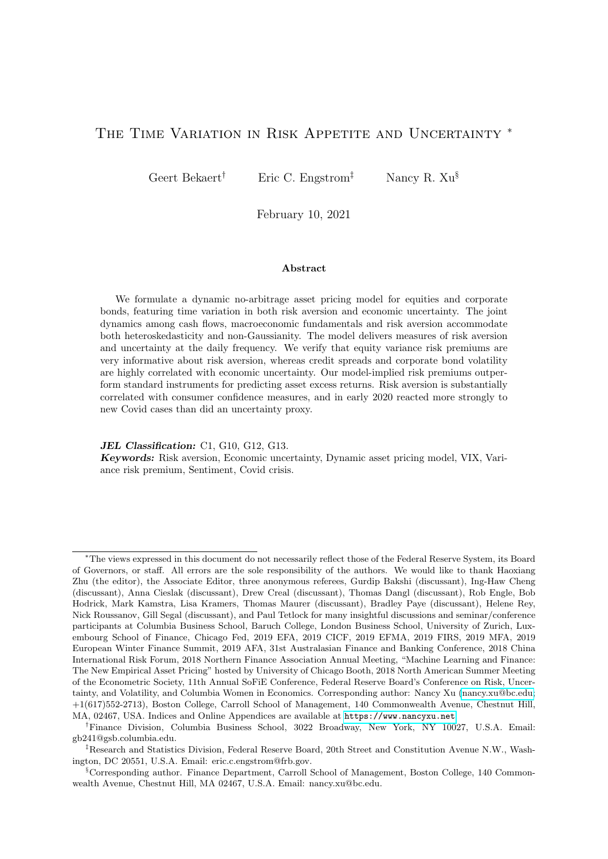

<span id="page-18-0"></span>Figure 2: The Dynamics and Properties of the Corporate Loss Rate

From top to bottom: loss rate  $l_{t+1}$ , the cash flow uncertainty state variable  $lp_t$ , the total conditional variance, and the total variance decomposition. From Equations  $(10)$ – $(13)$ , the dynamics of the loss rate total disturbance are determined by four independent gamma shocks  $(\omega_p, \omega_n, \omega_{lp})$  and  $\omega_{ln}$ ), and therefore its conditional variance components are additive; the fourth plot depicts the fractions of the total conditional variance explained by each of the four shocks at each point of time. The loss rate estimation uses the longest sample available from June 1984 to February 2015, and the estimation results are shown in Table [2.](#page-17-0) The shaded regions are NBER recession months from the NBER website.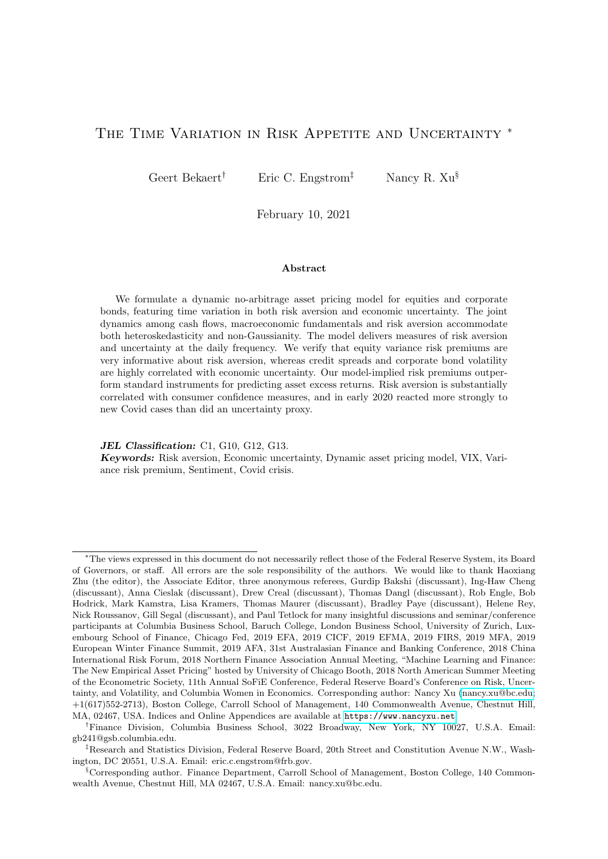of variation are  $lp_t$  (accounting for 29% of the total variance on average) and  $n_t$  (accounting for 40%). The relative importance of  $lp_t$  drops slightly in recessions while that of  $n_t$  increases, but peaks when the economy starts recovering, reaching as high as 93%. The  $p_t$  process has a negligible effect on the loss rate variance. Clearly, the loss rate variance has substantial independent variation not spanned by macroeconomic uncertainty.

With the loss rate process estimated, the dynamics of the other cash flow state variables (earnings growth, the consumption earnings ratio and the payout ratio) follow straightforwardly. We simply use linear projections of those variables onto the previously identified state variables and shocks. The data we use for these variables are standard and we relegate a discussion of the data sources and the empirical results to the Online Appendix. Noteworthy results are the strong cyclicality of earnings growth (see also [Longstaff and Piazzesi \(2004\)](#page-46-16)), primarily reflected in the positive dependence on industrial production growth and negative dependence on the loss rate, and the countercyclicality of the conditional means of the consumption-earnings and the dividend-earnings ratios. The latter is likely a natural result of consumption and dividend smoothing, relative to highly cyclical earnings.

# <span id="page-19-0"></span>4 Estimation of Risk Aversion

The remaining task is to identify the structural kernel parameters, including the risk aversion process parameters, and filter the latent risk aversion process. Our approach here is unusual in that we simultaneously estimate the structural parameters while spanning risk aversion with observable financial instruments, delivering a risk aversion process that can be measured at high frequencies. We first lay out the estimation strategy and methodology and then discuss the results.

## 4.1 Estimation Strategy

To retrieve risk aversion from the model and data on corporate bonds and equities, we exploit the fact that, under the null of the model, asset prices, risk premiums and variances are an exact function of the state variables, including risk aversion. It thus follows that risk aversion should be spanned by a set of asset prices and risk variables. Given our desire to generate a high frequency risk aversion index, we select these instruments to be observable at high frequencies and to reflect risk and return information for our two asset classes. In particular, we postulate

<span id="page-19-1"></span>
$$
q_t = \mathbf{z}_t,\tag{30}
$$

where  $z_t$  is a vector of 6 observed asset prices (and a vector of ones), including (1) the term spread (the difference between the 10-year Treasury yield and the 3-month Treasury yield, where the yield data is obtained from the Federal Reserve Bank of St. Louis); (2) the credit spread (the difference between Moody's Baa yield and the 10-year Treasury bond yield); (3) a "detrended" dividend yield or earnings yield (the difference between the raw dividend yield and a moving average term that takes the 5 year average of monthly dividend yields, starting one year before, or  $DY5yr_t = DY_t$   $\sum_{i=1}^{60} DY_t$  12 *i* where  $DY_t$  denotes the ratio of 12-month trailing dividends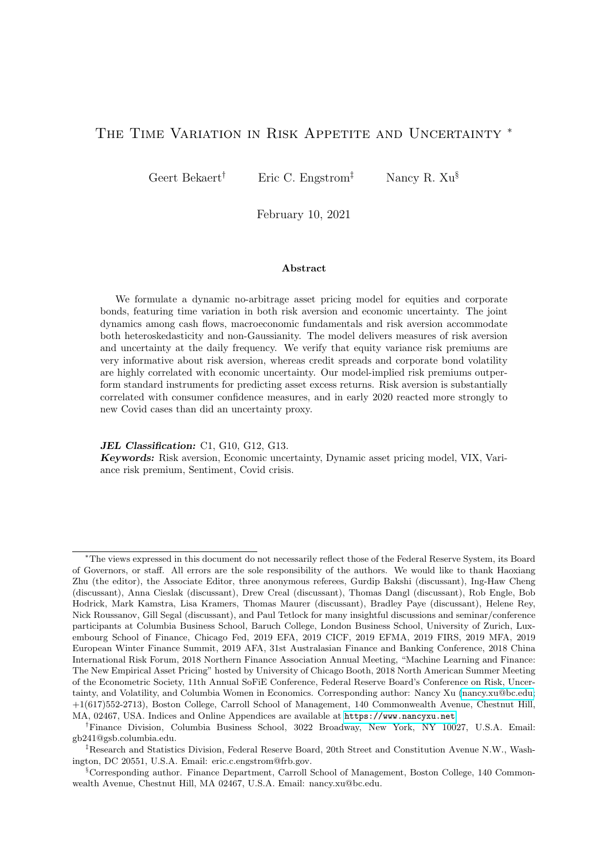and the equity market price);<sup>[10](#page-0-0)</sup> (4) the realized equity return variance; (5) the risk-neutral equity return variance; and (6) the realized corporate bond return variance. Realized return variances rely on return data. Daily equity returns are the continuously compounded value-weighted nominal market returns with dividends from CRSP; the daily corporate bond market return is the continuously compounded log change in the daily Dow Jones corporate bond total return index (source: Global Financial Data). The monthly realized variance is the sum of the squared daily equity or corporate bond returns within the same month. The monthly return  $(r^{eq})$  is the sum of daily returns within the same month. We use the square of the month-end VIX index (divided by 120000) as the one-period risk-neutral conditional variance of equity returns  $(QVAR^{eq})$  which is obtained from the Chicago Board Options Exchange (CBOE) and is only available from the end of January 1990. We use the VXO index prior to 1990, also from CBOE, going back to June 1986.

The instruments make economic sense. The term spread may reflect information about the macro-economy (see e.g. [Harvey \(1988\)](#page-45-16)) and was also included in the risk appetite index of [Bekaert and Hoerova \(2016\)](#page-44-4). The credit spread and cash flow yields contain direct price information from the corporate bond and equity market respectively and thus partially reflect information about risk premiums. Ideally, we would include information on both risk-neutral and physical variances for both equities and corporate bonds, but we do not have data on the risk neutral corporate bond return variance. We use the realized variance for both markets, rather than an estimate of the physical conditional variance, because realized variances are effectively observed, whereas conditional variances must be estimated. Given a loading vector , the risk aversion process can be computed daily from observable data.

We report some properties of these financial instruments in the Online Appendix and offer a summary here. First, all of the instruments are highly persistent. This high autocorrelation is the main reason we use a stochastically detrended dividend  $(AR(1)=0.982)$  or earnings yield  $(AR(1)=0.984)$  series rather than the actual dividend or earnings yield series.<sup>[11](#page-0-0)</sup> Second, the various instruments are positively correlated but the correlations never exceed 85%. Perhaps surprisingly, the term spread is also positively correlated with the other instruments, even though it is generally believed that high term spreads indicate good times, whereas the yield and variance instruments would tend to be high in bad times. Third, 4 of the instruments show significant positive skewness. This is consistent with our assumption that risk aversion is positively skewed through its gamma distributed shock (see Equation [\(17\)](#page-9-0)), and we need the linear spanning model to be consistent with the assumed dynamics for risk aversion. The term spread, and earnings yields are significantly negatively skewed so that a negative weight on one of them could also induce positive skewness in risk aversion, but their skewness coefficients are much smaller in magnitude.

To identify the risk aversion process and the parameters in the spanning condition, Equation [\(30\)](#page-19-1), we exploit the restrictions the model imposes on return risk premiums (equities and

<sup>10</sup>We create an analogous detrended earnings yield variable using earnings data.

<sup>&</sup>lt;sup>11</sup>The dividend yield shows a secular decline over part of the sample that induces much autocorrelation. This decline is likely due to the introduction of a tax policy favoring repurchases rather than dividends as a means of returning cash to shareholders, and therefore not likely informative about risk aversion (see e.g. [Boudoukh,](#page-45-17) [Michaely, Richardson, and Roberts](#page-45-17) [\(2007\)](#page-45-17)).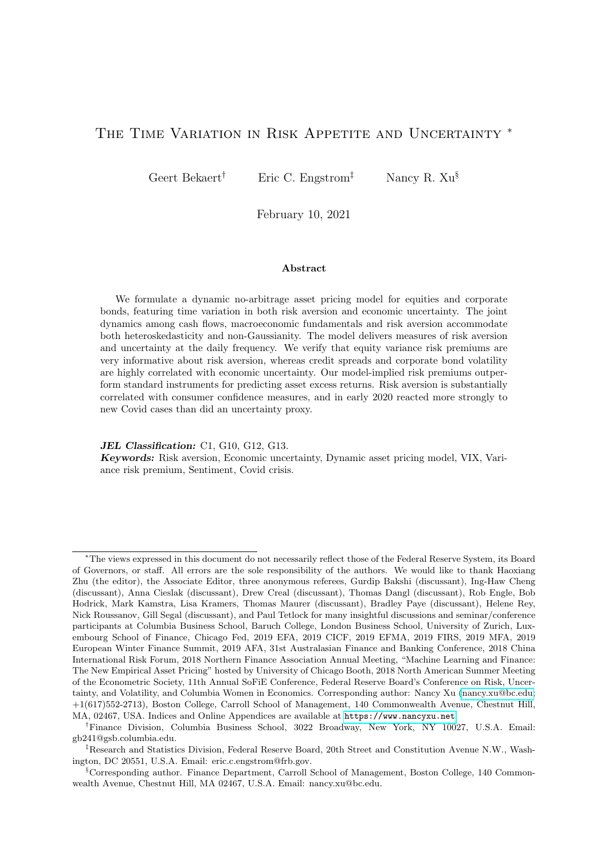corporate bonds), physical conditional variances (equities and corporate bonds) and risk neutral variances (for equities only). In terms of measurement, risk premiums are the monthly excess returns minus the one-month Treasury bill rate from the end of the prior month (source: CRSP). We project the monthly realized variance onto the lagged risk-neutral variance and the lagged realized variance to obtain the monthly one-period physical conditional variance  $PVAR^{eq}$ , analogous to [Bekaert, Hoerova, and Lo Duca \(2013\)](#page-44-8); the conditional corporate bond variance under the physical measure  $(PVAR^{c\theta})$  is the projection of monthly realized variance onto the lagged realized variance and the lagged credit spread.

Our procedure implies that our risk aversion estimate is forced to satisfy the properties of risk aversion implied by the model: it is an element of the pricing kernel, which must, in turn, correctly price asset returns and be consistent with properties of return volatility under both the physical and risk-neutral measures. To accomplish this formally, we adopt a GMM procedure.

## 4.2 Estimation Methodology

The estimation is a GMM system in which we use as instruments the same variables that are used to span risk aversion  $(Z_t)$ . For the GMM estimation, the sample spans the period from June 1986 to February 2015 (T=345 months). Apart from the parameters, we must also identify  $\gamma$ , the curvature parameter,<sup>[12](#page-0-0)</sup> and the scale parameter of the preference shock,  $\sigma_{qq}$ . Note that the level of risk aversion is also driven by the  $q_t$  process, so that  $\gamma$  may not be well-identified. Therefore, we impose  $\gamma = 2$ . The GMM system thus has 8 unknown parameters,

$$
\mathbf{\Theta} = [\chi_0, \chi_{\text{tsprd}}, \chi_{\text{csprd}}, \chi_{\text{CF5yr}}, \chi_{\text{rvareq}}, \chi_{\text{qvareq}}, \chi_{\text{rvarcb}}, \sigma_{\text{qq}}],
$$

where the notation is obvious, and  $CF5yr$  refers to either a detrended dividend or earnings yield ("DY5yr" or "EY5yr"). Before the moment conditions can be evaluated, we must identify the state variables and their shocks, the pricing kernel, and the return shocks. The estimation process consists of six steps: for each candidate  $\widehat{\Theta} = [\widehat{\phantom{a}}, \widehat{\sigma}_{qq}]$  vector,

1. Identify the implied risk aversion series given the loading choices,  $\hat{q}_t = \gamma z_t$ . Consistent with the theoretical habit motivation for  $q_t = \ln \left( \frac{C_t}{C_t} \right)$  $\left(\frac{C_t}{C_t - H_t}\right)$  (i.e.,  $\frac{C_t}{C_t - H_t} > 1$ ), and the statistical assumption for  $q_t$  (i.e., the shape parameter of the  $\omega_q$  shock  $> 0$ ), we impose a lower boundary of 10  $8$  on  $q_t$  during the estimation, which turns out to be non-binding.

2. Identify the state variable levels  $(Y_t)$  and shocks  $(\Sigma t_{t+1})$ . The parameters of the state variable processes,  $fY_t^{mac}$ ,  $Y_t^{fin}$  $\int_t^T \mathbf{f} \cdot d\mathbf{r}$ ,  $\pi_t, g_t, \kappa_t, \eta_t, g$ , are pre-determined (see Section [3\)](#page-13-0). To identify the risk aversion shock  $\hat{\omega}_{q,t+1}$ , we first project  $\hat{q}_{t+1}$  on  $\hat{q}_t$ ,  $\hat{p}_t$ ,  $\hat{n}_t$ ,  $\hat{\omega}_{p,t+1}$ ,  $\hat{\omega}_{q,t+1}$  and  $\hat{\omega}_{t+1}$ to obtain the residual term  $\hat{u}_{t+1}^q$ , and then divide it by  $\hat{\sigma}_{qq}$  (see Equation [\(17\)](#page-9-0)). Given  $\hat{\ }$ , a full set of state variables levels,  $\hat{\mathbf{Y}}_t$ , and eight independent shocks,  $\mathbf{F}_{t+1}$  including  $\hat{\omega}_{t+1}^q$ , are now identified.

3. Identify the nominal pricing kernel. Given  $\hat{q}_t$ ,  $\gamma$ , inflation and consumption growth as

<sup>&</sup>lt;sup>12</sup>Given our focus on risk premiums and volatility dynamics, the discount factor " $\degree$ " is not identified. When using the short rate to tie down its value, we estimate its value to be around 0.98. [Albuquerque, Eichenbaum,](#page-44-17) [Luo, and Rebelo](#page-44-17) [\(2016\)](#page-44-17) develop a model where variation in the discount factor plays a key role. In principle, we cannot exclude that our risk aversion shocks represent time variation in the discount factor, but we view this as very unlikely, given our external validation results discussed in Section [5.3.](#page-35-0)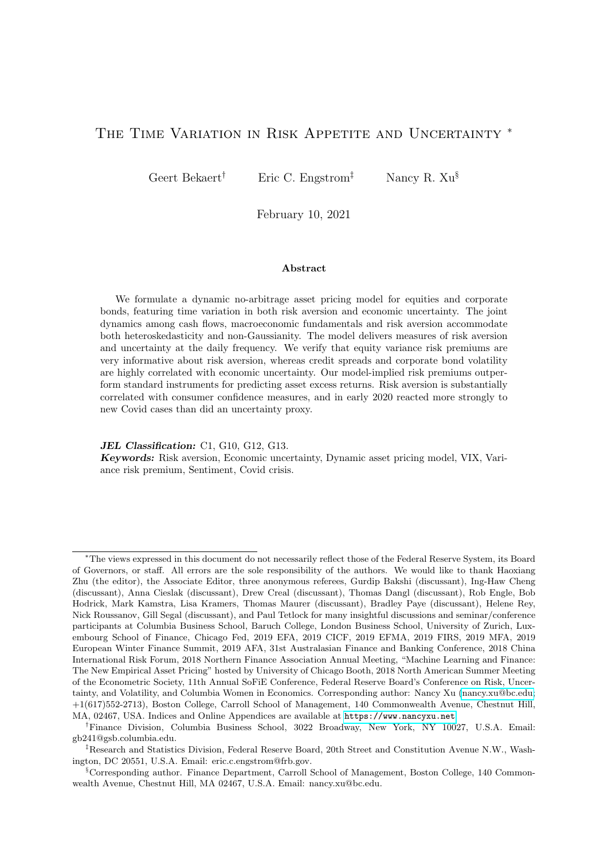the sum of real log earnings growth and the change in the log consumption-earnings ratio (i.e.,  $g_t + \Delta \kappa_t$ , the monthly nominal kernel is obtained:

$$
\widehat{\widetilde{m}}_{t+1} = \ln(\beta) \quad \gamma \Delta c_{t+1} + \gamma (\widehat{q}_{t+1} \quad \widehat{q}_t) \quad \pi_{t+1}.
$$

Constant matrices related to the log nominal kernel— $\widetilde{m}_0$ ,  $\widetilde{m}_1$ ,  $\widetilde{m}_2$  (as in the affine representation of the kernel; see Equation [\(23\)](#page-11-1))—are implicitly identified.

4. Estimate the return loadings. We project log nominal asset returns on the 10 1 state variable vector  $\hat{Y}_t$  and the 9 1 shock vector  $\hat{Y}_{t+1}$ :

<span id="page-22-0"></span>
$$
\widetilde{r}_{t+1}^j = \xi_0^j + \frac{\dot{n}}{1} \widehat{Y}_t + \widetilde{r}^{j\prime} \widehat{\Sigma} \widehat{Y}_{t+1} + \varepsilon_{t+1}^j, \tag{31}
$$

where  $\tilde{r}_{t+1}^i$  is the log nominal return for asset i,  $\hat{\Sigma}$  and  $\hat{r}_{t+1}$  are identified previously, and the asset-specific approximation error shock  $\varepsilon_{t+1}^i$  (see Equation [\(26\)](#page-12-0)) has mean 0 and variance  $\sigma_i^2$ .

5. Obtain the model-implied endogenous moments. We derive three moments for the asset returns: 1) the expected excess return implied by the model (using the pricing kernel),  $RP<sup>i</sup>$ ; 2) the physical (conditional expected) return variance,  $VAR<sup>i</sup>$ , which only depends on the return definition in Equation [\(31\)](#page-22-0) and 3) the risk neutral conditional variance,  $VAR^{i,Q}$ , which also uses the pricing kernel. The expressions for these variables are derived in Equations [\(27\)](#page-12-1)–[\(29\)](#page-13-1).

6. Obtain the moment conditions  $\mathbf{H}(\Theta; \Psi_t)$ . Given data on asset returns and options, we use the derived moments to define 7 error terms that can be used to create GMM orthogonality conditions. There are three types of errors we use in the system. First, neither risk premiums nor physical conditional variances are observed in the data, but we use the restriction that the observed returns/realized variances minus their expectations under the null of the model ought to have a conditional mean of zero:

$$
\mathbf{r}_{1}(\mathbf{\Theta};\Psi_{t}) = \begin{bmatrix} \begin{pmatrix} \tilde{r}_{t+1}^{eq} & \tilde{r}\tilde{f}_{t} \end{pmatrix} & \widehat{RP}_{t}^{eq} \\ RVAR_{t+1}^{eq} & \Psi AR_{t}^{eq} \\ \begin{pmatrix} \tilde{r}_{t+1}^{cb} & \tilde{r}\tilde{f}_{t} \end{pmatrix} & \widehat{RP}_{t}^{cb} \\ RVAR_{t+1}^{cb} & \Psi AR_{t}^{cb} \end{bmatrix}, \tag{32}
$$

where  $\tilde{r}_{t+1}^i$  is the realized nominal return from t to  $t + 1$ ,  $\tilde{r}_t$  is the nominal short rate, and  $RVAR_{t+1}^i$  is the realized variance from t to  $t + 1$ ;  $\Psi_t$  denotes the information set at time t. Because the risk neutral variance can be measured from options data, we use the error:

$$
\varepsilon_2(\mathbf{\Theta}; \Psi_t) = \left[QVAR_t^{eq} \quad \Psi AR_t^{eq;Q}\right],\tag{33}
$$

where  $QVAR_t^{eq}$  is the ex-ante risk-neutral variance of  $r_{t+1}^{eq}$ . We assume that  $\varepsilon_2(\Theta; \Psi_t)$  reflects model and measurement error, orthogonal to  $\Psi_t$ . Finally, we also construct two moment conditions to identify  $\sigma_{qq}$ , exploiting the model dynamics for  $u_{t+1}^q$  (i.e., the shock to the risk aversion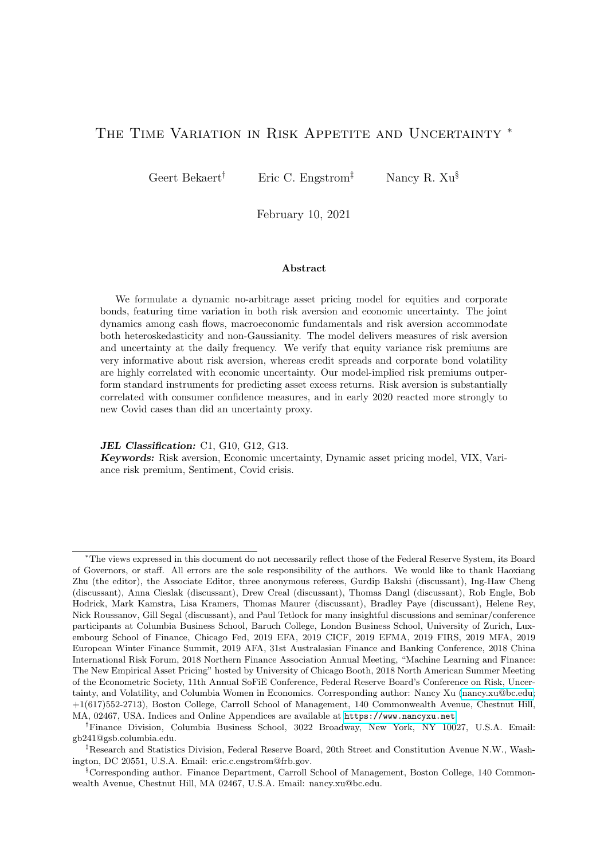process as in Equation [\(16\)](#page-9-0)):

$$
\mathbf{a}_3(\mathbf{\Theta}; \Psi_t) = \begin{bmatrix} (\widehat{u}_{t+1}^q)^2 & (\widehat{\sigma}_{qq})^2 \widehat{q}_t \\ (\widehat{u}_{t+1}^q)^3 & 2(\widehat{\sigma}_{qq})^3 \widehat{q}_t \end{bmatrix}
$$
(34)

Let  $\mathbf{u}_{1,2}(\Theta; \Psi_t) = \begin{bmatrix} u_1(\Theta; \Psi_t)^{\theta} & \varepsilon_2(\Theta; \Psi_t) \end{bmatrix}$ . Under our assumptions these errors are mean zero given the information set,  $\Psi_t$ . We can therefore use them to create the usual GMM moment conditions. Given our previously defined set of instruments,  $z_t$  (7 1, including a vector of 1's), we define the moment conditions as:

$$
E\left[\boldsymbol{g_t}(\boldsymbol{\Theta}; \Psi_t, \boldsymbol{z_t})\right] \quad E\left[\begin{array}{c} \frac{\boldsymbol{v_{1,2}}(\boldsymbol{\Theta}; \Psi_t)}{5} & \boldsymbol{z_t} \\ \frac{\boldsymbol{v_{3}}(\boldsymbol{\Theta}; \Psi_t)}{2.1} & \boldsymbol{z_t} \\ \frac{\boldsymbol{v_{3}}(\boldsymbol{\Theta}; \Psi_t)}{2.1} & \boldsymbol{z_t} \end{array}\right] = \boldsymbol{0} \tag{35}
$$

Note that to keep the set of moment conditions manageable, we only use two moment conditions for the identification of  $\sigma_{qq}$ . Denote  $g_t(\Theta; \Psi_t, z_t)$  (37 – 1) as the vector of errors at time t, and  $g_T(\Theta; \Psi, z)$  (37 1) the sample mean of  $g_t(\Theta; \Psi_t, z_t)$  from  $t = 1$  to  $t = T$ . Then, the GMM objective function is,

$$
J(\Theta; \Psi, z) \quad Tg'_{\mathcal{T}}(\Theta; \Psi, z) Wg_{\mathcal{T}}(\Theta; \Psi, z),
$$

where  $W$  is the weighting matrix. We use the standard GMM procedure, first using an identity weighting matrix, yielding a first stage set of parameters  $\widehat{\Theta}_1$ . We then compute the optimal weighting matrix as the inverse of the spectral density at frequency zero of the orthogonality conditions,  $\hat{S}_1$ , using 5 [Newey and West \(1987\)](#page-46-18) lags:

$$
\widehat{\mathbf{S}}_1 = \sum_{j=5}^{j=5} \frac{5}{5} \frac{jj}{5} \widehat{E}[\mathbf{g_t}(\widehat{\boldsymbol{\Theta}}_1; \Psi_t, \mathbf{z_t}) \mathbf{g_{t-j}}(\widehat{\boldsymbol{\Theta}}_1; \Psi_{t-1}, \mathbf{z_{t-1}})^{\theta}]. \tag{36}
$$

Then, the inverse of  $\hat{S}$  is shrunk towards the identity matrix with a shrinkage parameter of 0.1 in obtaining the second-step weight matrix  $W_2$ :

$$
W_2 = 0.9\hat{S}^{-1} + 0.1I_{37 \times 37},\tag{37}
$$

where  $I_{37\times37}$  is a identity matrix of dimension 37 37. This gives rise to a second-round  $\hat{\Theta}_2$  estimator. To ensure that poor first round estimates do not affect the estimation, we conduct one more iteration with shrinkage, compute  $\hat{S}_2(\hat{\Theta}_2)$ , and produce a third-round GMM estimator,  $\Theta_3$ . Lastly, the asymptotic distribution for the third-step GMM estimation parameter is,  $\sqrt{\overline{T}}(\widehat{\Theta}_3)$  $\overline{T}(\widehat{\Theta}_3 \quad \Theta_0)$  !  $N(0, \text{Avar}(\widehat{\Theta}_3))$ , where  $\text{Avar}(\widehat{\Theta}_3) = (G'_{\mathcal{T}}(\widehat{\Theta}_3)\widehat{S}_2^{-1}G_{\mathcal{T}}(\widehat{\Theta}_3))$ <sup>1</sup> and where  $G_T$  denotes the gradient of  $g_T$ .

Because the estimation involves several steps and is quite non-linear in the parameters, we increase the chance of finding the true global optimum by starting from 24,000 different starting values for  $\hat{ }$  drawn randomly from a large set of possible starting values for each parameter. The global optimum is defined as the parameter estimates generating the lowest minimum objective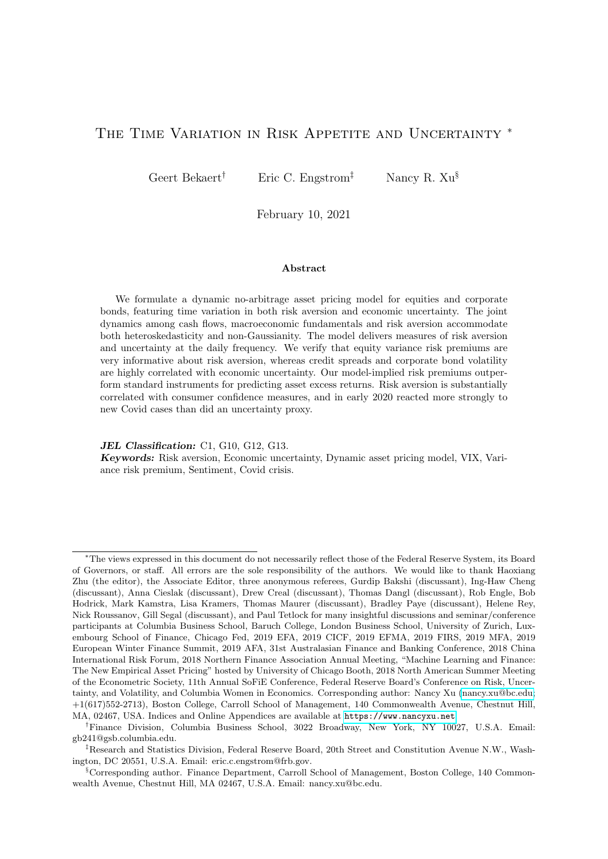function value.

### 4.3 Risk Aversion Estimation Results

Table [3](#page-24-0) reports the parameter estimates in the spanning relation. The system estimates 8 parameters with 37 moment conditions. The test of the over-identifying restrictions fails to reject at the 5% level but rejects at the 10% level. (We investigate the fit of the model along various dimensions in more detail later.) Except for the term spread, all instruments are significant at the 10% level or better. The positive coefficient on the risk neutral and the negative coefficient on the physical realized equity return variances is consistent with the idea that the variance risk premium (the difference between the two) may be quite informative about risk aversion in financial markets (see also [Bekaert and Hoerova \(2016\)](#page-44-4)). To translate the coefficients into statistics of economic importance, we also report a variance decomposition, reporting the ratio of the covariance of the estimated coefficient times the instrument with risk aversion over the variance of risk aversion (these statistics sum up to 100%). Jointly the realized and risk neutral variance account for 65% of the total risk aversion variation; the credit spread and the realized corporate bond variance for about 35%. The implied risk aversion process shows a 0.45 correlation with the NBER indicator and is thus highly counter-cyclical.

#### <span id="page-24-0"></span>Table 3: Risk Aversion Spanning Parameters

This table presents the GMM estimation results for risk aversion,  $q_t = \gamma z_t$ , using equity market and corporate bond market asset moments. The GMM system also consistently estimates  $\sigma_{qq}$ , and has a total of 8 unknown parameters. The p-value of Hansen's over-identification test (J test) is calculated from the asymptotic  $\chi^2$  distribution with the degree of freedom being 29 (37-8). Variance decomposition, or "VARC", of a linear variable  $z_t$  is obtained by  $\chi_z \frac{cov(q_t, z_t)}{var(q_t)}$  $\frac{\partial v(q_t, z_t)}{\partial u(q_t)}$  100% (the sum=100%). Efficient standard errors are shown in parentheses. Bold (italic) coefficients have  $\langle 5\% \rangle$  (10%) p-values. The sample period is 1986/06 to 2015/02 (345 months).

|                       | A. Estimation Results                                                                                                     |           |         |                          |            |         |          |  |
|-----------------------|---------------------------------------------------------------------------------------------------------------------------|-----------|---------|--------------------------|------------|---------|----------|--|
|                       | Constant<br>$\chi_{tsprd}$<br>X <sub>rv</sub><br>$\chi$ EY5 $yr$<br>$\chi_{csprd}$<br>Xruareq<br>$\chi_{\textit{quareq}}$ |           |         |                          |            |         |          |  |
| Est                   | 0.050                                                                                                                     | $-0.753$  | 7.166   | 0.763                    | $-16.984$  | 54.038  | 118.248  |  |
| SE                    | (0.014)                                                                                                                   | (0.566)   | (1.030) | (0.291)                  | (0.490)    | (1.753) | (10.826) |  |
| VARC                  |                                                                                                                           | $-0.90\%$ | 23.30\% | 2.18\%                   | $-34.12\%$ | 98.93%  | 10.62%   |  |
|                       |                                                                                                                           |           |         | <b>B.</b> Specifications |            |         |          |  |
| $\rho(q_t, NBER_t)$ : |                                                                                                                           | 0.454     |         | Hansen's J:              |            | 41.1254 |          |  |
| SE:                   |                                                                                                                           | (0.043)   |         | p-value:                 |            | 0.0671  |          |  |

In Table [4,](#page-25-0) we estimate the dynamic properties of the risk aversion process according to Equation [\(16\)](#page-9-0). All the parameters are estimated by OLS, except for the  $\sigma_{qq}$  parameter, which is delivered by the GMM estimation. The process shows moderate persistence (an autocorrelation coefficient of 0.74), and the conditional mean also shows significant positive loadings on  $p_t$  and  $n_t$ . However,  $q_t$  and  $n_t$  account for 84% and 16% of the variation in the conditional mean, respectively. Risk aversion shocks do not load significantly on the macroeconomic shocks and therefore most of their variation is driven by the risk aversion specific shock. These results suggest that economic models that impose a very tight link between aggregate fundamentals and risk aversion, such as pure habit models [\(Campbell and Cochrane \(1999\)](#page-45-0)) are missing important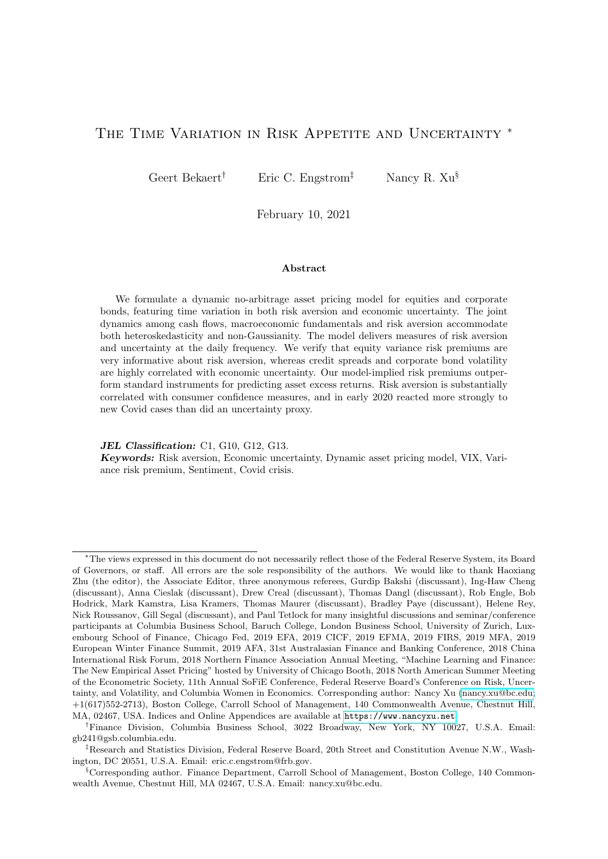#### <span id="page-25-0"></span>Table 4: Structural Risk Aversion Parameters

This table presents the model-implied risk aversion process parameters. In the first panel, parameter estimates are obtained either from simple projection or from the GMM estimation. The second and third panels report the variance decomposition results of the conditional mean and shock structure of  $\hat{q}_{t+1}$ , respectively. In the second panel, VARC of a linear variable x with coefficient  $\beta_x$  is as follows,  $VARC = \beta_x \frac{cov(\widehat{y},x)}{var(\widehat{w})}$  $\hat{y} = \hat{y}$ ; where  $\hat{y} = E_t(\hat{q}_{t+1})$ ; VARC in the third panel uses  $\hat{y} = \hat{q}_{t+1}$   $E_t(\hat{q}_{t+1})$ . Robust  $\hat{y}$  and other can also the set of the set of  $(10\%)$ and efficient standard errors are shown in parentheses. Bold (italic) coefficients have  $\langle 5\% \rangle (10\%)$ p-values. The sample period is 1986/06 to 2015/02 (345 months).

$$
\begin{aligned}\n\hat{q}_{t+1} &= q_0 + \rho_{qq}\hat{q}_t + \rho_{qp}\hat{p}_t + \rho_{qn}\hat{n}_t + \sigma_{qp}\hat{\omega}_{p,t+1} + \sigma_{qn}\hat{\omega}_{n,t+1}\sigma_{qg}\hat{\omega}_{g,t+1} + \sigma_{q\kappa}\hat{\omega}_{\kappa,t+1} + u_{t+1}^q, \\
u_{t+1}^q &= \sigma_{qq}\omega_{q,t+1}, \\
\omega_{q,t+1} &= \widetilde{\Gamma}(q_t,1).\n\end{aligned}
$$

|                 | Structual Risk Aversion Parameters, $q_{t+1}$ |           |                                                                 |          |                  |                  |                  |                       |                  |
|-----------------|-----------------------------------------------|-----------|-----------------------------------------------------------------|----------|------------------|------------------|------------------|-----------------------|------------------|
|                 |                                               |           |                                                                 |          | Projection       |                  |                  |                       | <b>GMM</b>       |
|                 | Constant                                      | $p_t$     | $n_{t}$                                                         | $q_t$    | $\omega_{p,t+1}$ | $\omega_{n,t+1}$ | $\omega_{q,t+1}$ | $\omega_{\kappa,t+1}$ | $\omega_{q,t+1}$ |
| Est             | $-0.0503$                                     | 0.0003    | 0.0036                                                          | 0.7387   | 0.0004           | 0.0004           | $-0.0002$        | $-0.0040$             | 0.1417           |
| $(\mathrm{SE})$ | (0.0538)                                      | (0.0001)  | (0.0007)                                                        | (0.0351) | (0.0002)         | (0.0022)         | (0.0069)         | (0.0069)              | (0.0020)         |
|                 |                                               |           | Conditional Mean Variance Decomposition (75% of Total Variance) |          |                  |                  |                  |                       |                  |
|                 |                                               | $p_t$     | $n_{t}$                                                         | $q_t$    |                  |                  |                  |                       |                  |
| VARC            |                                               | $-0.01\%$ | $16.21\%$                                                       | 83.81\%  |                  |                  |                  |                       |                  |
|                 |                                               |           | Shock Structure Variance Decomposition (25% of Total Variance)  |          |                  |                  |                  |                       |                  |
|                 |                                               |           |                                                                 |          | $\omega_{p,t+1}$ | $\omega_{n,t+1}$ | $\omega_{q,t+1}$ | $\omega_{\kappa,t+1}$ | $\omega_{q,t+1}$ |
| VARC            |                                               |           |                                                                 |          | $0.86\%$         | $0.00\%$         | $-0.01\%$        | $0.17\%$              | 99.14\%          |

variation in actual risk aversion. In addition, risk aversion is much less persistent than the risk aversion implied by these models; the autocorrelation coefficient of the surplus ratio process in the CC model is 0.99 at the monthly level, compared to 0.74 for  $q_t$ . This result is not preordained as many of the financial instruments spanning risk aversion are highly persistent, with the earnings yield being most persistent. In CC, the dividend yield is a sufficient statistic for risk aversion. Our results suggest that, in the context of our model, a measure of risk aversion that depends solely on the dividend yield would not fare well with respect to the moments that we fit in the GMM step.

Table [5](#page-26-1) examines in more detail how well the estimated dynamic system fits critical asset price moments in the data. The moments are reported in monthly units; for example, the monthly equity premium produced by the model is 80 basis points. All model moments are within two standard errors of the data moments and most are within one standard error of the data moment.<sup>[13](#page-0-0)</sup> The model over-estimates the equity premium but is still close to within one standard error of the data moment. The corporate bond risk premium is 10 basis points higher than the data moment. The model implied variance moments are all quite close to their empirical counterparts. Finally, the table also reports the model-implied variance and unscaled

 $13$ Bootstrapped standard errors for the five asset price moments (equity risk premium, equity physical variance, equity risk-neutral variance, corporate bond risk premium, and corporate bond physical variance) use different block sizes to accommodate different serial auto-correlations, to ensure that the sampled blocks are approximately i.i.d.. Following [Politis and Romano](#page-46-19) [\(1995\)](#page-46-19) and [Politis and White](#page-46-20) [\(2004\)](#page-46-20), we look for the smallest integer after which the correlogram appears negligible, where the significance of the autocorrelation estimates is tested using the Ljung-Box Q Test [\(Ljung and Box](#page-46-21) [\(1978\)](#page-46-21)).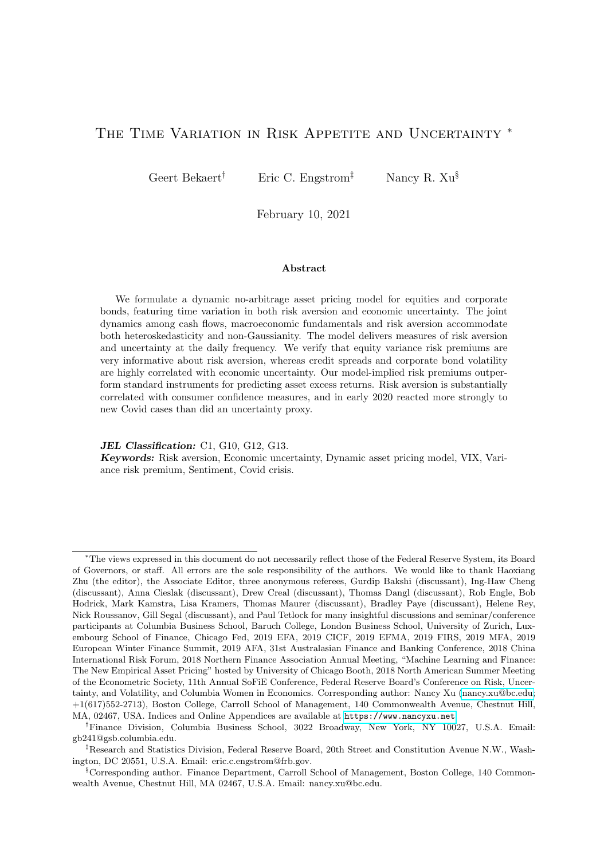skewness of the risk aversion innovation,  $\sigma_{qq}^2 q_t$  and  $2\sigma_{qq}^3 q_t$  (respectively).

The model endogenously generates the implied risk neutral variance, which can be compared with the actual risk neutral variance. The two series are 87.9% correlated, which represents a remarkable fit, but the model does fail to match some distinct spikes of the VIX in several crisis periods (see Figure F.2 in the Online Appendix).

### <span id="page-26-1"></span>Table 5: Fit of Moments

This table evaluates the fit of conditional moments of equity and corporate bond returns. Column "Model" reports the averages of the relevant model-implied conditional moments. The "Empirical Averages" represent the sample averages of the excess returns (for "Mom 1" and "Mom 4"), the sample averages of empirical conditional variances (for "Mom 2", "Mom 3", and "Mom 5"). For "Mom 6" and "Mom 7", "Risk Aversion Innovation" refers to  $u_{t+1}^q$  in Equation [\(16\)](#page-9-0); the variance and unscaled skewness rows compare the average model-implied conditional moments with the unconditional moments. Block bootstrapped standard errors are shown in parentheses; we allow the block size to vary for different moments to accommodate different levels of persistence: block sizes=[0 6 15 1 10] for Mom 1 to Mom 5, respectively. Asymptotic standard errors are reported for Mom 6 and Mom 7. Bold numbers denote a distance of less than 1.645 standard errors from the corresponding empirical point estimates. The sample period is 1986/06 to 2015/02 (345 months).

|       | Moment                                     | Model          | Empirical Average | Boot.SE/SE |
|-------|--------------------------------------------|----------------|-------------------|------------|
| Mom 1 | Equity Risk Premium                        | 0.00800        | 0.00530           | (0.00246)  |
| Mom 2 | Equity Physical Variance                   | 0.00325        | 0.00286           | (0.00051)  |
| Mom 3 | Equity Risk-neutral Variance               | 0.00393        | 0.00397           | (0.00049)  |
| Mom 4 | Corporate Bond Risk Premium                | <i>0.00488</i> | 0.00388           | (0.00050)  |
| Mom 5 | Corporate Bond Physical Variance           | 0.00023        | 0.00024           | (0.00003)  |
| Mom 6 | Risk Aversion Innovation Variance          | 0.00783        | 0.00843           | (0.00163)  |
| Mom 7 | Risk Aversion Innovation Unscaled Skewness | 0.00222        | 0.00164           | (0.00078)  |

## 4.4 Robustness

Online Appendix G considers several robustness checks to our main estimation. We consider different values for gamma (1.1; 3.5 or estimated), consider setting  $p_t$  constant at 500 (given its minor role in asset pricing dynamics), and consider  $q_t$  loading on only  $p_t$  and  $n_t$  rather than all macro-shocks. It turns out that  $\gamma$  is estimated to be 2.124. While some of the spanning parameters change across different specifications, the resulting risk aversion process is highly correlated with the one analyzed in this article. The one exception is the model with  $\gamma=3.5$ , where the risk aversions process is only 72% correlated with the reported one, but this model is rejected by Hansen's J-test and fails to fit the key corporate bond moments. We conclude that our current estimation is robust to slight specification variations.

# <span id="page-26-0"></span>5 Risk Aversion, Uncertainty and Asset Prices

In this section, we first characterize the link between risk aversion and macroeconomic uncertainty, and asset prices. Then, we present external validation evidence of our risk aversion measure.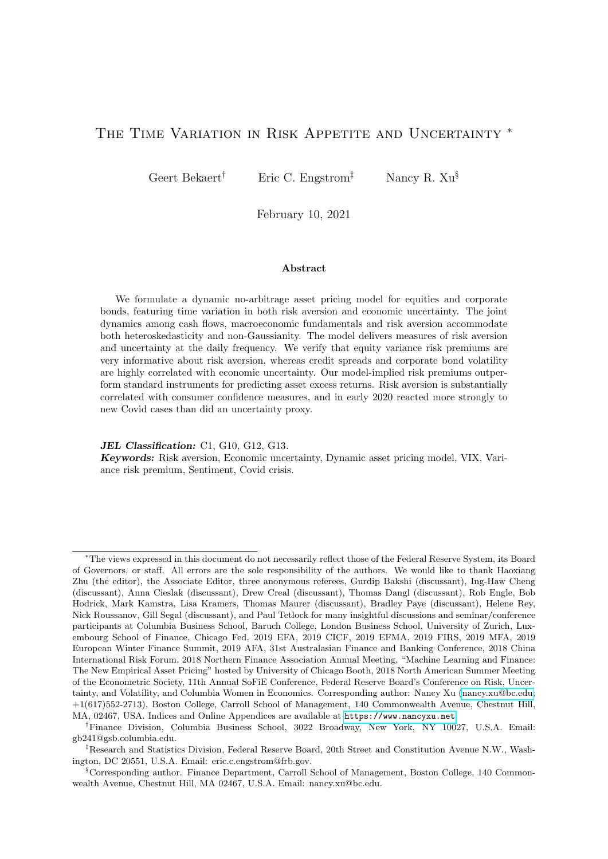

<span id="page-27-0"></span>Figure 3: Risk Aversion Index and Uncertainty Index

The risk aversion index is denoted as  $ra_t^{BEX} = \gamma \exp(q_t)$  and the uncertainty index is denoted as  $unc_t^{BEX}$ . Both  $q_t$  and  $unc_t^{BEX}$  are linear functions of a set of financial instruments as in Equations [\(30\)](#page-19-1) and [\(39\)](#page-32-0), respectively. The utility curvature parameter  $\gamma$  is 2. The correlation between the two series is 81.70%. The gray region denotes 90% confidence intervals around the point estimates. These intervals are computed using the asymptotic variance-covariance matrix of the spanning coefficients and the Delta method. The shaded regions are NBER recession months from the NBER website.

## 5.1 Risk Aversion, Uncertainty and Asset Returns

Figure [3](#page-27-0) graphs the risk aversion process (top plot),  $ra_t^{BEX}$ , which in our model equals  $ra_{t}^{BEX} = \gamma \exp(q_{t}).$  The gray lines around the estimates represent a 90% confidence interval, reflecting the sampling error in the coefficient estimates.<sup>[14](#page-0-0)</sup>

Clearly, these intervals are extremely tight. The weak countercyclicality of the process is immediately apparent with risk aversion spiking in all three recessions, but also showing distinct peaks in other periods. The highest risk aversion of 8.03 is reached at the end of October in 2008, at the height of the Great Recession. However, the risk aversion process also peaks in the October 1987 crash, the August 1998 crisis (Russia default and LTCM collapse), after the TMT

<sup>&</sup>lt;sup>14</sup>We use the asymptotic covariance matrix from the GMM estimation and the Delta method to obtain these intervals.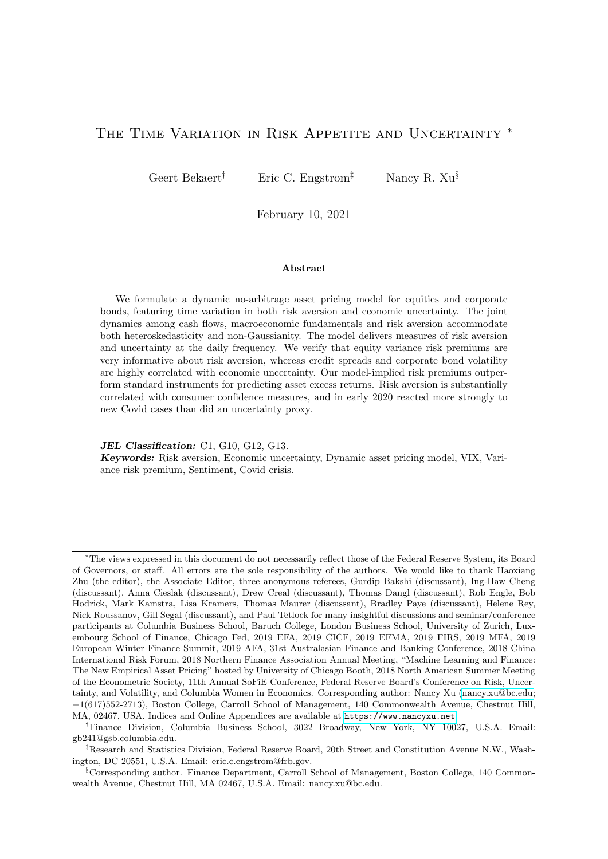bull market ended in August 2002 and in August 2011 (Euro area debt crisis).

How important is risk aversion for asset prices? In our model, the priced state variables for risk premiums and variances are those entering the conditional covariance between asset returns and the pricing kernel and therefore are limited to risk aversion  $q_t$ , the macroeconomic uncertainty state variables,  $p_t$  and  $n_t$  and the loss rate variability  $lp_t$ . In Table [6,](#page-28-0) we report the loadings of risk premiums and variances on the 4 state variables. To help interpret these coefficients, we scaled the projection coefficients by the standard deviation of the state variables so that they can be interpreted as the response to a one standard deviation move in the state variable. For the equity premium, by far the most important state variable is  $q_t$  which has an effect more than 10 times larger than that of  $n_t$ . The effects of  $p_t$  and  $lp_t$  are trivially small. The economic effect of a one standard deviation change in  $q_t$  is large representing 51 basis points at the monthly level (this is a bit lower than the average monthly equity premium). For the corporate bond premium,  $n_t$  and  $q_t$  are again the most important state variables. A one standard deviation increase in  $n_t$  increases the monthly corporate bond risk premium by 4 basis points, representing more than 10% of the average monthly premium. The effect of  $q_t$  is about three times as large as the effect of  $n_t$ .

## <span id="page-28-0"></span>Table 6: Model-Implied Coefficients of Moments on State Variables  $fp_t, n_t, lp_t, q_t \mathcal{G}$

This table reports the decomposition of model-implied conditional moments by the four state variables,  $f_{p_t}, n_t, lp_t, q_t$ : coefficients and variability decomposition. The closed-form solution of each conditional moment is shown in Section [2](#page-4-0) (see the Online Appendix for detailed derivations). For interpretation and reading purposes, the coefficients are multiplied by standard deviations of the corresponding state variables of the same column and then multiplied by 10000. The variance decomposition (VARC) is reported in a bold italic font and is calculated by  $coefficient$  $\frac{Cov(x_t, Mom_t)}{Var(Mom_t)}$  where  $x \, 2 \, \hat{r}p, n, lp, qg$  and Mom is from Mom 1 to Mom 5. The four VARCs in the same row add up to 100%.

|       |                                  | Upside      | Downside    | Cash        |            |
|-------|----------------------------------|-------------|-------------|-------------|------------|
|       |                                  | Economic    | Economic    | Flow        | Risk       |
|       |                                  | Uncertainty | Uncertainty | Uncertainty | Aversion   |
|       | Conditional Moment               | $p_t$       | $n_{t}$     | $lp_t$      | $q_t$      |
| Mom 1 | Equity Risk Premium              | 0.1506      | 2.7861      | $-0.0853$   | 50.5085    |
|       | VARC                             | $-0.004\%$  | $3.256\%$   | $-0.033\%$  | 96.782%    |
| Mom 2 | Equity Physical Variance         | 0.0486      | 2.8394      | 0.0556      | 6.1202     |
|       | VA R.C                           | $-0.063\%$  | 27.466%     | $0.137\%$   | 72.460%    |
| Mom 3 | Equity Risk-neutral Variance     | 0.0487      | 2.8065      | 0.0556      | 11.9204    |
|       | VARC                             | $-0.022\%$  | 14.350%     | $0.083\%$   | $85.589\%$ |
| Mom 4 | Corporate Bond Risk Premium      | 0.0626      | 3.5398      | 0.1151      | 12.1779    |
|       | VARC                             | $-0.032\%$  | 17.668%     | $0.164\%$   | 82.200%    |
| Mom 5 | Corporate Bond Physical Variance | 0.0004      | 0.1483      | 0.0394      | 0.0181     |
|       | VARC                             | $-0.073\%$  | 84.807%     | $8.136\%$   | $7.130\%$  |

The coefficients for variances are somewhat harder to interpret, but  $n_t$  and  $q_t$  remain the most important state variables with the former (latter) more important for corporate bond (equity) variances. The one variable for which  $q_t$  is only the third most important variable is the corporate bond physical variance, which reacts more strongly to  $n_t$ , and  $lp_t$ . Recall that  $lp<sub>t</sub>$  measures the idiosyncratic component in corporate loss rates but that loss rates load very significantly on our business cycle variable.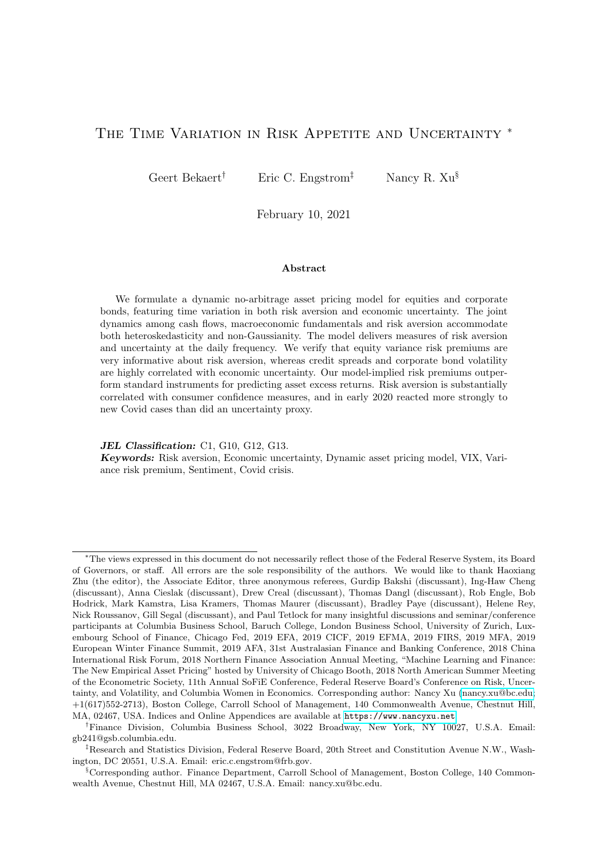Because the relationship between asset prices and state variables is affine, we also compute a variance decomposition. That is, we compute, for  $x \nightharpoonup \hat{r}$ ,  $\hat{p}$ ,  $n, v, qq$ , coefficient on  $x_t$  $\frac{Cov(x_t;Mom_t)}{Var(Mom_t)}$  where Mom represents an asset price moment like the equity risk premium, or corporate bond physical variance. These variance proportions add up to one. In the model, 97% of the equity risk premium's variance is driven by risk aversion; only 72.5% of the corporate bond risk premium is driven by risk aversion, while 27.5% is accounted for by "bad" macroeconomic uncertainty. The physical equity variance is predominantly driven by risk aversion (72.5%) while 85% of the corporate bond return's physical variance is driven by bad macroeconomic uncertainty. Nevertheless, macroeconomic uncertainty also accounts for 27.5% of the variance of the physical equity variance. It would be logical that the risk neutral variance would load more on risk aversion and less on macroeconomic uncertainty than the physical variance and this is indeed the case, with risk aversion accounting for 85.5% of the variance of the risk neutral variance.

[Bekaert, Hoerova, and Lo Duca \(2013\)](#page-44-8) argue that the variance risk premium houses much information about risk aversion. Is this true in our model? To answer this question, we compute the model-implied variance risk premium as the difference between the risk neutral variance and the physical variance. A projection on the 4 state variables reveals that 96.8% of the variance of the variance risk premium is accounted for by risk aversion. Conversely, regressing risk aversion on the variance premium, the coefficient is 170.50 with a t-stat of 49.08, and the  $R^2$  is 87.5%. Through the lens of our model, the variance premium is clearly a good proxy for risk aversion. However, they are not identical. As [Cheng \(2019\)](#page-45-18) discusses in detail, the estimates of the variance risk premium occasionally go negative while our risk aversion process, by construction, never does. Moreover, the residual from a regression of risk aversion on the variance risk premium shows meaningful time variation which is highly correlated with the credit spread and earnings yield. This residual is also statistically significantly countercyclical. These properties of our risk aversion processes are robust across specification variation as shown in Online Appendix G.

We next verify that the model-implied risk premiums indeed predict realized excess returns. We test this in Table [7.](#page-30-0) We regress realized cumulative excess returns in the equity and corporate bond markets at various horizons on the corresponding model-implied risk premium estimates. The  $R^2$ 's increase with horizon, topping out at 14.63% at the 12-month horizon for corporate bonds, but do not exceed 0.43% for equity returns. All coefficients are statistically significant at the 10% level. The one month risk premiums are also more than 47.6% correlated with the NBER recession indicator, and thus countercyclical.

Given the vast literature on return predictability, it is informative to contrast the predictive power of our model implied premiums with the predictive power of the usual predictors used in the literature. We do this exercise out of sample as the literature has shown huge biases due to in sample over-fitting [\(Welch and Goyal \(2008\)](#page-46-22)) and parameter instability [\(Koijen and](#page-46-23) [Van Nieuwerburgh \(2011\)](#page-46-23)). We consider five empirical models, depending on the predictors used: 1) earnings yield, 2) earnings yield, term spread and credit spread, 3) and 4) analogous with the dividend yield replacing the earnings yield, 5) physical uncertainty and variance risk premium estimate. For equity (corporate bond) returns, we use the physical uncertainty derived from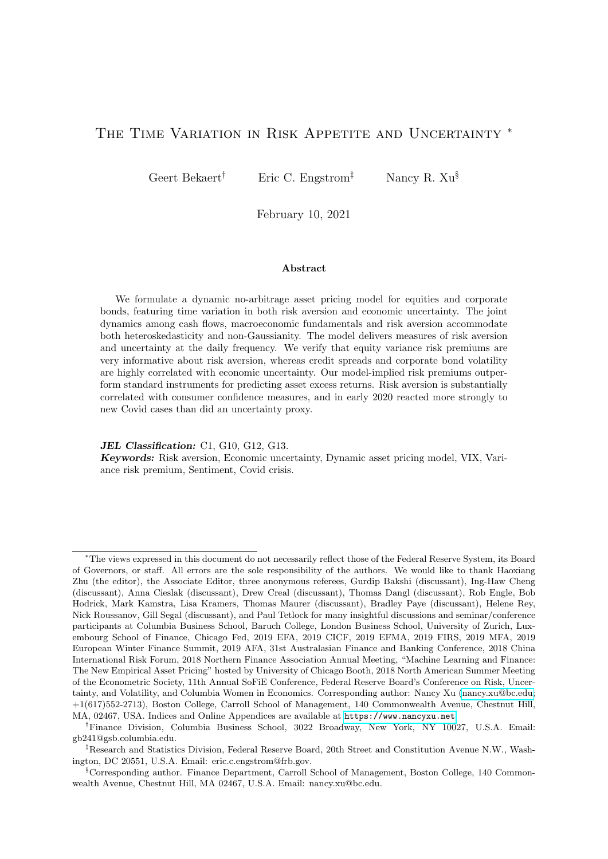#### <span id="page-30-0"></span>Table 7: Predicting Excess Returns Using Model-Implied Risk Premiums

This table evaluates the k-month return predictability using model-implied k-month risk premiums. The k-month excess returns are  $\frac{1}{k} \sum_{i=1}^{k} \widetilde{r}_{t+i} - \widetilde{rf}_{t+i-1}$ . The model-implied k-month risk premiums are  $\frac{1}{k}\sum_{i=1}^{k} E_t(RP_{t+i-1})$ , where  $RP_{t+i-1}$  denotes the model-implied one-month ahead expected excess returns of  $t + i$ . Given the model solution, the expectation of future risk premiums,  $E_t(RP_{t+i-1})$ , is obtained using the law of iterated expectations for  $i > 1$ . [Hodrick](#page-45-19) [\(1992\)](#page-45-19) standard errors are reported in parentheses, and adjusted  $R^2$ s are in  $\%$ . Bold (italic) coefficients have  $\langle 5\% \rangle$  (10%) p-values.

|                                                                                                                                                  | Regression Estimates of $b_k$ in |          |          |          |                |          |                  |          |
|--------------------------------------------------------------------------------------------------------------------------------------------------|----------------------------------|----------|----------|----------|----------------|----------|------------------|----------|
| $\frac{1}{k}\sum_{i=1}^{k} \widetilde{r}_{t+i}$ $\widetilde{rf}_{t+i-1} = a_k + b_k \frac{1}{k}\sum_{i=1}^{k} E_t (RP_{t+i-1}) + \epsilon_{t+k}$ |                                  |          |          |          |                |          |                  |          |
| Corporate Bond:<br>Equity:                                                                                                                       |                                  |          |          |          |                |          |                  |          |
|                                                                                                                                                  | 1 <sub>m</sub>                   | 3m       | 6m       | 12m      | 1 <sub>m</sub> | 3m       | 6m               | 12m      |
| $b_k$                                                                                                                                            | 0.7598                           | 0.5094   | 0.5644   | 0.4247   | 1.3802         | 1.6708   | 1.4752           | 1.5166   |
|                                                                                                                                                  | (0.4167)                         | (0.2817) | (0.2356) | (0.2146) | (0.4127)       | (0.2743) | (0.2241)         | (0.2017) |
| $R^2$                                                                                                                                            | $0.24\%$                         | $0.24\%$ | $0.43\%$ | $0.30\%$ | $3.18\%$       |          | $9.87\%$ 11.43\% | 14.63\%  |

equity (corporate bond) returns as before. We then generate out-of-sample predictions for the risk premiums by starting the sample after five years of data and then running rolling samples to generate predictions from the five-year point to one month ahead. With those competing risk premium estimates in hand, we then run simple horse races over the full sample by estimating:

$$
\widetilde{r}_{t+1}
$$
  $r\widetilde{f}_t = a \text{ Mod}(t) + (1 - a) \text{ Emp } \text{Mod}(t, i) + e_{t+1}, \text{ for } i = 1, 2, 3,$  (38)

where Mod (t) represents the one-month-ahead model-implied risk premium.

The results for the "a"-coefficients are reported in Table [8.](#page-31-0) The implied risk premiums from the model clearly outperform the empirical models for both equity and corporate bond returns with the "a"-coefficients being well over 0.50, varying between 0.81 and 1.01. All "a" coefficients are highly statistically different from zero. We conclude that our model captures the predictable variation better than the fitted values extracted from standard instruments used in the literature. While it is true that the model risk premiums are not truly out-of-sample, the exercise imposes the structural parameter stability and numerous restrictions implied by the model. The poor performance of the empirical models involving the earnings and dividend yields may be surprising relative to an older return predictability literature, but direct regressions reveal that the equity yield variables have no statistically significant predictive power for our sample period.

Finally, Figure [4](#page-32-1) compares the model-implied equity premium with the lower bound for the equity premium proposed and estimated by [Martin \(2017\)](#page-46-5). [Martin \(2017\)](#page-46-5) shows that the equity premium can be bounded by an index of option prices, closely related to but not identical to the VIX. Our estimates are larger but show very similar variation compared to [Martin \(2017\)](#page-46-5)'s bound. In fact, the correlation between the two series in the overlapping sample is 95%. This is not surprising given our previous results. Risk aversion is highly correlated with the variance risk premium and is also the main determinant of the equity risk premium in the model (see Table [6\)](#page-28-0). These results also provide economic confirmation of the empirical finding that the variance risk premium robustly predicts stock returns, but the conditional variance in the stock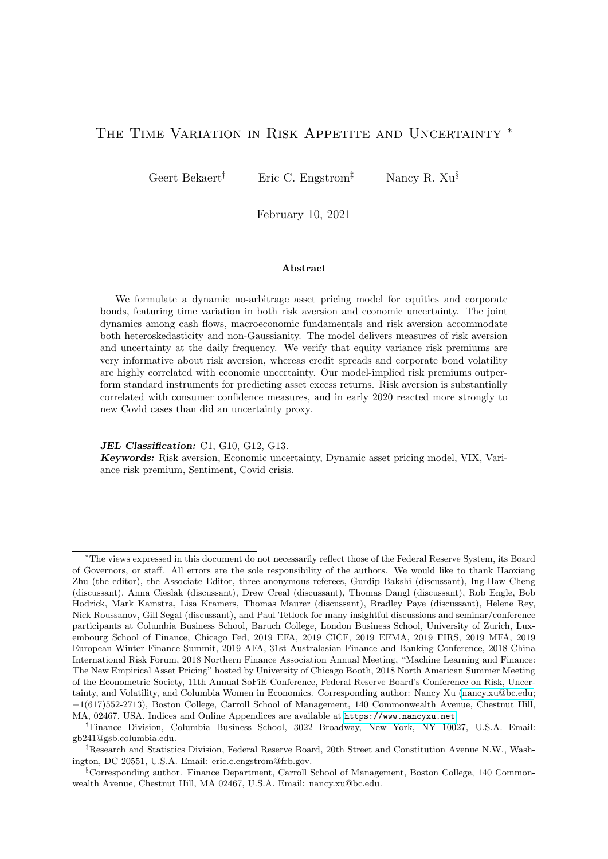#### <span id="page-31-0"></span>Table 8: Out-of-Sample Predictability

This table evaluates the relative importance of model-implied risk premium estimates and empirical risk premium estimates in predicting future excess returns. "Mod" represents the model-implied risk premiums whose dynamics are fully spanned by  $fp_t, n_t, lp_t, qtg$ . The empirical risk premium estimates are obtained out-of-sample (using 5-year of data); "Emp Mod (i)" (i=1,2,3,4,5) corresponds to predictor set (1)  $fEY_{5yr}g$ , (2)  $ftsprd, csprd, EY_{5yr}g$ , (3)  $fDY_{5yr}g$ , (4)  $ftsprd, csprd, DY_{5yr}g$ , (5)  $fPVAR, VRPg$ . The table reports the optimal combination of model-implied and empirical risk premium estimates that minimizes the sum of squared residuals. Least Square standard errors are shown in parentheses. Bold (italic) coefficients have  $\langle 5\% \rangle$  (10%) p-values (against zero).

|           | Least-Square Estimates of $a$ in |                      |                |                                  |          |  |  |  |
|-----------|----------------------------------|----------------------|----------------|----------------------------------|----------|--|--|--|
| $r_{t+1}$ | $rf_t = a_t$                     | $Mod(t) + (1 - a_i)$ |                | Emp $\text{Mod}(t, i) + e_{t+1}$ |          |  |  |  |
| Emp Mod   | (1)                              | (2)                  | (3)            | (4)                              | (5)      |  |  |  |
|           |                                  |                      | Equity         |                                  |          |  |  |  |
| $a_i$     | 0.8228                           | 0.9266               | 0.9067         | 0.9658                           | 0.8086   |  |  |  |
|           | (0.1079)                         | (0.0943)             | (0.0495)       | (0.0327)                         | (0.0802) |  |  |  |
| $R^2$     | $0.7\%$                          | $1.1\%$              | $1.3\%$        | 1.7%                             | 1.8%     |  |  |  |
|           |                                  |                      | Corporate Bond |                                  |          |  |  |  |
| $a_i$     | 0.9351                           | 0.8272               | 1.0114         | 0.8294                           | 0.8108   |  |  |  |
|           | (0.1294)                         | (0.0798)             | (0.1307)       | (0.0827)                         | (0.0756) |  |  |  |
| $R^2$     | $0.9\%$                          | 1.8%                 | $0.9\%$        | 1.6%                             | 2.5%     |  |  |  |

market fails to predict returns or predicts returns with a negative sign (see [Bekaert and Hoerova](#page-44-18)  $(2014)$ .

### 5.2 Interpreting Economic Uncertainty

Because of its dependence on financial instruments, we can compute risk aversion even at a daily level. In contrast, economic uncertainty, the conditional variance of industrial production growth, is a function of both  $p_t$  and  $n_t$ ,  $\sigma^2_{\rho} p_t + \sigma^2_{\rho} n_t$  (see Table [1\)](#page-14-0), and is filtered at the monthly level. Here, we use financial instruments to approximate macro uncertainty.

In Table [9,](#page-33-0) we show the coefficients from a regression of uncertainty on the financial instruments used to span risk aversion and two additional instruments, the detrended dividend yield and realized variances of speculative bond returns. We obtain monthly realized speculative corporate bond return (source: FRED, "ICE BofAML US High Yield Total Return Index") variances using the same methodology as for overall corporate returns. Because the daily index only starts in February 1990, we use an empirical model to fill in the missing data from June 1986 to January 1990.[15](#page-0-0)

The  $R^2$  is 50% and uncertainty loads significantly on all instruments except for the realized equity and speculative bond return variances. Unlike the risk aversion process, uncertainty loads very strongly on both credit spreads and the physical corporate bond variance. The term spread also has a significant negative effect on uncertainty (and no effect on risk aversion). This makes sense as flattening yield curves are associated with future economic downturns. The

<sup>&</sup>lt;sup>15</sup>The empirical model for imputing daily realized speculative corporate bond return variances before 1990 is explained in the Online Appendix D.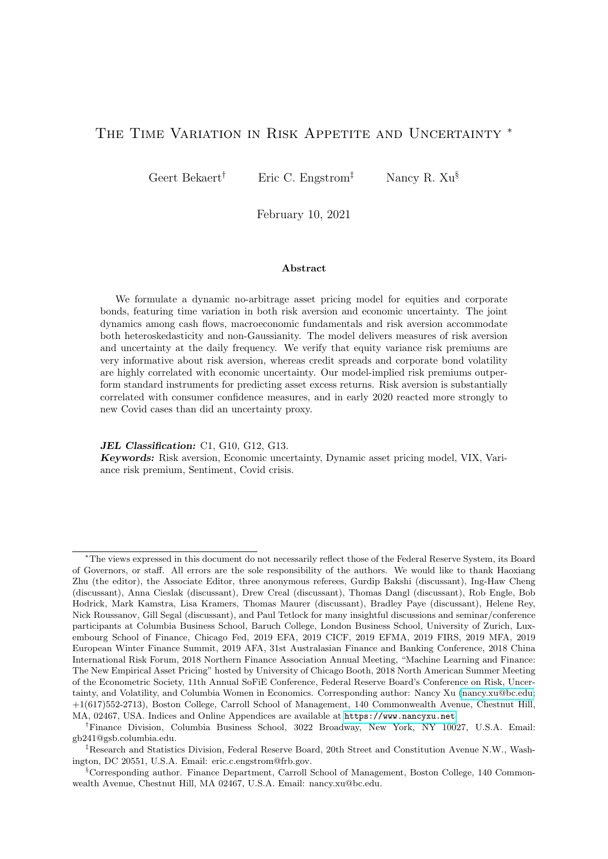

<span id="page-32-1"></span>Figure 4: Model-Implied Equity Premium and Martin's (2017) Equity Premium Lower Bound

The solid black line depicts the model-implied monthly equity premium, as formulated in Equation [\(27\)](#page-12-1). The dashed red line depicts the "epbound" series constructed by [Martin \(2017\)](#page-46-5), representing the lower bound to the equity premium as given by the right-hand side of the inequality in Equation (15) of his paper. This series is available from 1996/01 to 2012/01, and is downloadable from <http://personal.lse.ac.uk/martiniw/>. Note that Martin (2017) reports annualized lower bound estimates at the daily frequency; the dashed red line in this plot takes the end-of-month values and divides them by 12 to match with the monthly numbers in our analysis. The shaded regions are NBER recession months from the NBER website. The two series are 94.78% correlated.

table also reports regressions from the two components in macroeconomic uncertainty, bad and good uncertainty, onto the instruments. Clearly, the variation in macroeconomic uncertainty is dominated by the bad component and the coefficients for the bad component projection are very similar to those of total uncertainty. We also report the results from a variance decomposition applied to the fitted values of the regression. The credit spread explains almost 63% of the explained uncertainty variation. The dividend and earnings yield variables likely offset one another partially with one contributing a positive, the other a negative amount to the total variation but jointly the equity yield variables still explain close to 20%. Finally, the risk neutral equity variance and the physical corporate bond return variance each contribute about 12-14% of the explained variation of uncertainty.

From this analysis, we create an uncertainty index representing the part of economic uncertainty that is explained by the financial instruments:

<span id="page-32-0"></span>
$$
unc_t^{BEX} = \text{uncr}_{Z_t}.
$$
\n(39)

In the bottom plot of Figure [3,](#page-27-0) we graph the uncertainty proxy with a confidence inter-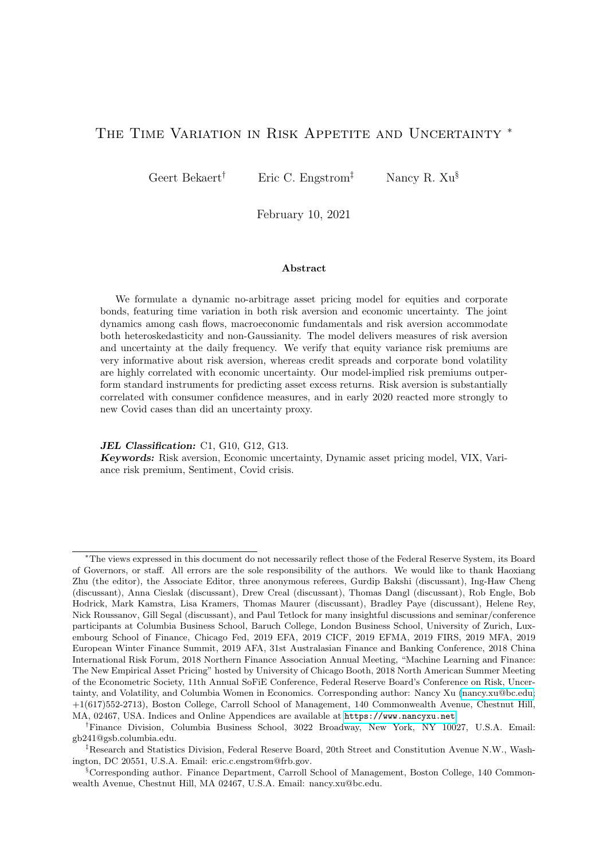#### <span id="page-33-0"></span>Table 9: Projecting Macroeconomic Uncertainty on Financial Instruments

This table presents regression results of the monthly macroeconomic uncertainties (estimated from industrial production growth; see Table [1\)](#page-14-0) on monthly financial instruments; some are used to span the time-varying risk aversion. "Total" indicates the total industrial production growth conditional variance, or  $\sigma_{\theta p}^2 p_t + \sigma_{\theta n}^2 n_t$ ; "Upside",  $\sigma_{\theta p}^2 p_t$ ; "Downside",  $\sigma_{\theta n}^2 n_t$ . "  $10^{3}$ " at the top means that the coefficients and their SEs are multiplied by 1000 for reporting convenience. VARC reports the variance decomposition. Robust and efficient standard errors are shown in parentheses. Adjusted  $R^2$ s are reported. Bold (italic) coefficients have  $\langle 5\% \rangle$  (10%) p-values. The sample period is 1986/06 to 2015/02 (345 months).

|                           | $\overline{10^3}$ |            | $\overline{10^3}$ |            | $10^{3}$  |            |
|---------------------------|-------------------|------------|-------------------|------------|-----------|------------|
|                           | Total             | VARC       | Upside            | VARC       | Downside  | VARC       |
| Constant                  | $-0.009$          |            | 0.006             |            | $-0.015$  |            |
|                           | (0.005)           |            | (0.000)           |            | (0.005)   |            |
| $\chi_{tsprd}$            | $-0.577$          | $-2.33\%$  | $-0.004$          | 2.70\%     | $-0.573$  | $-2.47\%$  |
|                           | (0.112)           |            | (0.002)           |            | (0.112)   |            |
| $\chi_{csprd}$            | 2.024             | 62.69%     | $-0.016$          | $6.52\%$   | 2.040     | 62.32\%    |
|                           | (0.246)           |            | (0.004)           |            | (0.246)   |            |
| $\chi_{DY5yr}$            | 2.343             | 41.57\%    | $-0.162$          | 139.79%    | 2.505     | 44.74%     |
|                           | (0.456)           |            | (0.007)           |            | (0.456)   |            |
| $\chi$ EY5yr              | $-0.609$          | $-22.57\%$ | 0.048             | $-55.56\%$ | $-0.657$  | $-24.28\%$ |
|                           | (0.189)           |            | (0.003)           |            | (0.189)   |            |
| Xruareq                   | $-0.257$          | $-3.76\%$  | $-0.002$          | $-0.03\%$  | $-0.255$  | $-3.65\%$  |
|                           | (0.620)           |            | (0.010)           |            | (0.621)   |            |
| $\chi_{\textit{quareq}}$  | 1.190             | 13.25\%    | 0.066             | $5.20\%$   | 1.124     | 12.20\%    |
|                           | (0.669)           |            | (0.010)           |            | (0.670)   |            |
| X <sub>rv</sub>           | 17.792            | 13.67%     | $-0.056$          | $0.37\%$   | 17.848    | 13.49\%    |
|                           | (5.927)           |            | (0.092)           |            | (5.935)   |            |
| $Xr \text{var}$ cb $SPEC$ | $-2.233$          | $-2.51\%$  | $-0.108$          | $1.01\%$   | $-2.125$  | $-2.35\%$  |
|                           | (5.564)           |            | (0.087)           |            | (5.571)   |            |
| $R^2$                     | 50.20%            |            | $70.80\%$         |            | $50.60\%$ |            |

val obtained from the asymptotic variance-covariance matrix of  $\mu$ nc in Equation [\(39\)](#page-32-0). The correlation between actual uncertainty and risk aversion is 60%; when we use the proxy the correlation increases to 82%. Obviously, most of the time crisis periods feature both high uncertainty and high risk aversion. There are exceptions however. For example, the October 1987 crash happened during a time of relatively low economic uncertainty. It also appears that at the end of the 90s, macro-uncertainty secularly increases, consistent with the Great Moderation ending around that time (see also [Baele, Bekaert, Cho, Inghelbrecht, and Moreno \(2015\)](#page-44-19)). Note that the uncertainty index is measured with more error than is the risk aversion index.

[Bloom \(2009\)](#page-44-15) has argued that uncertainty, extracted from data on the VIX and realized stock return variances, precedes bad economic outcomes. [Segal, Shaliastovich, and Yaron \(2015\)](#page-46-24) show that a measure of "bad" macroeconomic uncertainty predicts economic growth negatively. We regress future real industrial production growth at various horizons on our uncertainty index — its financial proxy and the actual one — and the risk aversion process. In addition, we use the squared VIX (or QVAR in our notation). The results are in Table [10.](#page-34-0) We use [Hodrick \(1992\)](#page-45-19) standard errors to accommodate the overlap in the data. Panel A shows univariate results. All indices predict growth with a negative sign at the one month, one quarter and one year horizons.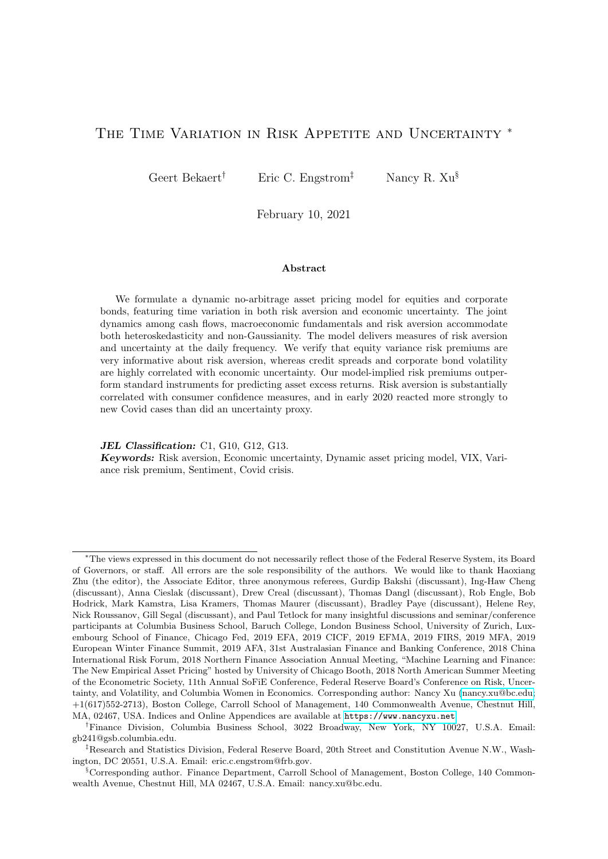<span id="page-34-0"></span>Table 10: On the Predictive Power of Risk Aversion and Uncertainty for Future Output Growth

This table reports the coefficient estimates of the following predictive regression,

$$
\frac{1}{k}\sum_{\tau=1}^k \theta_{t+\tau} = a_k + \mathbf{b}'_k \mathbf{x}_t + \omega_{t+k},
$$

where  $\frac{1}{k}\sum_{\tau=1}^k \theta_{t+\tau}$  represents the future k-month industrial production growth from  $t+1$  to  $t+k$ , and  $x_t$  represents a vector of current-month predictors: (1) our financial instrument proxy of economic uncertainty,  $unc^{BEX}$ , (2) our risk aversion,  $ra^{BEX}$ , (3) the risk-neutral conditional variance (the squared month-end VIX (VXO before 1990) index divided by 120000),  $QVAR$ , and (4) the true total macroeconomic uncertainty filtered from industrial production growth  $unc<sup>true</sup>$  (Table [1\)](#page-14-0). The coefficients are scaled by the standard deviation of the predictor in the same column for interpretation purposes. [Hodrick \(1992\)](#page-45-19) standard errors are reported in parentheses, and adjusted  $R^2$ s are in %. Bold (italic) coefficients have  $\langle 5\% \rangle$  (10%) p-values.

|                | $\overline{unc^{BEX}}$ | $ra^{BEX}$                          | $Q\overline{VAR}$ | $\overline{unc^{true}}$ |                  |
|----------------|------------------------|-------------------------------------|-------------------|-------------------------|------------------|
|                |                        | A. Univariate                       |                   |                         |                  |
| 1 <sub>m</sub> | $-0.0028$              | $-0.0021$                           | $-0.0016$         | $-0.0023$               |                  |
|                | (0.0004)               | (0.0004)                            | (0.0006)          | (0.0006)                |                  |
|                | 20.6%                  | 11.1%                               | $6.5\%$           | 13.1%                   |                  |
| 3m             | $-0.0027$              | $-0.0021$                           | $-0.0017$         | $-0.0023$               |                  |
|                | (0.0004)               | (0.0004)                            | (0.0005)          | (0.0005)                |                  |
|                | 37.9%                  | 21.9%                               | 15.3%             | 26.5%                   |                  |
| 12m            | $-0.0014$              | $-0.0007$                           | $-0.0006$         | $-0.0009$               |                  |
|                | (0.0003)               | (0.0003)                            | (0.0002)          | (0.0003)                |                  |
|                | 17.7%                  | 4.3%                                | $3.7\%$           | $6.5\%$                 |                  |
|                |                        | $\overline{B}$ . Multivariate $(1)$ |                   |                         | $\overline{R^2}$ |
| 1 <sub>m</sub> | $-0.0034$              | 0.0007                              |                   |                         | 21.1%            |
|                | (0.0007)               | (0.0006)                            |                   |                         |                  |
| 3m             | $-0.0031$              | 0.0005                              |                   |                         | $38.3\%$         |
|                | (0.0006)               | (0.0005)                            |                   |                         |                  |
| 12m            | $-0.0025$              | 0.0014                              |                   |                         | 23.3%            |
|                | (0.0005)               | (0.0004)                            |                   |                         |                  |
|                |                        | $C.$ Multivariate $(2)$             |                   |                         | $R^2$            |
| 1 <sub>m</sub> | $-0.0031$              |                                     | 0.0004            |                         | 20.9%            |
|                | (0.0005)               |                                     | (0.0004)          |                         |                  |
| 3m             | $-0.0028$              |                                     | 0.0001            |                         | 37.9%            |
|                | (0.0005)               |                                     | (0.0004)          |                         |                  |
| 12m            | $-0.0017$              |                                     | 0.0005            |                         | 18.8%            |
|                | (0.0004)               |                                     | (0.0002)          |                         |                  |
|                |                        | D. Multivariate (3)                 |                   |                         | $R^2$            |
| 1 <sub>m</sub> | $-0.0025$              |                                     |                   | $-0.0005$               | 20.9%            |
|                | (0.0005)               |                                     |                   | (0.0007)                |                  |
| 3m             | $-0.0022$              |                                     |                   | $-0.0007$               | 39.1%            |
|                | (0.0004)               |                                     |                   | (0.0004)                |                  |
| 12m            | $-0.0016$              |                                     |                   | 0.0003                  | 18.0%            |
|                | (0.0003)               |                                     |                   | (0.0003)                |                  |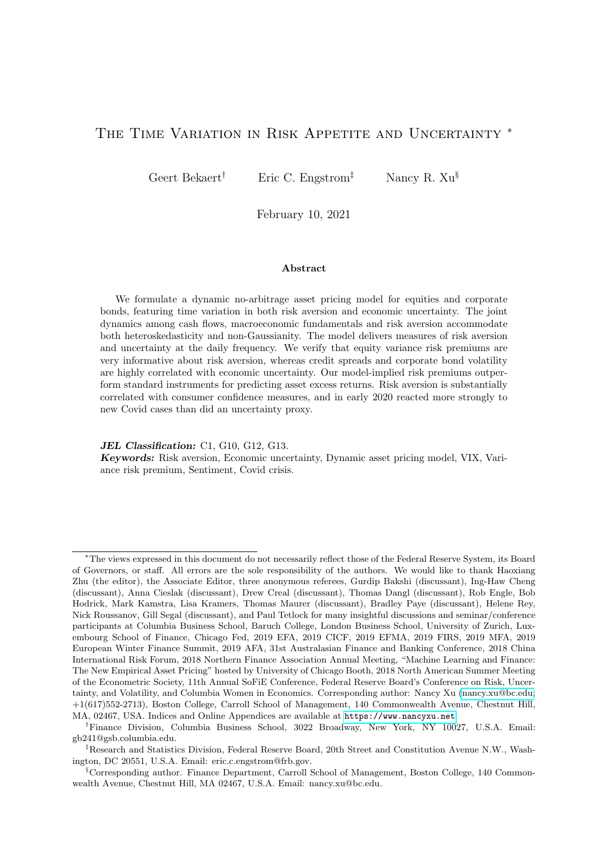Our financial instrument uncertainty index generates the highest  $R^2$  by far. This suggests that it is indeed macro uncertainty predicting output growth, with the VIX having much lower predictive power in univariate regressions. The actual macroeconomic uncertainty (Column "unc<sup>true</sup>") exhibits substantially more predictive power than the VIX (Column " $QVAR$ "), but still substantially less than the combination of financial instruments most correlated with it (Column " $unc^{BEX}$ "). This is likely due to the important role played by the credit spread in  $unc^{BEX}$ ; with the credit spread known to predict future economic activity (see [De Santis \(2018\)](#page-45-20), and the references therein).

This result is confirmed in multivariate regressions. In Panels B through D of Table [10,](#page-34-0) we pit the financial instrument uncertainty proxy versus risk aversion (Panel B), the squared VIX (Panel C) and actual economic uncertainty (Panel D). In every single case,  $unc^{BEX}$  is highly statistically significant at all horizons, whereas the coefficients on the other variables mostly turn insignificant and often become positive.[16](#page-0-0)

Uncertainty measures have become very popular in the macroeconomic literature. [Jurado,](#page-46-4) [Ludvigson, and Ng \(2015\)](#page-46-4) use the weighted sum of the conditional volatilities of 132 financial and macroeconomic series, with the bulk of them being macroeconomic. They have three versions of the measure depending on the forecasting horizon, but we focus on the one month horizon, which is most consistent with our model. The correlation with our economic uncertainty index, which only uses industrial production data, is highly significant and substantial at  $81\%$ .

Macroeconomic uncertainty may be correlated with political uncertainty, which has recently been proposed as a source of asset market risk premiums (Pástor and Veronesi (2013)). [Baker, Bloom, and Davis \(2016\)](#page-44-20) create a policy uncertainty measure, based on newspaper coverage frequency. The index shows a highly significant correlation of 0.34 with our uncertainty index.

Finally, we also examine the correlation between  $lp_t$ , the idiosyncratic variance component of corporate bond loss rates, with financial instruments, but the R2 in such a regression is only 9% (see the Online Appendix, Table F.3).

### <span id="page-35-0"></span>5.3 External Validation of the Risk Aversion Measure

Ultimately, our risk aversion proxy is a latent pricing kernel variable that helps the model fit corporate bond and equity risk premiums, variance dynamics and the risk neutral equity variance in an internally consistent fashion. We cannot, however, exclude that other models with alternative latent variables fit the data equally well. In addition, models outside of expected utility frameworks, such as prospect theory with probability weighting (see e.g. [Baele, Driessen,](#page-44-21) [Ebert, Londono, and Spalt \(2019\)](#page-44-21)), or models featuring biased expectations or beliefs (see e.g. [Lochstoer and Muir \(2020\)](#page-46-26)) may provide plausible alternative explanations for the data. To hopefully increase the reader's comfort with "Q" actually measuring aggregate risk aversion, we

<sup>&</sup>lt;sup>16</sup>The positive and significant coefficient at the 12 month horizon for risk aversion is surprising. However, if we replace industrial production growth with consumption growth (to better mimic the economic model), the coefficient on risk aversion is negative and insignificant (see Table F.2 in the Online Appendix). The coefficient on economic uncertainty remains very significant and negative, supporting our finding that uncertainty dominates risk aversion in predicting economic growth.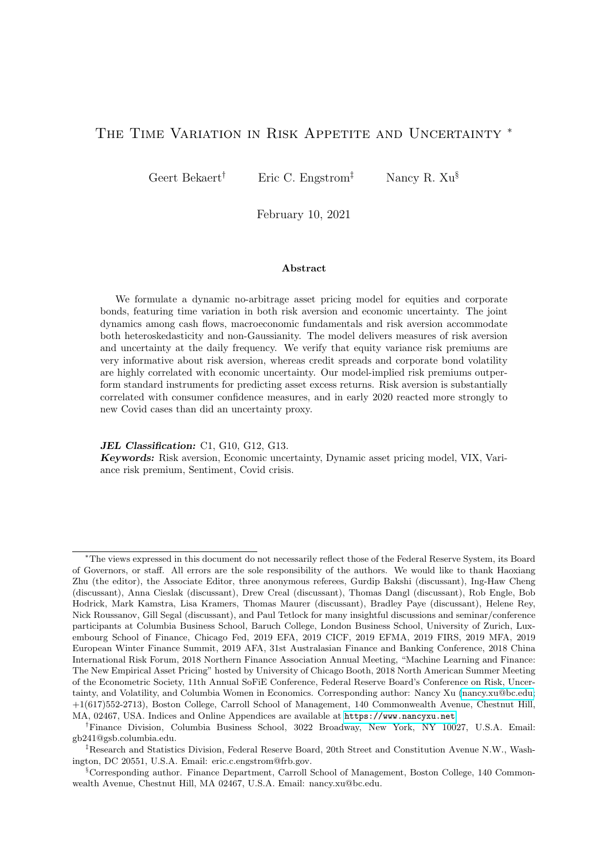now provide several external validation exercises.

First, while risk aversion features a pure preference shock in our model, it is motivated by a habit framework, and we therefore expect it to be consistent with the typical habit intuition. Following [Wachter \(2006\)](#page-46-1), we create a "fundamental" risk aversion process from consumption data and the parameter estimates of [Campbell and Cochrane \(1999\)](#page-45-0). Recall that the curvature of the utility function is a negative affine function of the log "consumption surplus ratio," which in turns follows a heteroskedastic autoregressive process with shocks perfectly correlated with consumption growth. This "habit" risk aversion has a 0.21 correlation with our risk aversion measure, which is significantly different from zero. Work by [Bekaert, Engstrom, and Grenadier](#page-44-14) [\(2010\)](#page-44-14) and [Martin \(2017\)](#page-46-5) also suggests the existence of more variable risk aversion in financial markets, imperfectly correlated with fundamentals.

A salient implication of the habit framework is that bad economic shocks should increase risk aversion. Even if true, it is unlikely that realized monthly or quarterly consumption growth data capture all relevant news. Much relevant economic news and events hitting markets every day are not captured in the actual economic data until much later, if at all. We therefore calculate daily measures of macro shocks (actual data minus survey expectations) around 7 macro announcements, industrial production, the unemployment rate, GDP, the CPI, balance of payments, consumer confidence and manufacturing confidence. We link our model implied risk aversion measure to their end-of-month cumulative shocks as a more direct measure of salient economic news. Models in the Campbell-Cochrane tradition predict negative links with industrial production and GDP news, and a positive link with unemployment rate news. Table ?? in the Online Appendix shows that these are indeed the three variables that show a statistically significant link with risk aversion, however, GDP growth news has an anomalous positive sign. Positive confidence news decreases risk aversion but the effect is insignificant, as are the effects of the balance of payments and inflation (undermining somewhat the [Brandt and Wang \(2003\)](#page-45-12) model linking risk aversion to inflation). When we run a multivariate regression, the three economic activity measures remain statistically significant and no other variables are significant, with the coefficient signs remaining unchanged. Among the 7 macro news shocks, industrial production shocks alone account for 50% of the risk aversion variation explained by macro news shocks, with unemployment accounting for 33% and GDP news only accounting for 12% of explained variation. Overall, the reaction of our risk aversion to macroeconomic announcements is mostly in line with the habit intuition. However, importantly, the  $R^2$  contributed by these macro shocks in all these regressions is quite low, which is of course consistent with our main finding that the bulk of the variation in risk aversion is not driven by macro fundamentals.

Second, and stepping outside of the paradigm of habit-based utility functions, the behavioral finance literature suggests that the sentiment of retail investors may drive asset prices and cause non-fundamental price swings. We now analyze in depth the relationship between our risk aversion measure and alternative sentiment/confidence measures that, importantly, do not rely on asset prices. The various measures are listed in Table [11.](#page-38-0) The expected sign is reported in the last column. In Panel A, we examine several measures that measure the sentiment of consumers, mostly through surveys, such as Conference Board, the University of Michigan (see also [Lemmon and Portniaguina \(2006\)](#page-46-8) and [Qiu and Welch \(2004\)](#page-46-27)), OECD and Reuter's sur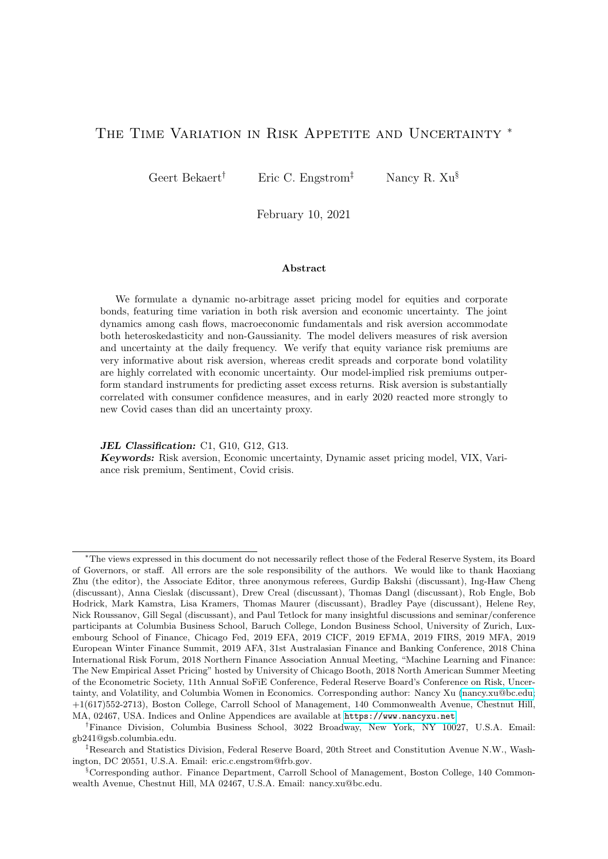veys. Such surveys tend to measure the confidence or sentiment of consumers regarding the economic outlook and may therefore be directly related to their overall risk aversion, without reference to asset prices. Table [11](#page-38-0) shows that all the 4 confidence/sentiment survey measures show significant and negative correlations. The strongest correlation is with Reuter's IPSOS consumer sentiment measure. Their index is a composite index of 11 questions regarding the overall and current economic and financial situation that is run monthly via online polls. We also use two variants of a text-based measure from [Da, Engelberg, and Gao \(2014\)](#page-45-21), who create a risk aversion measure based on the volume of internet searches for words such as "recession" and "bankruptcies". However, their month-end indices are weakly correlated with our measure, perhaps confirming that sentiment goes beyond pure economic news. In the next to last column, we orthogonalize the various sentiment measures with respect to our economic uncertainty measure and compute the risk aversion index's correlation with the residual. The correlations go down in magnitude, but remain negative and significant for all 4 confidence measures.

In Panel B of Table [11,](#page-38-0) we use confidence measures aimed at investors rather than consumers. Here, asset prices may indirectly influence the measures. The Yale and the American Association of Individual Investors (AAII) surveys essentially gauge the percentage of individual investors who are bullish or bearish about the stock market. The Sentix sentiment index measures investor emotion (fear, greed, etc.) using weekly surveys of more than 5,000 private and institutional investors in 14 financial markets. All measures show the correct sign, and all are significant, with the Sentix measure being particularly highly correlated with our risk aversion index (at -0.66). Again, the correlations decrease when the measures are orthogonalized with respect to economic uncertainty, but they remain significantly correlated with our risk aversion measure, with the exception of the AAII-bullish percentage. In Panel C, the OECD business confidence index is -0.36 correlated with our risk aversion index, whereas the news based sentiment measure of [Shapiro, Sudhof, and Wilson \(2020\)](#page-46-28) is -0.49 correlated with risk aversion in Panel D. The latter measure computes the average tone of economic news articles (therefore, positive economic news is associated with positive values of the index).

We also conduct a multivariate analysis, computing the first principal component (PCA) of the standardized and orthogonalized consumer- and investor-based sentiment measures. As Panel F of Table [11](#page-38-0) indicates, the consumer PCA receives a coefficient of 0.20; the investor PCA a coefficient of 0.16, both highly statistically significant. The consumer PCA accounts for 58.2% of the predictable variation; the investor PCA for 41.8% of the variation. The adjusted  $R^2$  is 30.5% so that a linear function of these two PCA's is more than 55% correlated with our risk aversion measure. Using the business confidence in either PCA measure actually worsens the fit (see Online Appendix, Table F.6).

Measures of confidence, especially when extracted from questions regarding future economic outcomes, may not necessarily be revealing about the mood and sentiment of consumers, and investors. In fact, [Barsky and Sims \(2012\)](#page-44-22), using an analysis of the predictive content of consumer confidence for economic activity far in the future, find that confidence innovations largely reflect genuine news about future productivity, which does not show up in current macroeconomic data. They find a relatively minor role for the standard "animal spirits," which they interpret as expectational errors (excessive optimism or pessimism about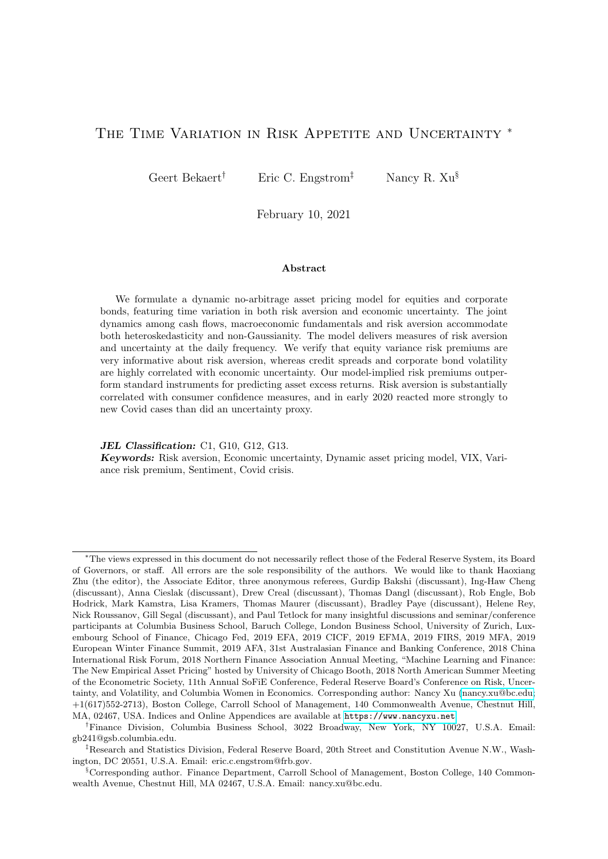## <span id="page-38-0"></span>Table 11: External Validation: Risk Aversion and Extant Consumer, Investor, Business and News Sentiment Measures

Panels A–E assemble a list of 16 widely-used sentiment and confidence measures, and then presents the correlations between our risk aversion index  $ra^{BEX}$  and these measures at the monthly (end-of-month) frequency using the longest overlapping sample. Column reports correlations with the raw sentiment/confidence measures, and Column  $\int_{0}^{O r t h}$  reports correlations with measures orthogonalized by economic uncertainty (obtained from Table [1\)](#page-14-0); bold correlation coefficients have <5% p-values. Column "Sign" indicates the expected sign of correlation, given the constructions of these measures. We thank Zhi Da for providing the updated data for the FEARS index. Panel F reports the contemporaneous regression results of  $ra^{BEX}$  on a consumer sentiment PCA and an investor sentiment PCA using adjusted (standardized, orthogonalized, sign-corrected) sentiment/confidence measures from Panels A and B. More details are provided in Tables F.5 and F.6 of the Online Appendix.

|                | Source                             |                                                      |                                                                        | $\rho$   | $\rho^{Orth}$ | Sign              |
|----------------|------------------------------------|------------------------------------------------------|------------------------------------------------------------------------|----------|---------------|-------------------|
|                |                                    |                                                      | A: Survey-based consumer sentiment                                     |          |               |                   |
| 1              |                                    | Conference Board consumer confidence                 |                                                                        | $-0.280$ | $-0.186$      |                   |
| $\overline{2}$ |                                    |                                                      | University of Michigan sentiment index, Surveys of Consumers           | $-0.359$ | $-0.225$      |                   |
| 3              |                                    | OECD consumer confidence                             |                                                                        | $-0.427$ | $-0.151$      |                   |
| 4              |                                    | Reuter/IPSOS consumer sentiment                      |                                                                        | $-0.526$ | $-0.394$      |                   |
| 5              |                                    | Da, Engleberg, and Gao (2014)'s FEARS25              |                                                                        | $-0.130$ | $-0.104$      | $+$               |
| 6              |                                    | Da, Engleberg, and Gao (2014)'s FEARS30              |                                                                        | $-0.130$ | $-0.102$      | $+$               |
|                |                                    |                                                      | B: Survey-based investor sentiment                                     |          |               |                   |
| 7              |                                    | Yale "crash" confidence (% believe in no crash)      |                                                                        | $-0.498$ | $-0.283$      | $\qquad \qquad -$ |
| 8              |                                    |                                                      | Yale valuation confidence (% believe the market is not too high)       | 0.359    | 0.248         | $+$               |
| 9              |                                    | AAII bullish percentage                              |                                                                        | $-0.114$ | $-0.070$      |                   |
| 10             | AAII bearish percentage            |                                                      |                                                                        |          | 0.206         | $+$               |
| 11             | Sentix investor sentiment          |                                                      |                                                                        |          | $-0.423$      |                   |
|                | C: Survey-based business sentiment |                                                      |                                                                        |          |               |                   |
| 12             |                                    | OECD business confidence                             |                                                                        | $-0.363$ | $-0.225$      |                   |
|                |                                    |                                                      | D: News-based sentiment                                                |          |               |                   |
| 13             |                                    | Shapiro, Sudhof, and Wilson (2020)                   |                                                                        | $-0.490$ | $-0.314$      |                   |
|                |                                    |                                                      | E: Price or macro data-based measures                                  |          |               |                   |
| 14             |                                    | Baker and Wurgler (2006)'s orthogonalized sentiment  |                                                                        | $-0.161$ | $-0.142$      |                   |
| 15             |                                    | Credit Suisse First Boston Risk Appetite Index       |                                                                        | $-0.491$ | $-0.282$      |                   |
| 16             |                                    | Wachter (2006)'s Habit risk aversion                 |                                                                        | 0.208    | 0.172         | $+$               |
|                |                                    |                                                      | F: Regressing $ra^{BEX}$ on Consumer and Investor PCAs ( $R^2$ =30.5%) |          |               |                   |
|                | Constant                           | Consumer PC1: $1 \quad 6$ Investor PC1: $7 \quad 11$ |                                                                        |          |               |                   |
| Coef.          | 2.839                              | 0.203                                                | 0.157                                                                  |          |               |                   |
| (SE)           | (0.078)                            | (0.059)                                              | (0.060)                                                                |          |               |                   |
| <b>VARC</b>    |                                    | 58.2%                                                | 41.8%                                                                  |          |               |                   |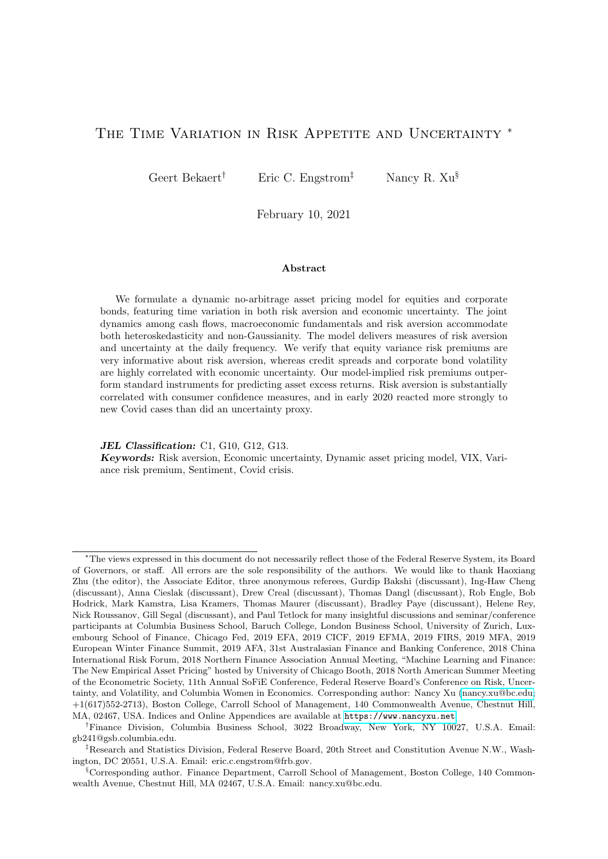growth rates), but may of course also reflect true temporary mood swings. Importantly, the experimental literature (Cohn, Engelmann, Fehr, and Maréchal  $(2015)$ ) suggests that positive (negative) news can invoke decreases (increases) in risk aversion. Thus, an increase in consumer confidence could still reflect a change in risk aversion, potentially even consistent with a wider interpretation of a habit model, where positive economic news should reduce risk aversion. We feel that our collective evidence is largely consistent with variation in Q reflecting changes in aggregate risk aversion. First, the strongest correlation is observed for the Sentix survey explicitly designed to reflect "investor's emotions which fluctuate between fear and greed." (<https://www.sentix.de/index.php/en/item/sntm.html>) Other measures that generate higher correlations such as the Michigan survey and Reuter's IPSOS consumer sentiment also feature questions more likely to elicit emotional responses, than predictions about the direction of the economy. Second, it is comforting to see economic news sentiment featuring such high correlation with our measure, consistent with the experimental evidence, and with models incorporating habit.

A well-known sentiment index in the academic literature is the one created by [Baker](#page-44-6) [and Wurgler \(2006\)](#page-44-6). The index is based on the first principal component of six (standardized) sentiment proxies including: the closed-end fund discount, the NYSE share turnover, the number and the average first-day returns of IPOs, the share of equity issues in total equity and debt issues, and the dividend premium (the log-difference of the average market-to-book ratios of payers and nonpayers). High values mean positive sentiment so we expect a negative correlation with our risk aversion indicator, and indeed the correlation is significantly negative but still relatively small at -0.16. Hence, our risk aversion index correlates more with pure consumer sentiment indices than with a sentiment index derived from financial variables.

In addition, many financial services companies create their own risk appetite indices. As a well-known example, we obtain data on the Credit Suisse First Boston Risk Appetite Index. The indicator draws on the correlation between risk appetite and the relative performance of safe assets (proxied by seven to ten-year government bonds) and risky assets (equities and emerging market bonds). The underlying assumption is that an increasing risk preference shifts the demand from less risky investments to assets associated with higher risks, thus pushing their prices up relative to low-risk assets (and vice versa). The indicator is based on a crosssectional linear regression of excess returns of 64 international stock and bond indices on their risk, approximated by their past 12-month volatility. The slope of the regression line represents the risk appetite index. The index shows a -0.49 correlation with our index and is thus highly correlated with our concept of risk aversion.

### 5.4 Risk Aversion, Uncertainty, and Crises

We first analyze the behavior of our risk aversion measure and uncertainty proxies during the Covid crisis. Being simple affine functions of financial instruments, we can compute both variables at the daily level throughout the March 2 , 2020 to June 23, 2020 Covid crisis period. The start date is determined by the first Covid death in the US, as before that date the daily data on US Covid cases were very erratic. We download data from OWID to compute the daily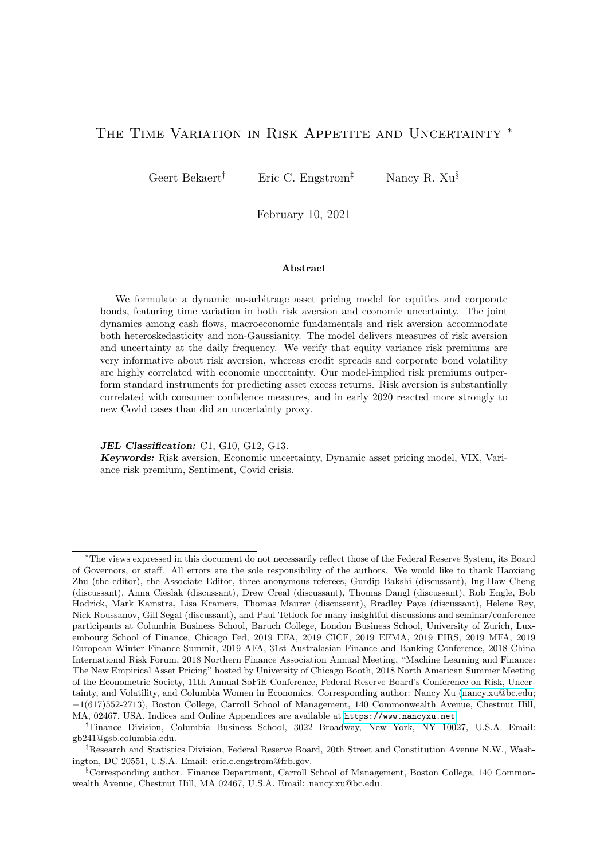logarithmic change in Covid cases. Naturally, the pandemic is associated with feelings of fear, anxiety and uncertainty, fed by reams of bad news regarding the spread of the disease worldwide and its devastating consequences. A higher incidence of Covid cases should be plausibly associated with higher overall risk aversion. Of course, the spread of the disease is also accompanied by economic devastation, which may directly increase risk aversion through a pure habit channel, and plausibly increase economic uncertainty as well. We verify how our financial instrument proxy to uncertainty and risk aversion react to Covid case increases in Table [12.](#page-40-0) Importantly, we control for economic news, by using the sentiment measure of [Shapiro, Sudhof, and Wilson](#page-46-28) [\(2020\)](#page-46-28). Recall that this daily measure is positive (negative) when economic news sentiment is positive (negative). For ease of interpretation, we standardize both variables, so that the coefficients indicate the risk response to a one standard deviation increase in the independent variable.

Table [12](#page-40-0) shows first that both independent variables are highly statistically significant in both regressions, with the adjusted  $R^2$  slightly higher for the uncertainty regression (52% versus 48%). Importantly, our high frequency risk aversion reacts more to information regarding the volume of new cases of infection, than does our high frequency proxy to economic uncertainty, with the response being twice as large. In contrast, uncertainty reacts more strongly to economic news than does risk aversion, consistent with our risk aversion measure being driven more by the non-fundamental shock. In all, 86% of the explained variation in the risk aversion regression comes from Covid news, whereas only 36% does in the uncertainty regression, where economic news dominates. While indirect, this evidence is plausibly consistent with variation in Q indeed being related to changes in risk aversion.

#### <span id="page-40-0"></span>Table 12: Risk and the Covid Crisis

We regress our daily risk variables (the risk aversion and the financial proxy to economic uncertainty) on log daily percentage changes in U.S. COVID-19 cases and the daily standardized economic news sentiment index [\(Shapiro, Sudhof, and Wilson](#page-46-28) [\(2020\)](#page-46-28)). The sample spans 80 (trading) days from March 2, 2020 to June 23, 2020; the starting date is set on March 2, 2020 (the first trading day after the first death case in the U.S. was confirmed by CDC on February 29) to avoid extreme case increases during the early days. "Z" indicates standardized variables; "VARC" indicates variance decomposition. Bold correlation coefficients have <5% p-values.

|                             | Daily risk aversion<br>$ra^{BEX}$ |          |      | Daily uncertainty<br>$unc^{BEX}$ |          |        |
|-----------------------------|-----------------------------------|----------|------|----------------------------------|----------|--------|
| DV:                         | Original                          | Z        | VARC | Original                         | Z        | VARC   |
| Cases $%$ Chg               | 22.473                            | 5.184    | 86\% | 2.401                            | 3.328    | $36\%$ |
|                             | (2.848)                           | (0.657)  |      | (0.455)                          | (0.630)  |        |
| Economic News Sentiment, Z. | $-1.001$                          | $-0.231$ | 14%  | $-0.409$                         | $-0.567$ | $64\%$ |
|                             | (0.353)                           | (0.081)  |      | (0.056)                          | (0.078)  |        |
| Constant                    | 3.644                             | $-0.503$ |      | 3.137                            | $-0.323$ |        |
|                             | (0.446)                           | (0.103)  |      | (0.071)                          | (0.099)  |        |

With our daily risk measures in hand, we can also compare their behavior during the current Covid crisis and the Great Financial Crisis (GFC, henceforth). Figure [5](#page-42-0) shows risk aversion and the daily proxy to uncertainty from January 2, 2020 to June 23, 2020 for the Covid crisis and from September 2, 2008 till March 31, 2009 for the GFC. Focusing first on uncertainty,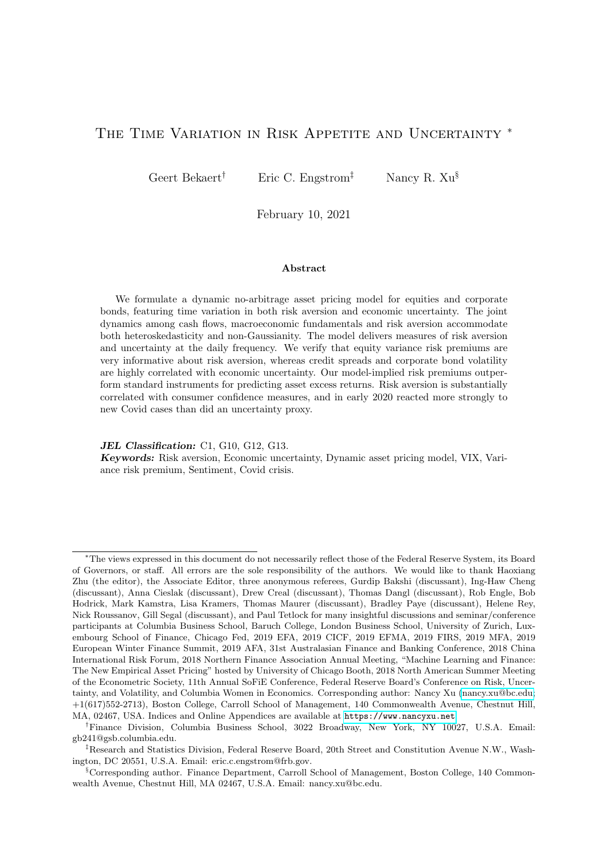note that the long-run volatility is about 1.88%. During the Covid crisis, uncertainty almost doubled to over 4% in March and April, 2020 before dropping to below 3% in May. Using industrial production data to filter  $p_t$  and  $n_t$  during the Covid crisis, it turns out that true economic uncertainty in May, 2020, given the devastating drop in output, increased to 7.5%, a number never reached during the GFC. The financial proxy to uncertainty stayed elevated at slightly higher levels and for a longer time period, from October 2008 to April 2009, often exceeding 4%.

As to risk aversion, with a long term level of around 3, risk aversion was actually slightly below its long term level in January and February 2020 but then skyrocketed in March, reaching a high of 26.36 on March 16, when the Federal Reserve cut the Federal Funds rate to 0. Average risk aversion over March 2020 was about 10, and then dropped to an average of 4.85 in April. The steep increases in risk aversion early on in the crisis also occurred during the GFC with risk aversion peaking on October 10, 2008 (after Lehman Brothers collapsed) at 23.76. Risk aversion averaged 13.4 during October 2008, dropped to an average of 11.5 in December and then hovered around 7 till March 2009. In contrast, during the Covid crisis risk aversion has fallen more quickly and more steeply, averaging 3.9 in May 2020. More summary statistics on the behavior of the two risk variables during various months in the two crises are reported in the Online Appendix.

# <span id="page-41-0"></span>6 Conclusion

We formulate a no-arbitrage model where fundamentals such as industrial production, consumption earnings ratios, corporate loss rates, etc. follow dynamic processes that admit time-variation in both conditional variances and the shape of the shock distribution. The agent in the economy takes this time-varying uncertainty into account when pricing equity and corporate bonds, but also experiences preference shocks that are less than perfectly correlated with fundamentals. The state variables in the economy that drive risk premiums and higher order moments of asset prices involve risk aversion, good and bad economic uncertainty and the conditional variance of loss rates on corporate bonds. We use equity and corporate bond returns, physical equity and corporate bond return variances and the risk neutral equity variance to estimate the model parameters and simultaneously derive a risk aversion spanning process. Risk aversion is spanned by 6 financial instruments, namely the term spread, credit spread, a detrended earnings yield, realized and risk-neutral equity return variances, and the realized corporate bond return variance.

We find that risk aversion loads significantly and positively on the risk neutral equity variance and the realized corporate bond variance, and negatively on the realized equity return variance. Risk aversion is much less persistent than the risk aversion process implied by standard habit models. It is the main driver of the equity premium and the equity return risk neutral variance. It also accounts for 72% of the conditional variance of equity returns with the remainder accounted for by bad macro uncertainty. For corporate bonds, bad economic uncertainty plays a relatively more important role. It accounts for 18% of the risk premium variation and 85% of the corporate bond physical variance. Hence, different asset markets reflect differential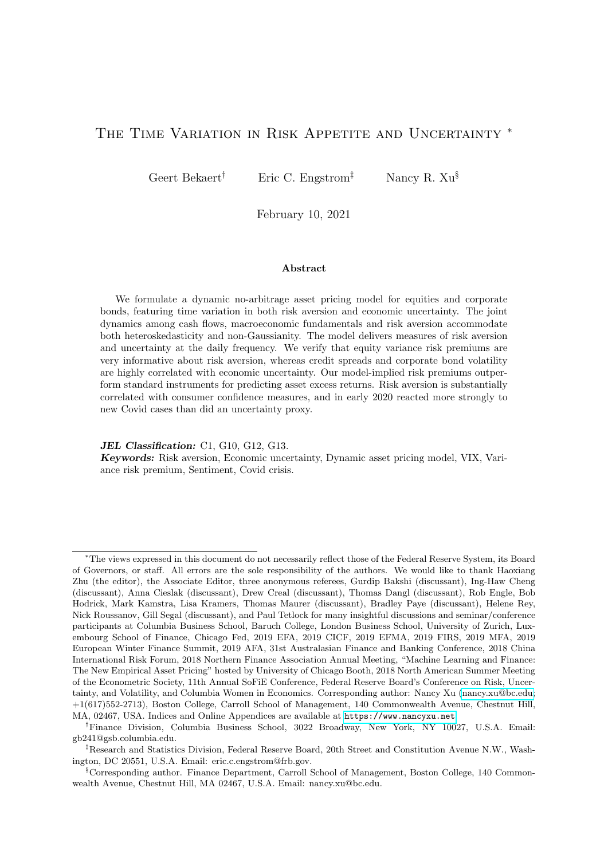

<span id="page-42-0"></span>Figure 5: Risk aversion and economic uncertainty at daily frequencies around the COVID-19 Figure 5: Risk aversion and economic uncertainty at daily frequencies around the COVID-19 crisis (top two) and the Global Financial Crisis (bottom two). crisis (top two) and the Global Financial Crisis (bottom two).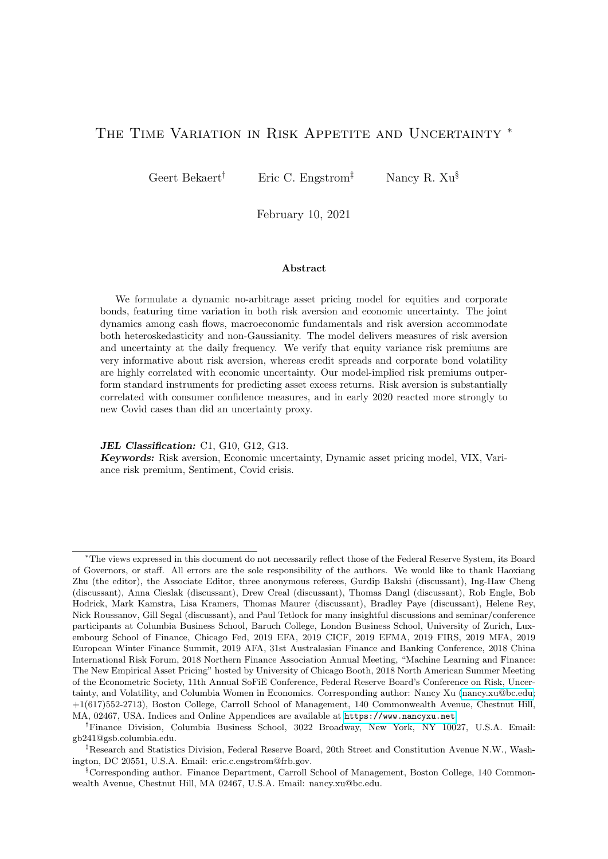information about risk appetite versus economic uncertainty. Our model-implied risk premiums beat standard predictors of equity and corporate bond returns in an out-of-sample horse race.

Our risk aversion measure is highly correlated with the variance risk premium in equity markets, but also shows strong correlation with existing confidence/sentiment indices especially indices measuring consumer confidence. It shows the strongest correlation with a sentiment measure focused on investor emotions. We also detect several empirical links confirming the habit model intuition beyond the strong link with measured consumption growth data. Our measure significantly reacts to industrial production news shocks, for instance, and is highly correlated with economic news sentiment.

Because the spanning instruments represent financial data, we can track the risk aversion index at higher frequencies. We also construct a financial proxy to economic uncertainty (the conditional variance of industrial production growth) which can be obtained at the daily frequency as well. The financial proxy to economic uncertainty predicts output growth negatively and significantly and is a much stronger predictor of output growth than is the VIX. In an outof-sample analysis on the Covid crisis, risk aversion strongly reacts to Covid case increases and more so than does the uncertainty proxy. Our risk aversion and uncertainty indices are available on our websites and we plan to update them regularly, which could potentially be useful for both academic researchers and practitioners.

Our work also has implications for the dynamic asset pricing literature. To explain asset return dynamics in different asset classes, both changes in risk aversion and economic uncertainty must be accommodated. In addition, aggregate risk aversion must contain a relatively nonpersistent, variable component. This variation also causes substantial variation in economically important variables such as the conditional equity premium, which is in line with recent estimates in [Martin \(2017\)](#page-46-5). [Bretscher, Hsu, and Tamoni \(2019\)](#page-45-22) show that risk aversion significantly affect the impact of uncertainty shocks on equity prices. Given that in our model this variation arises from an externality in preferences, it is conceivable that it is economically inefficient. More research on the determinants of risk aversion changes is clearly warranted.

Finally, we only used risky asset classes to create the risk appetite index, omitting Treasury bonds, arguably an additional important asset class. In principle, given a process for inflation our model should also price Treasury bonds. In fact, [Cremers, Fleckenstein, and Gandhi \(2020\)](#page-45-23) claim that an implied volatility measure computed from Treasury bonds predicts the level and volatility of macroeconomic indicators better than stock market implied indicators do. However, a problem with considering Treasuries as determining general risk aversion is that they are often viewed as the benchmark "safe" assets and are subject to occasional flights-to safety (see [Baele,](#page-44-23) [Bekaert, Inghelbrecht, and Wei \(2020\)](#page-44-23)). This makes it ex-ante unlikely that a simple pricing model such as ours can jointly price the three assets classes. In our current model, interest rates are excessively volatile, for example. We therefore defer incorporating Treasury bonds to future work.

# References

<span id="page-43-0"></span>Abel, A. B., 1990. Asset prices under habit formation and catching up with the joneses. American Economic Review 80, 38–42.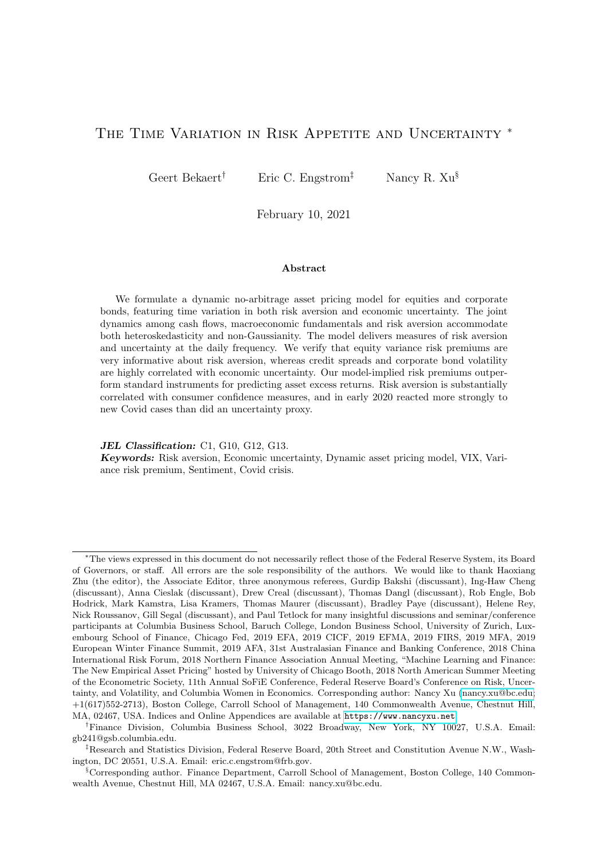<span id="page-44-7"></span>Adrian, T., Shin, H. S., 2009. Money, liquidity, and monetary policy. American Economic Review 99, 600–605.

- <span id="page-44-1"></span>Adrian, T., Shin, H. S., 2013. Procyclical leverage and value-at-risk. Review of Financial Studies 27, 373–403.
- <span id="page-44-10"></span>Aıt-Sahalia, Y., Lo, A. W., 2000. Nonparametric risk management and implied risk aversion. Journal of Econometrics 94, 9–51.
- <span id="page-44-17"></span>Albuquerque, R., Eichenbaum, M., Luo, V. X., Rebelo, S., 2016. Valuation risk and asset pricing. The Journal of Finance 71, 2861–2904.
- <span id="page-44-3"></span>Andersen, T. G., Bollerslev, T., Diebold, F. X., Labys, P., 2003. Modeling and forecasting realized volatility. Econometrica 71, 579–625.
- <span id="page-44-19"></span>Baele, L., Bekaert, G., Cho, S., Inghelbrecht, K., Moreno, A., 2015. Macroeconomic regimes. Journal of Monetary Economics 70, 51–71.
- <span id="page-44-23"></span>Baele, L., Bekaert, G., Inghelbrecht, K., Wei, M., 2020. Flights to safety. The Review of Financial Studies 33, 689–746.
- <span id="page-44-21"></span>Baele, L., Driessen, J., Ebert, S., Londono, J. M., Spalt, O. G., 2019. Cumulative prospect theory, option returns, and the variance premium. The Review of Financial Studies 32, 3667–3723.
- <span id="page-44-6"></span>Baker, M., Wurgler, J., 2006. Investor sentiment and the cross-section of stock returns. Journal of Finance 61, 1645–1680.
- <span id="page-44-20"></span>Baker, S. R., Bloom, N., Davis, S. J., 2016. Measuring economic policy uncertainty. Quarterly Journal of Economics 131, 1593–1636.
- <span id="page-44-11"></span>Bakshi, G., Kapadia, N., Madan, D., 2003. Stock return characteristics, skew laws, and the differential pricing of individual equity options. Review of Financial Studies 16, 101–143.
- <span id="page-44-5"></span>Bakshi, G., Madan, D., 2006. A theory of volatility spreads. Management Science 52, 1945–1956.
- <span id="page-44-13"></span>Bakshi, G., Wu, L., 2010. The behavior of risk and market prices of risk over the nasdaq bubble period. Management Science 56, 2251–2264.
- <span id="page-44-0"></span>Bansal, R., Kiku, D., Shaliastovich, I., Yaron, A., 2014. Volatility, the macroeconomy, and asset prices. Journal of Finance 69, 2471–2511.
- <span id="page-44-22"></span>Barsky, R. B., Sims, E. R., 2012. Information, animal spirits, and the meaning of innovations in consumer confidence. American Economic Review 102, 1343–77.
- <span id="page-44-16"></span>Bates, D. S., 2006. Maximum likelihood estimation of latent affine processes. Review of Financial Studies 19, 909–965.
- <span id="page-44-2"></span>Bekaert, G., Engstrom, E., 2017. Asset return dynamics under habits and bad environment–good environment fundamentals. Journal of Political Economy 125, 713–760.
- <span id="page-44-14"></span>Bekaert, G., Engstrom, E., Grenadier, S. R., 2010. Stock and bond returns with moody investors. Journal of Empirical Finance 17, 867–894.
- <span id="page-44-18"></span>Bekaert, G., Hoerova, M., 2014. The vix, the variance premium and stock market volatility. Journal of Econometrics 183, 181–192.
- <span id="page-44-4"></span>Bekaert, G., Hoerova, M., 2016. What do asset prices have to say about risk appetite and uncertainty? Journal of Banking & Finance 67, 103–118.
- <span id="page-44-8"></span>Bekaert, G., Hoerova, M., Lo Duca, M., 2013. Risk, uncertainty and monetary policy. Journal of Monetary Economics 60, 771–788.
- <span id="page-44-12"></span>Bliss, R. R., Panigirtzoglou, N., 2004. Option-implied risk aversion estimates. Journal of Finance 59, 407–446.
- <span id="page-44-15"></span>Bloom, N., 2009. The impact of uncertainty shocks. Econometrica 77, 623–685.
- <span id="page-44-9"></span>Bollerslev, T., Gibson, M., Zhou, H., 2011. Dynamic estimation of volatility risk premia and investor risk aversion from option-implied and realized volatilities. Journal of Econometrics 160, 235–245.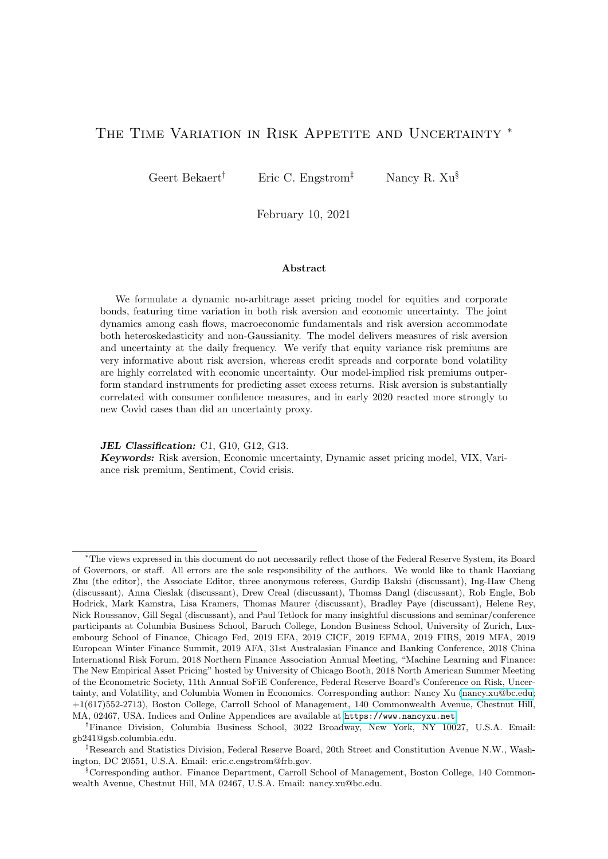- <span id="page-45-7"></span>Bollerslev, T., Tauchen, G., Zhou, H., 2009. Expected stock returns and variance risk premia. Review of Financial Studies 22, 4463–4492.
- <span id="page-45-3"></span>Bollerslev, T., Todorov, V., 2011. Tails, fears, and risk premia. Journal of Finance 66, 2165–2211.
- <span id="page-45-17"></span>Boudoukh, J., Michaely, R., Richardson, M., Roberts, M. R., 2007. On the importance of measuring payout yield: Implications for empirical asset pricing. Journal of Finance 62, 877–915.
- <span id="page-45-12"></span>Brandt, M. W., Wang, K. Q., 2003. Time-varying risk aversion and unexpected inflation. Journal of Monetary Economics 50, 1457–1498.
- <span id="page-45-22"></span>Bretscher, L., Hsu, A., Tamoni, A., 2019. The real response to uncertainty shocks: the risk premium channel. Georgia Tech Scheller College of Business Research Paper .
- <span id="page-45-10"></span>Britten-Jones, M., Neuberger, A., 2000. Option prices, implied price processes, and stochastic volatility. Journal of Finance 55, 839–866.
- <span id="page-45-0"></span>Campbell, J. Y., Cochrane, J. H., 1999. By force of habit: A consumption-based explanation of aggregate stock market behavior. Journal of Political Economy 107, 205–251.
- <span id="page-45-11"></span>Carr, P., Wu, L., 2016. Analyzing volatility risk and risk premium in option contracts: A new theory. Journal of Financial Economics 120, 1–20.
- <span id="page-45-18"></span>Cheng, I.-H., 2019. The vix premium. Review of Financial Studies 32, 180–227.
- <span id="page-45-14"></span>Cohn, A., Engelmann, J., Fehr, E., Maréchal, M. A., 2015. Evidence for countercyclical risk aversion: an experiment with financial professionals. American Economic Review 105, 860–85.
- <span id="page-45-4"></span>Coudert, V., Gex, M., 2008. Does risk aversion drive financial crises? testing the predictive power of empirical indicators. Journal of Empirical Finance 15, 167–184.
- <span id="page-45-23"></span>Cremers, M., Fleckenstein, M., Gandhi, P., 2020. Treasury yield implied volatility and real activity. Journal of Financial Economics .
- <span id="page-45-21"></span>Da, Z., Engelberg, J., Gao, P., 2014. The sum of all FEARS investor sentiment and asset prices. Review of Financial Studies 28, 1–32.
- <span id="page-45-20"></span>De Santis, R. A., 2018. Unobservable systematic risk, economic activity and stock market. Journal of Banking & Finance 97, 51–69.
- <span id="page-45-6"></span>Drechsler, I., Yaron, A., 2011. What's vol got to do with it. The Review of Financial Studies 24, 1–45.
- <span id="page-45-5"></span>Faccini, R., Konstantinidi, E., Skiadopoulos, G., Sarantopoulou-Chiourea, S., 2019. A new predictor of us real economic activity: The s&p 500 option implied risk aversion. Management Science 65, 4927–4949.
- <span id="page-45-8"></span>French, K. R., Schwert, G. W., Stambaugh, R. F., 1987. Expected stock returns and volatility. Journal of Financial Economics 19, 3–29.
- <span id="page-45-13"></span>Gai, P., Vause, N., 2006. Measuring investors' risk appetite. International Journal of Central Banking 2.
- <span id="page-45-15"></span>Gilchrist, S., Zakrajšek, E., 2012. Credit spreads and business cycle fluctuations. American Economic Review 102, 1692–1720.
- <span id="page-45-16"></span>Harvey, C. R., 1988. The real term structure and consumption growth. Journal of Financial Economics 22, 305– 333.
- <span id="page-45-1"></span>He, Z., Krishnamurthy, A., 2013. Intermediary asset pricing. American Economic Review 103, 732–70.
- <span id="page-45-19"></span>Hodrick, R. J., 1992. Dividend yields and expected stock returns: Alternative procedures for inference and measurement. Review of Financial Studies 5, 357–386.
- <span id="page-45-9"></span>Jackwerth, J. C., 2000. Recovering risk aversion from option prices and realized returns. Review of Financial Studies 13, 433–451.
- <span id="page-45-2"></span>Joslin, S., Le, A., Singleton, K. J., 2013. Why gaussian macro-finance term structure models are (nearly) unconstrained factor-VARs. Journal of Financial Economics 109, 604–622.